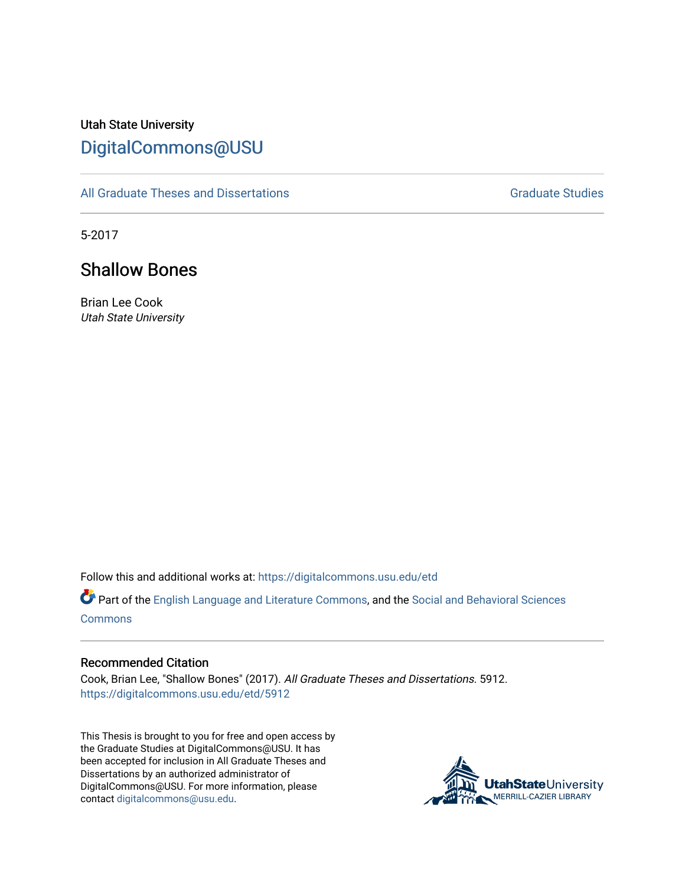# Utah State University [DigitalCommons@USU](https://digitalcommons.usu.edu/)

[All Graduate Theses and Dissertations](https://digitalcommons.usu.edu/etd) [Graduate Studies](https://digitalcommons.usu.edu/gradstudies) Graduate Studies

5-2017

# Shallow Bones

Brian Lee Cook Utah State University

Follow this and additional works at: [https://digitalcommons.usu.edu/etd](https://digitalcommons.usu.edu/etd?utm_source=digitalcommons.usu.edu%2Fetd%2F5912&utm_medium=PDF&utm_campaign=PDFCoverPages) 

Part of the [English Language and Literature Commons](http://network.bepress.com/hgg/discipline/455?utm_source=digitalcommons.usu.edu%2Fetd%2F5912&utm_medium=PDF&utm_campaign=PDFCoverPages), and the [Social and Behavioral Sciences](http://network.bepress.com/hgg/discipline/316?utm_source=digitalcommons.usu.edu%2Fetd%2F5912&utm_medium=PDF&utm_campaign=PDFCoverPages) **[Commons](http://network.bepress.com/hgg/discipline/316?utm_source=digitalcommons.usu.edu%2Fetd%2F5912&utm_medium=PDF&utm_campaign=PDFCoverPages)** 

# Recommended Citation

Cook, Brian Lee, "Shallow Bones" (2017). All Graduate Theses and Dissertations. 5912. [https://digitalcommons.usu.edu/etd/5912](https://digitalcommons.usu.edu/etd/5912?utm_source=digitalcommons.usu.edu%2Fetd%2F5912&utm_medium=PDF&utm_campaign=PDFCoverPages)

This Thesis is brought to you for free and open access by the Graduate Studies at DigitalCommons@USU. It has been accepted for inclusion in All Graduate Theses and Dissertations by an authorized administrator of DigitalCommons@USU. For more information, please contact [digitalcommons@usu.edu](mailto:digitalcommons@usu.edu).

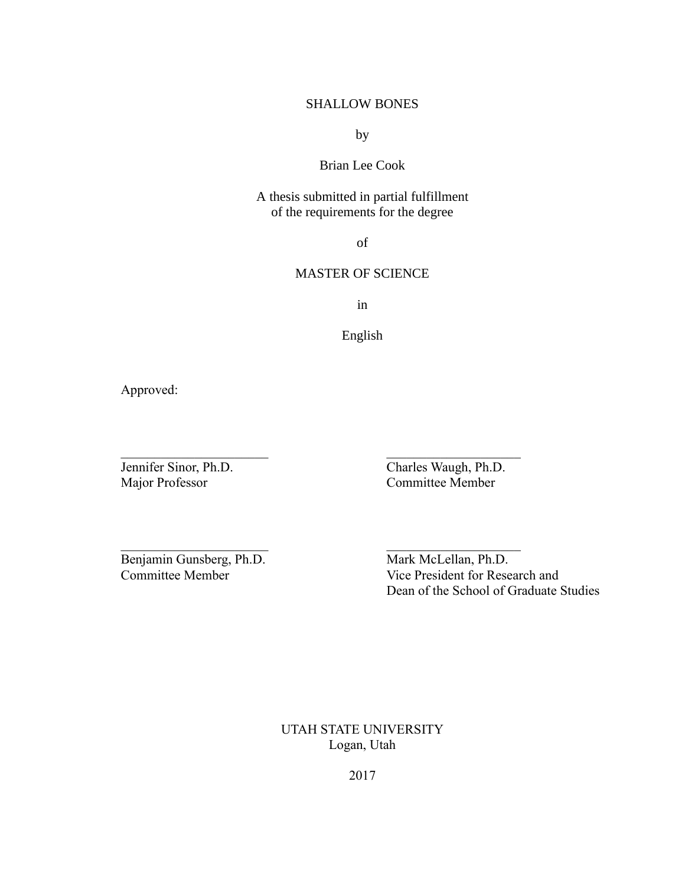# SHALLOW BONES

by

# Brian Lee Cook

A thesis submitted in partial fulfillment of the requirements for the degree

of

# MASTER OF SCIENCE

in

English

 $\mathcal{L}_\mathcal{L}$  , and the contribution of the contribution of  $\mathcal{L}_\mathcal{L}$ 

 $\mathcal{L}_\text{max}$  and the contract of the contract of the contract of the contract of the contract of the contract of the contract of the contract of the contract of the contract of the contract of the contract of the contrac

Approved:

Jennifer Sinor, Ph.D.<br>
Major Professor<br>
Committee Member Committee Member

Benjamin Gunsberg, Ph.D. Mark McLellan, Ph.D.

Committee Member Vice President for Research and Dean of the School of Graduate Studies

> UTAH STATE UNIVERSITY Logan, Utah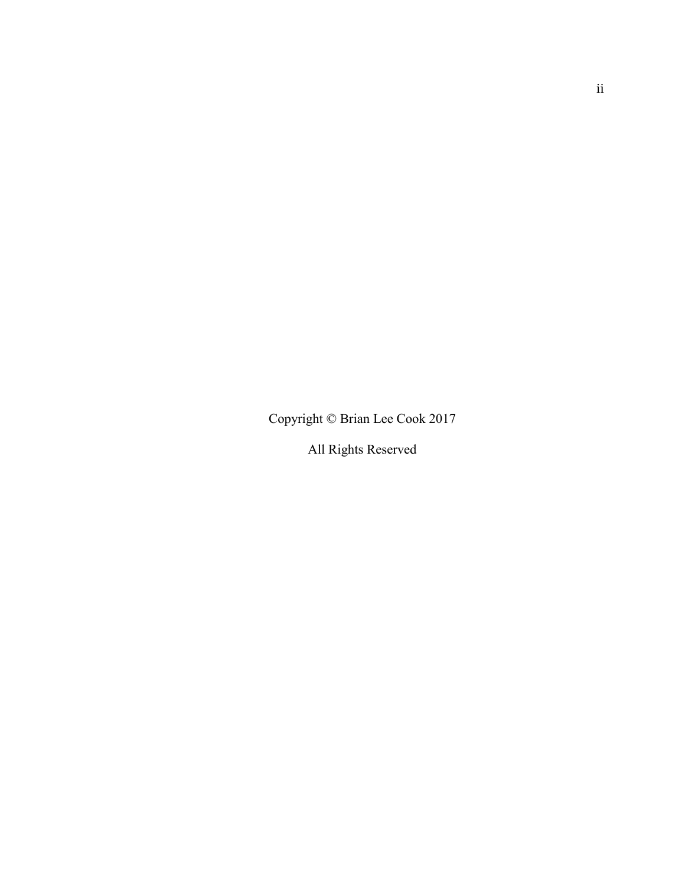Copyright © Brian Lee Cook 2017

All Rights Reserved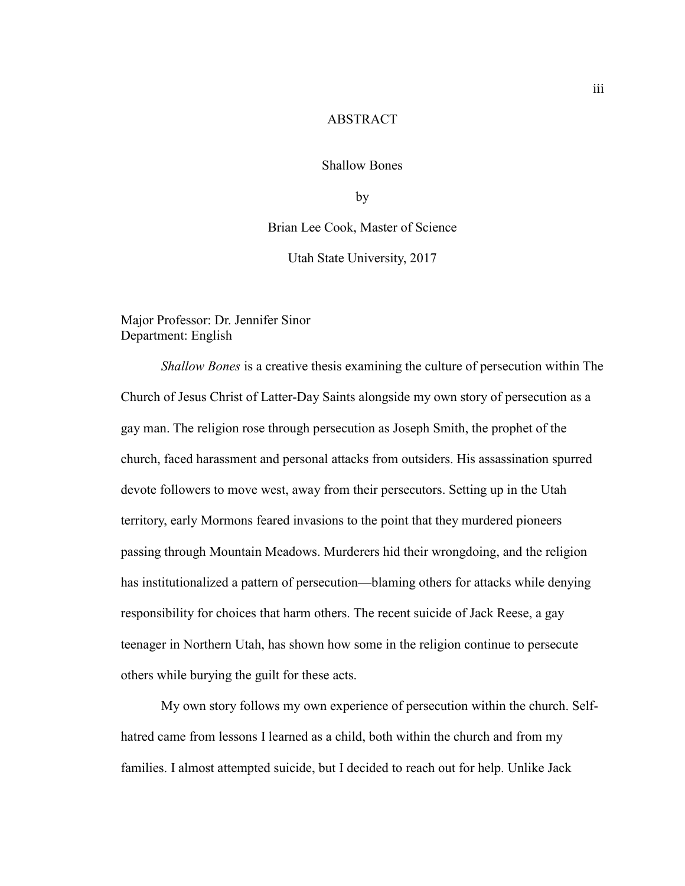#### **ABSTRACT**

Shallow Bones

by

Brian Lee Cook, Master of Science

Utah State University, 2017

Major Professor: Dr. Jennifer Sinor Department: English

*Shallow Bones* is a creative thesis examining the culture of persecution within The Church of Jesus Christ of Latter-Day Saints alongside my own story of persecution as a gay man. The religion rose through persecution as Joseph Smith, the prophet of the church, faced harassment and personal attacks from outsiders. His assassination spurred devote followers to move west, away from their persecutors. Setting up in the Utah territory, early Mormons feared invasions to the point that they murdered pioneers passing through Mountain Meadows. Murderers hid their wrongdoing, and the religion has institutionalized a pattern of persecution—blaming others for attacks while denying responsibility for choices that harm others. The recent suicide of Jack Reese, a gay teenager in Northern Utah, has shown how some in the religion continue to persecute others while burying the guilt for these acts.

My own story follows my own experience of persecution within the church. Selfhatred came from lessons I learned as a child, both within the church and from my families. I almost attempted suicide, but I decided to reach out for help. Unlike Jack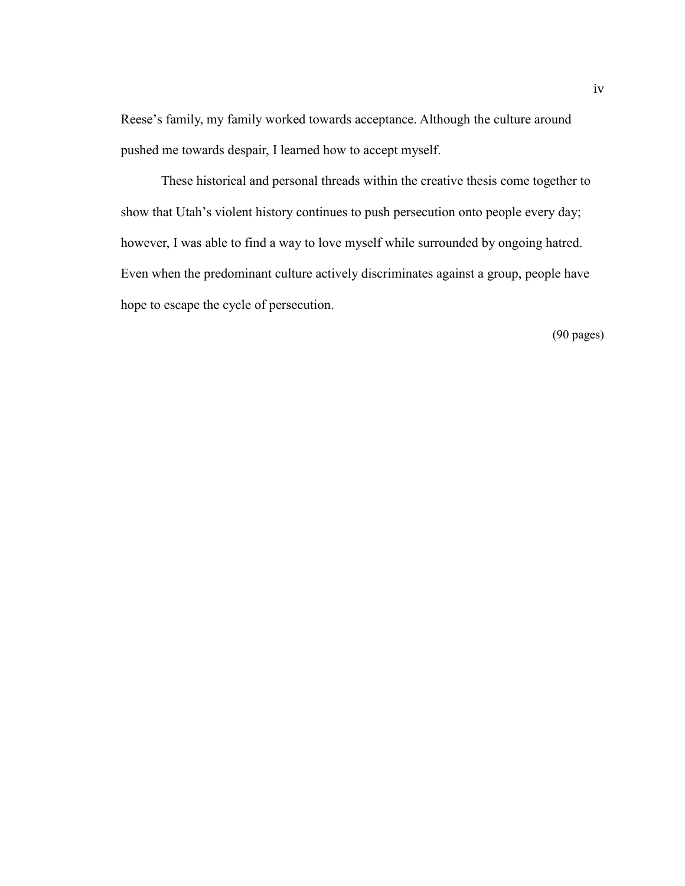Reese's family, my family worked towards acceptance. Although the culture around pushed me towards despair, I learned how to accept myself.

These historical and personal threads within the creative thesis come together to show that Utah's violent history continues to push persecution onto people every day; however, I was able to find a way to love myself while surrounded by ongoing hatred. Even when the predominant culture actively discriminates against a group, people have hope to escape the cycle of persecution.

(90 pages)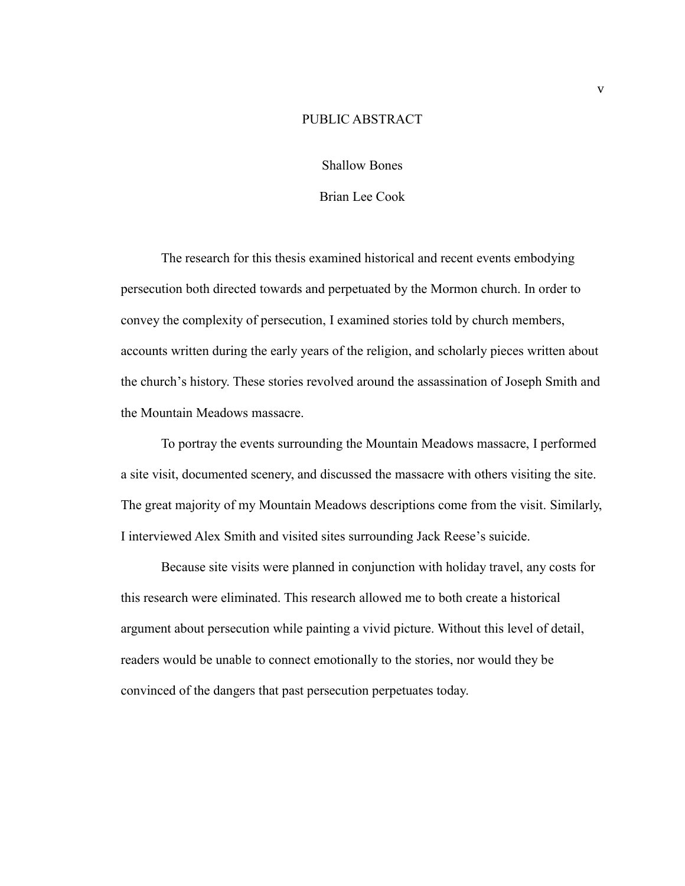## PUBLIC ABSTRACT

Shallow Bones

## Brian Lee Cook

The research for this thesis examined historical and recent events embodying persecution both directed towards and perpetuated by the Mormon church. In order to convey the complexity of persecution, I examined stories told by church members, accounts written during the early years of the religion, and scholarly pieces written about the church's history. These stories revolved around the assassination of Joseph Smith and the Mountain Meadows massacre.

To portray the events surrounding the Mountain Meadows massacre, I performed a site visit, documented scenery, and discussed the massacre with others visiting the site. The great majority of my Mountain Meadows descriptions come from the visit. Similarly, I interviewed Alex Smith and visited sites surrounding Jack Reese's suicide.

Because site visits were planned in conjunction with holiday travel, any costs for this research were eliminated. This research allowed me to both create a historical argument about persecution while painting a vivid picture. Without this level of detail, readers would be unable to connect emotionally to the stories, nor would they be convinced of the dangers that past persecution perpetuates today.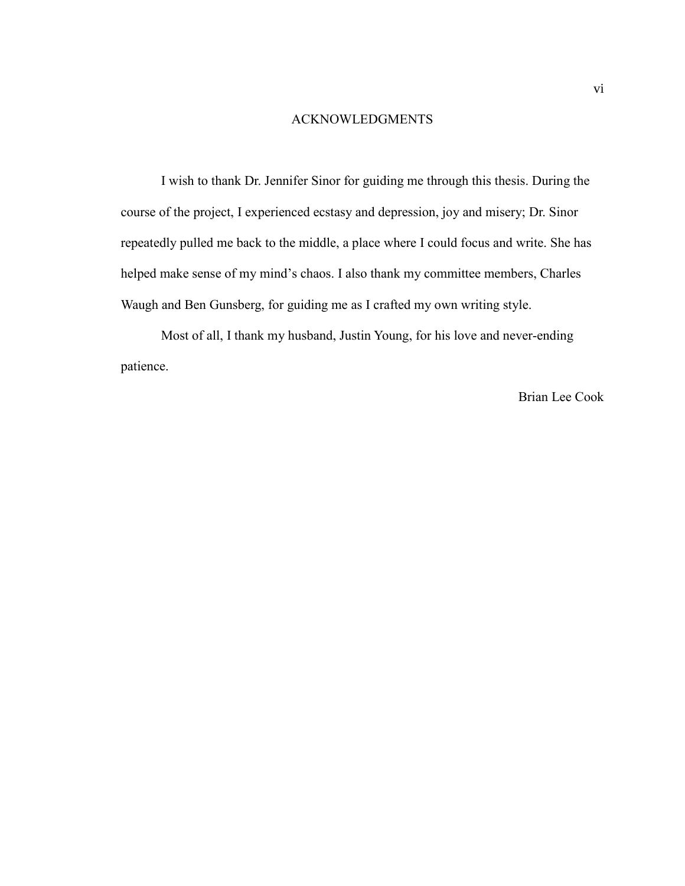# ACKNOWLEDGMENTS

I wish to thank Dr. Jennifer Sinor for guiding me through this thesis. During the course of the project, I experienced ecstasy and depression, joy and misery; Dr. Sinor repeatedly pulled me back to the middle, a place where I could focus and write. She has helped make sense of my mind's chaos. I also thank my committee members, Charles Waugh and Ben Gunsberg, for guiding me as I crafted my own writing style.

Most of all, I thank my husband, Justin Young, for his love and never-ending patience.

Brian Lee Cook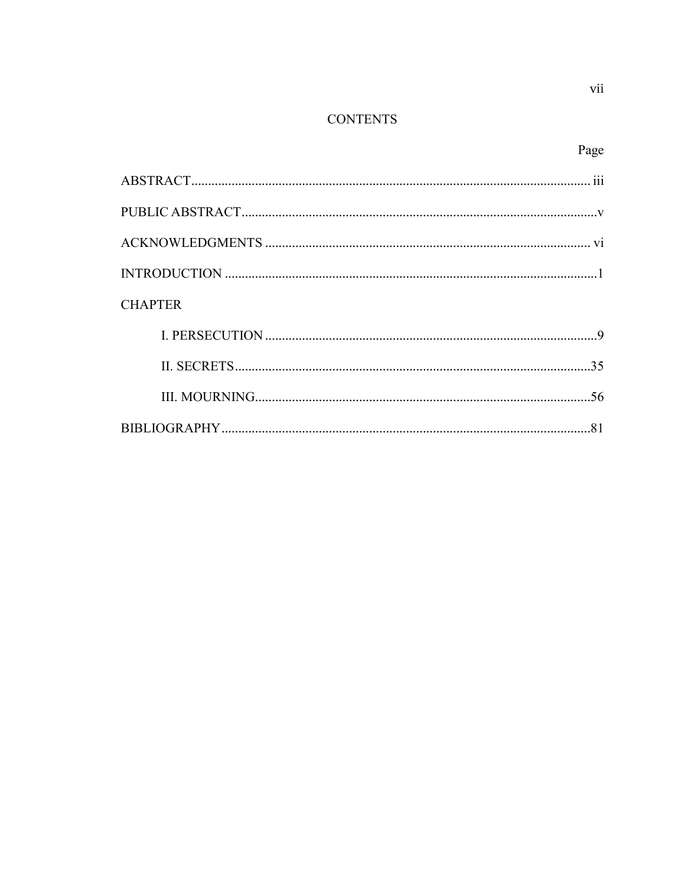# **CONTENTS**

| <b>CHAPTER</b> |  |
|----------------|--|
|                |  |
|                |  |
|                |  |
|                |  |
|                |  |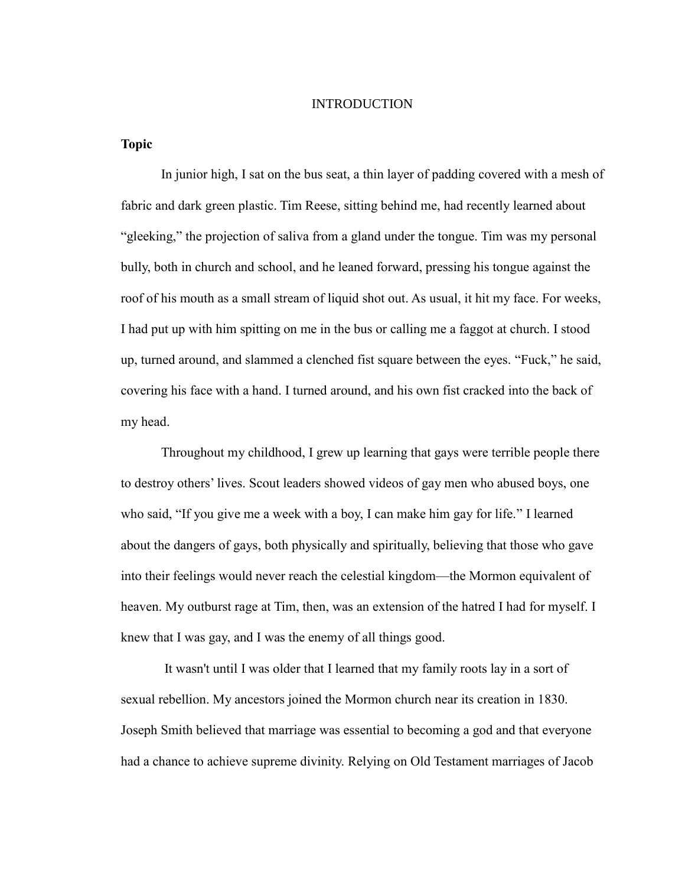#### INTRODUCTION

**Topic**

In junior high, I sat on the bus seat, a thin layer of padding covered with a mesh of fabric and dark green plastic. Tim Reese, sitting behind me, had recently learned about "gleeking," the projection of saliva from a gland under the tongue. Tim was my personal bully, both in church and school, and he leaned forward, pressing his tongue against the roof of his mouth as a small stream of liquid shot out. As usual, it hit my face. For weeks, I had put up with him spitting on me in the bus or calling me a faggot at church. I stood up, turned around, and slammed a clenched fist square between the eyes. "Fuck," he said, covering his face with a hand. I turned around, and his own fist cracked into the back of my head.

Throughout my childhood, I grew up learning that gays were terrible people there to destroy others' lives. Scout leaders showed videos of gay men who abused boys, one who said, "If you give me a week with a boy, I can make him gay for life." I learned about the dangers of gays, both physically and spiritually, believing that those who gave into their feelings would never reach the celestial kingdom—the Mormon equivalent of heaven. My outburst rage at Tim, then, was an extension of the hatred I had for myself. I knew that I was gay, and I was the enemy of all things good.

It wasn't until I was older that I learned that my family roots lay in a sort of sexual rebellion. My ancestors joined the Mormon church near its creation in 1830. Joseph Smith believed that marriage was essential to becoming a god and that everyone had a chance to achieve supreme divinity. Relying on Old Testament marriages of Jacob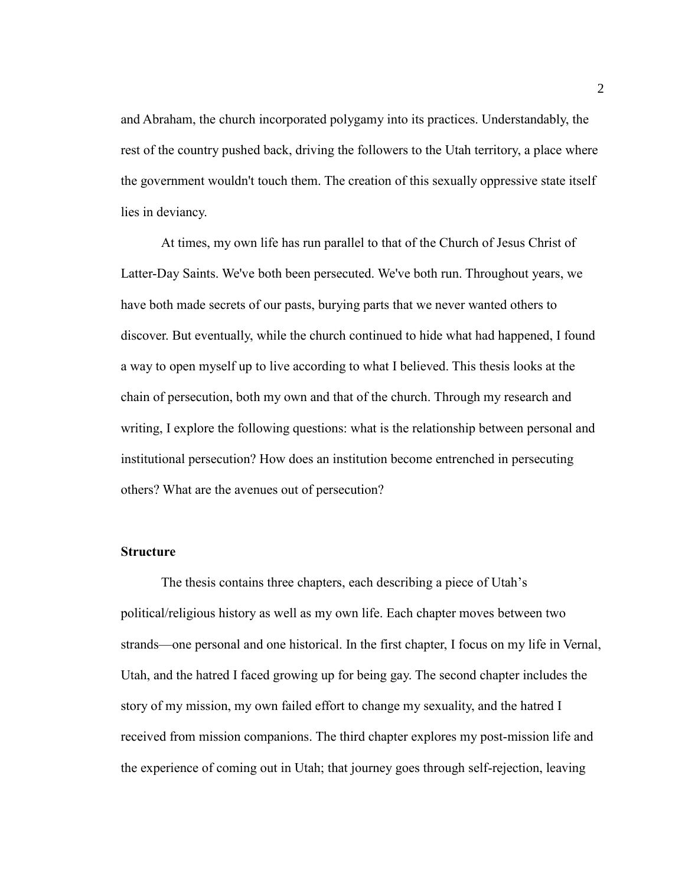and Abraham, the church incorporated polygamy into its practices. Understandably, the rest of the country pushed back, driving the followers to the Utah territory, a place where the government wouldn't touch them. The creation of this sexually oppressive state itself lies in deviancy.

At times, my own life has run parallel to that of the Church of Jesus Christ of Latter-Day Saints. We've both been persecuted. We've both run. Throughout years, we have both made secrets of our pasts, burying parts that we never wanted others to discover. But eventually, while the church continued to hide what had happened, I found a way to open myself up to live according to what I believed. This thesis looks at the chain of persecution, both my own and that of the church. Through my research and writing, I explore the following questions: what is the relationship between personal and institutional persecution? How does an institution become entrenched in persecuting others? What are the avenues out of persecution?

#### **Structure**

The thesis contains three chapters, each describing a piece of Utah's political/religious history as well as my own life. Each chapter moves between two strands—one personal and one historical. In the first chapter, I focus on my life in Vernal, Utah, and the hatred I faced growing up for being gay. The second chapter includes the story of my mission, my own failed effort to change my sexuality, and the hatred I received from mission companions. The third chapter explores my post-mission life and the experience of coming out in Utah; that journey goes through self-rejection, leaving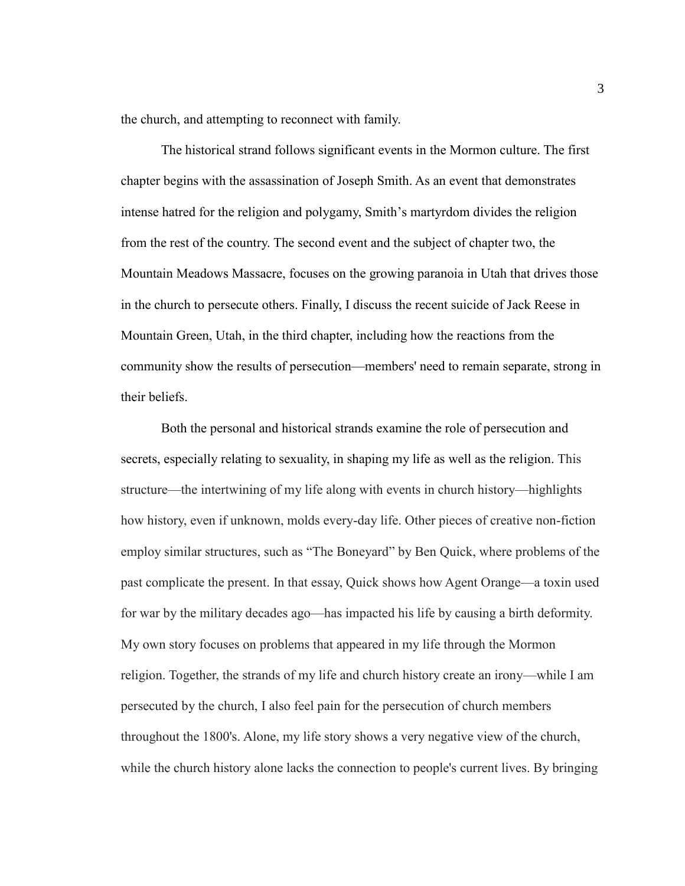the church, and attempting to reconnect with family.

The historical strand follows significant events in the Mormon culture. The first chapter begins with the assassination of Joseph Smith. As an event that demonstrates intense hatred for the religion and polygamy, Smith's martyrdom divides the religion from the rest of the country. The second event and the subject of chapter two, the Mountain Meadows Massacre, focuses on the growing paranoia in Utah that drives those in the church to persecute others. Finally, I discuss the recent suicide of Jack Reese in Mountain Green, Utah, in the third chapter, including how the reactions from the community show the results of persecution—members' need to remain separate, strong in their beliefs.

Both the personal and historical strands examine the role of persecution and secrets, especially relating to sexuality, in shaping my life as well as the religion. This structure—the intertwining of my life along with events in church history—highlights how history, even if unknown, molds every-day life. Other pieces of creative non-fiction employ similar structures, such as "The Boneyard" by Ben Quick, where problems of the past complicate the present. In that essay, Quick shows how Agent Orange—a toxin used for war by the military decades ago—has impacted his life by causing a birth deformity. My own story focuses on problems that appeared in my life through the Mormon religion. Together, the strands of my life and church history create an irony—while I am persecuted by the church, I also feel pain for the persecution of church members throughout the 1800's. Alone, my life story shows a very negative view of the church, while the church history alone lacks the connection to people's current lives. By bringing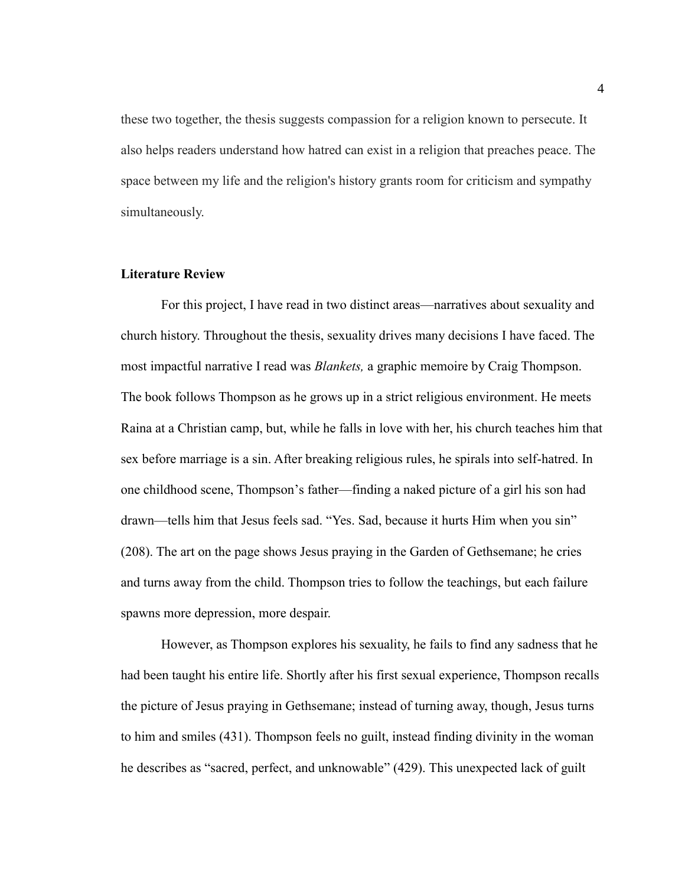these two together, the thesis suggests compassion for a religion known to persecute. It also helps readers understand how hatred can exist in a religion that preaches peace. The space between my life and the religion's history grants room for criticism and sympathy simultaneously.

# **Literature Review**

For this project, I have read in two distinct areas—narratives about sexuality and church history. Throughout the thesis, sexuality drives many decisions I have faced. The most impactful narrative I read was *Blankets,* a graphic memoire by Craig Thompson. The book follows Thompson as he grows up in a strict religious environment. He meets Raina at a Christian camp, but, while he falls in love with her, his church teaches him that sex before marriage is a sin. After breaking religious rules, he spirals into self-hatred. In one childhood scene, Thompson's father—finding a naked picture of a girl his son had drawn—tells him that Jesus feels sad. "Yes. Sad, because it hurts Him when you sin" (208). The art on the page shows Jesus praying in the Garden of Gethsemane; he cries and turns away from the child. Thompson tries to follow the teachings, but each failure spawns more depression, more despair.

However, as Thompson explores his sexuality, he fails to find any sadness that he had been taught his entire life. Shortly after his first sexual experience, Thompson recalls the picture of Jesus praying in Gethsemane; instead of turning away, though, Jesus turns to him and smiles (431). Thompson feels no guilt, instead finding divinity in the woman he describes as "sacred, perfect, and unknowable" (429). This unexpected lack of guilt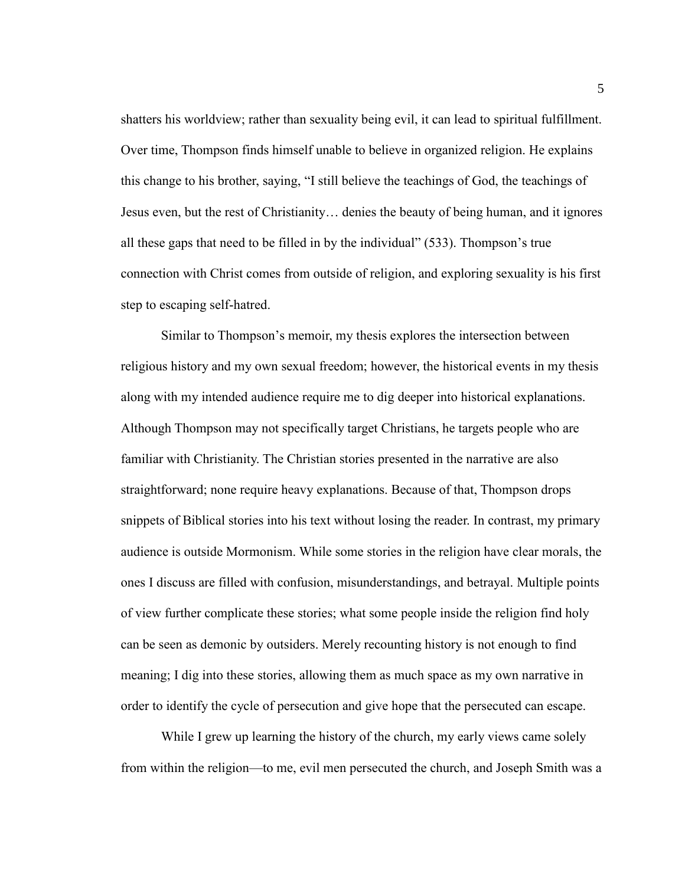shatters his worldview; rather than sexuality being evil, it can lead to spiritual fulfillment. Over time, Thompson finds himself unable to believe in organized religion. He explains this change to his brother, saying, "I still believe the teachings of God, the teachings of Jesus even, but the rest of Christianity… denies the beauty of being human, and it ignores all these gaps that need to be filled in by the individual" (533). Thompson's true connection with Christ comes from outside of religion, and exploring sexuality is his first step to escaping self-hatred.

Similar to Thompson's memoir, my thesis explores the intersection between religious history and my own sexual freedom; however, the historical events in my thesis along with my intended audience require me to dig deeper into historical explanations. Although Thompson may not specifically target Christians, he targets people who are familiar with Christianity. The Christian stories presented in the narrative are also straightforward; none require heavy explanations. Because of that, Thompson drops snippets of Biblical stories into his text without losing the reader. In contrast, my primary audience is outside Mormonism. While some stories in the religion have clear morals, the ones I discuss are filled with confusion, misunderstandings, and betrayal. Multiple points of view further complicate these stories; what some people inside the religion find holy can be seen as demonic by outsiders. Merely recounting history is not enough to find meaning; I dig into these stories, allowing them as much space as my own narrative in order to identify the cycle of persecution and give hope that the persecuted can escape.

While I grew up learning the history of the church, my early views came solely from within the religion—to me, evil men persecuted the church, and Joseph Smith was a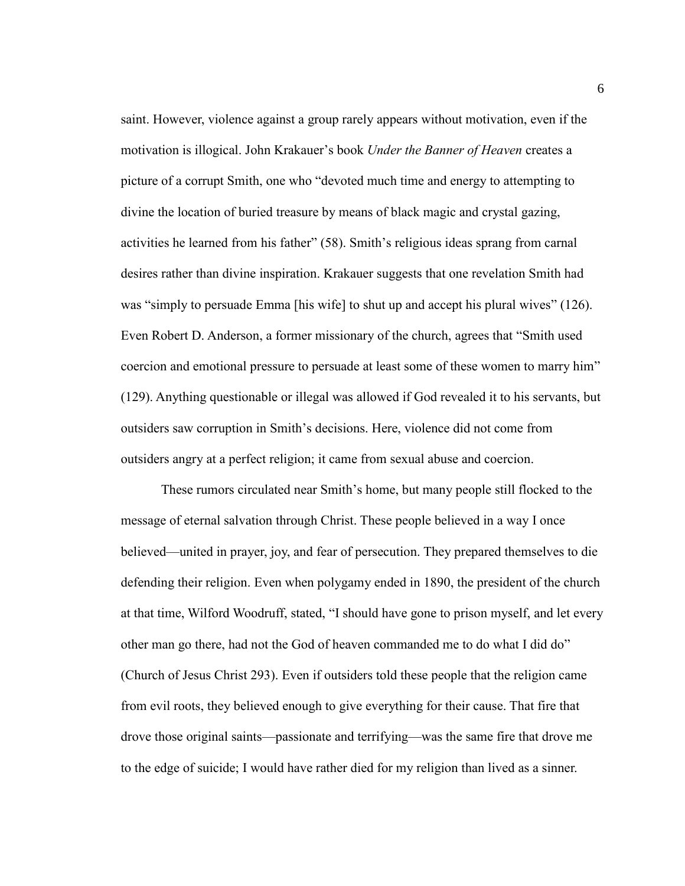saint. However, violence against a group rarely appears without motivation, even if the motivation is illogical. John Krakauer's book *Under the Banner of Heaven* creates a picture of a corrupt Smith, one who "devoted much time and energy to attempting to divine the location of buried treasure by means of black magic and crystal gazing, activities he learned from his father" (58). Smith's religious ideas sprang from carnal desires rather than divine inspiration. Krakauer suggests that one revelation Smith had was "simply to persuade Emma [his wife] to shut up and accept his plural wives" (126). Even Robert D. Anderson, a former missionary of the church, agrees that "Smith used coercion and emotional pressure to persuade at least some of these women to marry him" (129). Anything questionable or illegal was allowed if God revealed it to his servants, but outsiders saw corruption in Smith's decisions. Here, violence did not come from outsiders angry at a perfect religion; it came from sexual abuse and coercion.

These rumors circulated near Smith's home, but many people still flocked to the message of eternal salvation through Christ. These people believed in a way I once believed—united in prayer, joy, and fear of persecution. They prepared themselves to die defending their religion. Even when polygamy ended in 1890, the president of the church at that time, Wilford Woodruff, stated, "I should have gone to prison myself, and let every other man go there, had not the God of heaven commanded me to do what I did do" (Church of Jesus Christ 293). Even if outsiders told these people that the religion came from evil roots, they believed enough to give everything for their cause. That fire that drove those original saints—passionate and terrifying—was the same fire that drove me to the edge of suicide; I would have rather died for my religion than lived as a sinner.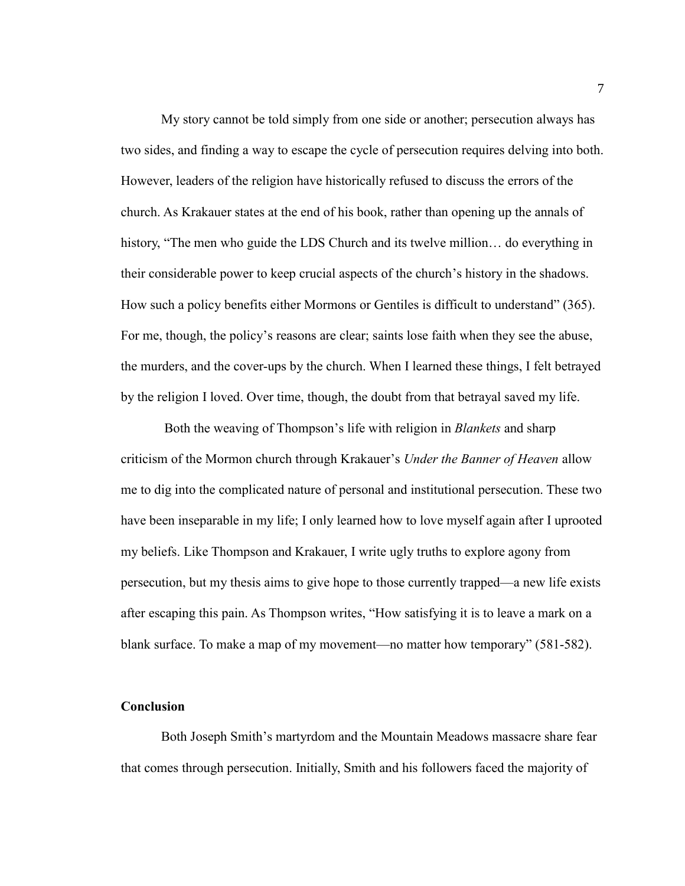My story cannot be told simply from one side or another; persecution always has two sides, and finding a way to escape the cycle of persecution requires delving into both. However, leaders of the religion have historically refused to discuss the errors of the church. As Krakauer states at the end of his book, rather than opening up the annals of history, "The men who guide the LDS Church and its twelve million… do everything in their considerable power to keep crucial aspects of the church's history in the shadows. How such a policy benefits either Mormons or Gentiles is difficult to understand" (365). For me, though, the policy's reasons are clear; saints lose faith when they see the abuse, the murders, and the cover-ups by the church. When I learned these things, I felt betrayed by the religion I loved. Over time, though, the doubt from that betrayal saved my life.

Both the weaving of Thompson's life with religion in *Blankets* and sharp criticism of the Mormon church through Krakauer's *Under the Banner of Heaven* allow me to dig into the complicated nature of personal and institutional persecution. These two have been inseparable in my life; I only learned how to love myself again after I uprooted my beliefs. Like Thompson and Krakauer, I write ugly truths to explore agony from persecution, but my thesis aims to give hope to those currently trapped—a new life exists after escaping this pain. As Thompson writes, "How satisfying it is to leave a mark on a blank surface. To make a map of my movement—no matter how temporary" (581-582).

# **Conclusion**

Both Joseph Smith's martyrdom and the Mountain Meadows massacre share fear that comes through persecution. Initially, Smith and his followers faced the majority of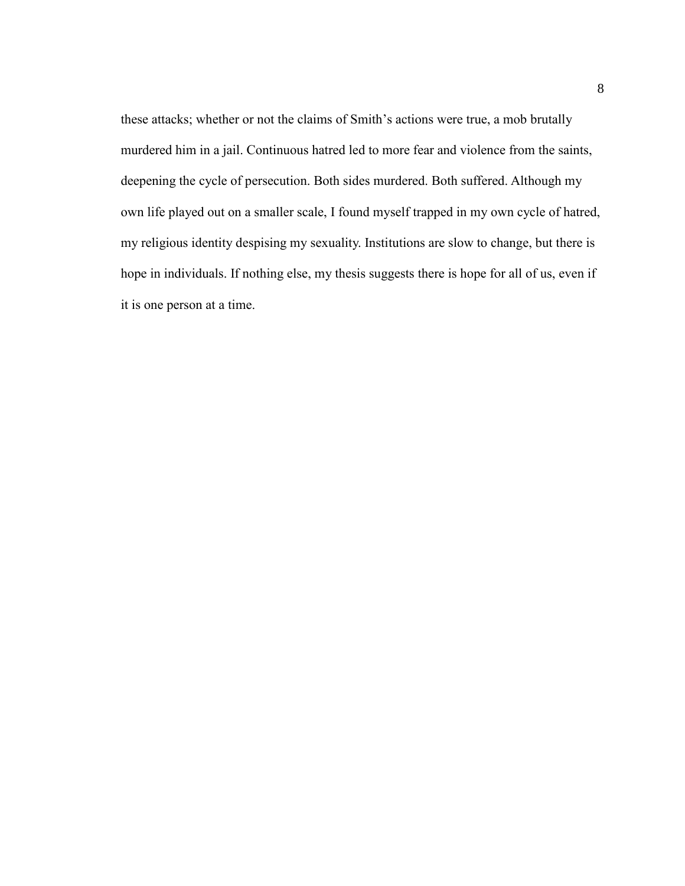these attacks; whether or not the claims of Smith's actions were true, a mob brutally murdered him in a jail. Continuous hatred led to more fear and violence from the saints, deepening the cycle of persecution. Both sides murdered. Both suffered. Although my own life played out on a smaller scale, I found myself trapped in my own cycle of hatred, my religious identity despising my sexuality. Institutions are slow to change, but there is hope in individuals. If nothing else, my thesis suggests there is hope for all of us, even if it is one person at a time.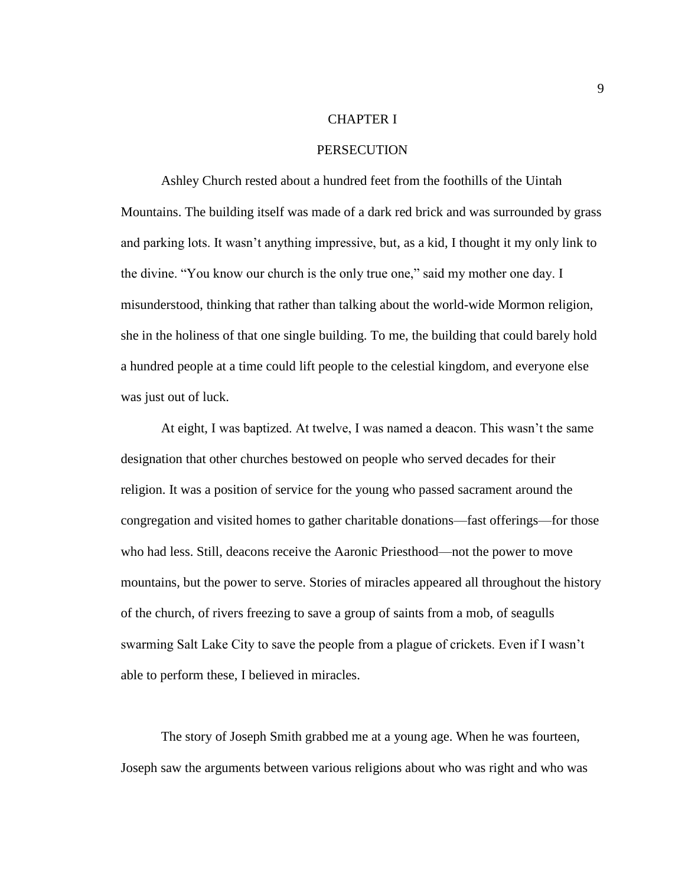### CHAPTER I

# **PERSECUTION**

Ashley Church rested about a hundred feet from the foothills of the Uintah Mountains. The building itself was made of a dark red brick and was surrounded by grass and parking lots. It wasn't anything impressive, but, as a kid, I thought it my only link to the divine. "You know our church is the only true one," said my mother one day. I misunderstood, thinking that rather than talking about the world-wide Mormon religion, she in the holiness of that one single building. To me, the building that could barely hold a hundred people at a time could lift people to the celestial kingdom, and everyone else was just out of luck.

At eight, I was baptized. At twelve, I was named a deacon. This wasn't the same designation that other churches bestowed on people who served decades for their religion. It was a position of service for the young who passed sacrament around the congregation and visited homes to gather charitable donations—fast offerings—for those who had less. Still, deacons receive the Aaronic Priesthood—not the power to move mountains, but the power to serve. Stories of miracles appeared all throughout the history of the church, of rivers freezing to save a group of saints from a mob, of seagulls swarming Salt Lake City to save the people from a plague of crickets. Even if I wasn't able to perform these, I believed in miracles.

The story of Joseph Smith grabbed me at a young age. When he was fourteen, Joseph saw the arguments between various religions about who was right and who was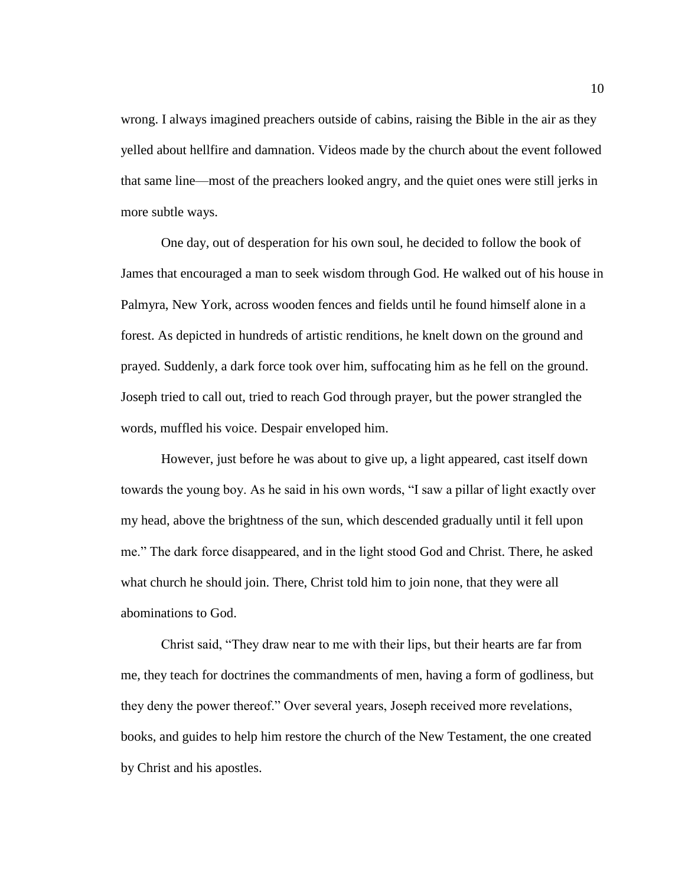wrong. I always imagined preachers outside of cabins, raising the Bible in the air as they yelled about hellfire and damnation. Videos made by the church about the event followed that same line—most of the preachers looked angry, and the quiet ones were still jerks in more subtle ways.

One day, out of desperation for his own soul, he decided to follow the book of James that encouraged a man to seek wisdom through God. He walked out of his house in Palmyra, New York, across wooden fences and fields until he found himself alone in a forest. As depicted in hundreds of artistic renditions, he knelt down on the ground and prayed. Suddenly, a dark force took over him, suffocating him as he fell on the ground. Joseph tried to call out, tried to reach God through prayer, but the power strangled the words, muffled his voice. Despair enveloped him.

However, just before he was about to give up, a light appeared, cast itself down towards the young boy. As he said in his own words, "I saw a pillar of light exactly over my head, above the brightness of the sun, which descended gradually until it fell upon me." The dark force disappeared, and in the light stood God and Christ. There, he asked what church he should join. There, Christ told him to join none, that they were all abominations to God.

Christ said, "They draw near to me with their lips, but their hearts are far from me, they teach for doctrines the commandments of men, having a form of godliness, but they deny the power thereof." Over several years, Joseph received more revelations, books, and guides to help him restore the church of the New Testament, the one created by Christ and his apostles.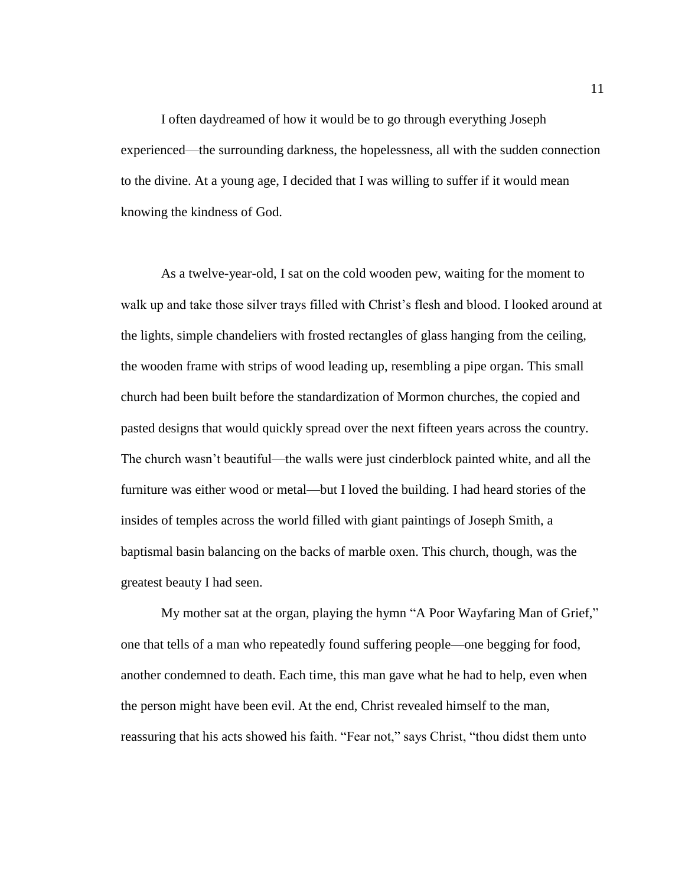I often daydreamed of how it would be to go through everything Joseph experienced—the surrounding darkness, the hopelessness, all with the sudden connection to the divine. At a young age, I decided that I was willing to suffer if it would mean knowing the kindness of God.

As a twelve-year-old, I sat on the cold wooden pew, waiting for the moment to walk up and take those silver trays filled with Christ's flesh and blood. I looked around at the lights, simple chandeliers with frosted rectangles of glass hanging from the ceiling, the wooden frame with strips of wood leading up, resembling a pipe organ. This small church had been built before the standardization of Mormon churches, the copied and pasted designs that would quickly spread over the next fifteen years across the country. The church wasn't beautiful—the walls were just cinderblock painted white, and all the furniture was either wood or metal—but I loved the building. I had heard stories of the insides of temples across the world filled with giant paintings of Joseph Smith, a baptismal basin balancing on the backs of marble oxen. This church, though, was the greatest beauty I had seen.

My mother sat at the organ, playing the hymn "A Poor Wayfaring Man of Grief," one that tells of a man who repeatedly found suffering people—one begging for food, another condemned to death. Each time, this man gave what he had to help, even when the person might have been evil. At the end, Christ revealed himself to the man, reassuring that his acts showed his faith. "Fear not," says Christ, "thou didst them unto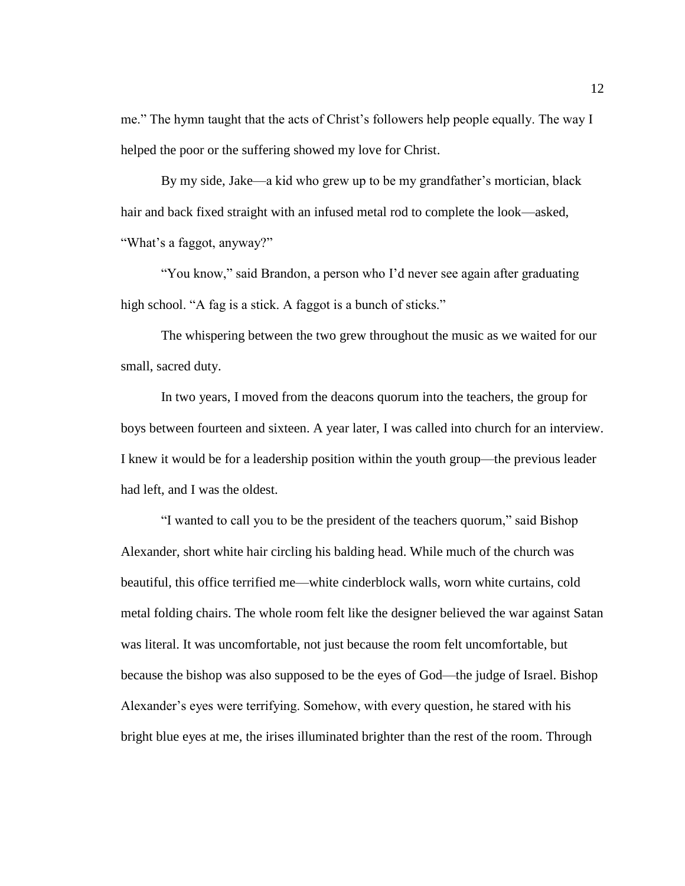me." The hymn taught that the acts of Christ's followers help people equally. The way I helped the poor or the suffering showed my love for Christ.

By my side, Jake—a kid who grew up to be my grandfather's mortician, black hair and back fixed straight with an infused metal rod to complete the look—asked, "What's a faggot, anyway?"

"You know," said Brandon, a person who I'd never see again after graduating high school. "A fag is a stick. A faggot is a bunch of sticks."

The whispering between the two grew throughout the music as we waited for our small, sacred duty.

In two years, I moved from the deacons quorum into the teachers, the group for boys between fourteen and sixteen. A year later, I was called into church for an interview. I knew it would be for a leadership position within the youth group—the previous leader had left, and I was the oldest.

"I wanted to call you to be the president of the teachers quorum," said Bishop Alexander, short white hair circling his balding head. While much of the church was beautiful, this office terrified me—white cinderblock walls, worn white curtains, cold metal folding chairs. The whole room felt like the designer believed the war against Satan was literal. It was uncomfortable, not just because the room felt uncomfortable, but because the bishop was also supposed to be the eyes of God—the judge of Israel. Bishop Alexander's eyes were terrifying. Somehow, with every question, he stared with his bright blue eyes at me, the irises illuminated brighter than the rest of the room. Through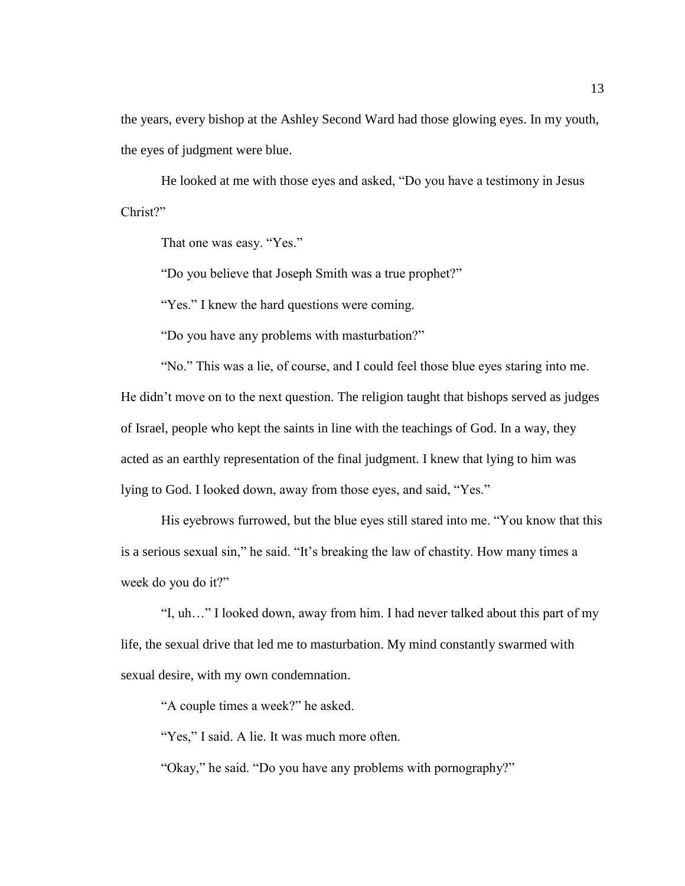the years, every bishop at the Ashley Second Ward had those glowing eyes. In my youth, the eyes of judgment were blue.

He looked at me with those eyes and asked, "Do you have a testimony in Jesus Christ?"

That one was easy. "Yes."

"Do you believe that Joseph Smith was a true prophet?"

"Yes." I knew the hard questions were coming.

"Do you have any problems with masturbation?"

"No." This was a lie, of course, and I could feel those blue eyes staring into me. He didn't move on to the next question. The religion taught that bishops served as judges of Israel, people who kept the saints in line with the teachings of God. In a way, they acted as an earthly representation of the final judgment. I knew that lying to him was lying to God. I looked down, away from those eyes, and said, "Yes."

His eyebrows furrowed, but the blue eyes still stared into me. "You know that this is a serious sexual sin," he said. "It's breaking the law of chastity. How many times a week do you do it?"

"I, uh…" I looked down, away from him. I had never talked about this part of my life, the sexual drive that led me to masturbation. My mind constantly swarmed with sexual desire, with my own condemnation.

"A couple times a week?" he asked.

"Yes," I said. A lie. It was much more often.

"Okay," he said. "Do you have any problems with pornography?"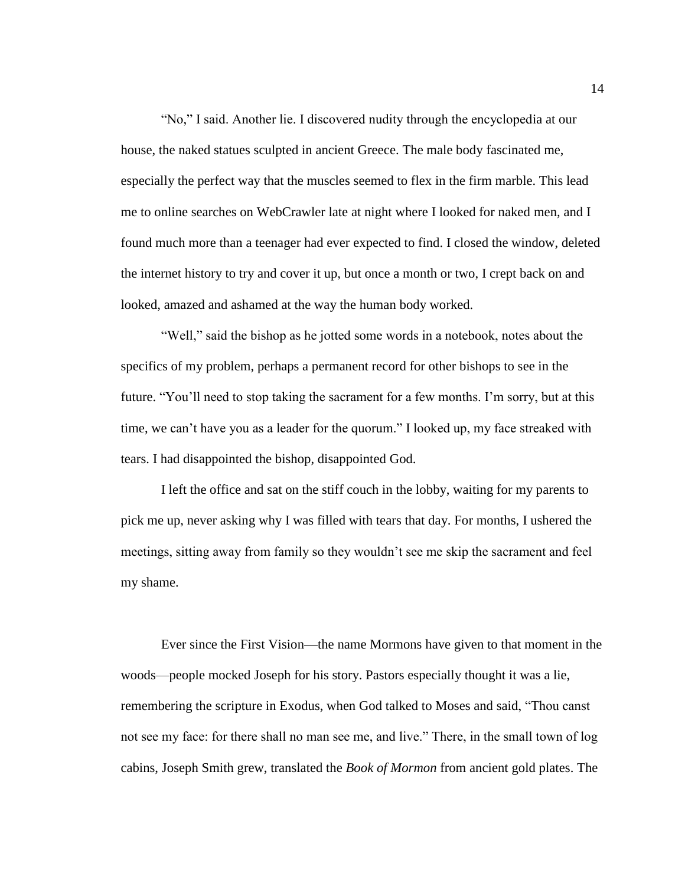"No," I said. Another lie. I discovered nudity through the encyclopedia at our house, the naked statues sculpted in ancient Greece. The male body fascinated me, especially the perfect way that the muscles seemed to flex in the firm marble. This lead me to online searches on WebCrawler late at night where I looked for naked men, and I found much more than a teenager had ever expected to find. I closed the window, deleted the internet history to try and cover it up, but once a month or two, I crept back on and looked, amazed and ashamed at the way the human body worked.

"Well," said the bishop as he jotted some words in a notebook, notes about the specifics of my problem, perhaps a permanent record for other bishops to see in the future. "You'll need to stop taking the sacrament for a few months. I'm sorry, but at this time, we can't have you as a leader for the quorum." I looked up, my face streaked with tears. I had disappointed the bishop, disappointed God.

I left the office and sat on the stiff couch in the lobby, waiting for my parents to pick me up, never asking why I was filled with tears that day. For months, I ushered the meetings, sitting away from family so they wouldn't see me skip the sacrament and feel my shame.

Ever since the First Vision—the name Mormons have given to that moment in the woods—people mocked Joseph for his story. Pastors especially thought it was a lie, remembering the scripture in Exodus, when God talked to Moses and said, "Thou canst not see my face: for there shall no man see me, and live." There, in the small town of log cabins, Joseph Smith grew, translated the *Book of Mormon* from ancient gold plates. The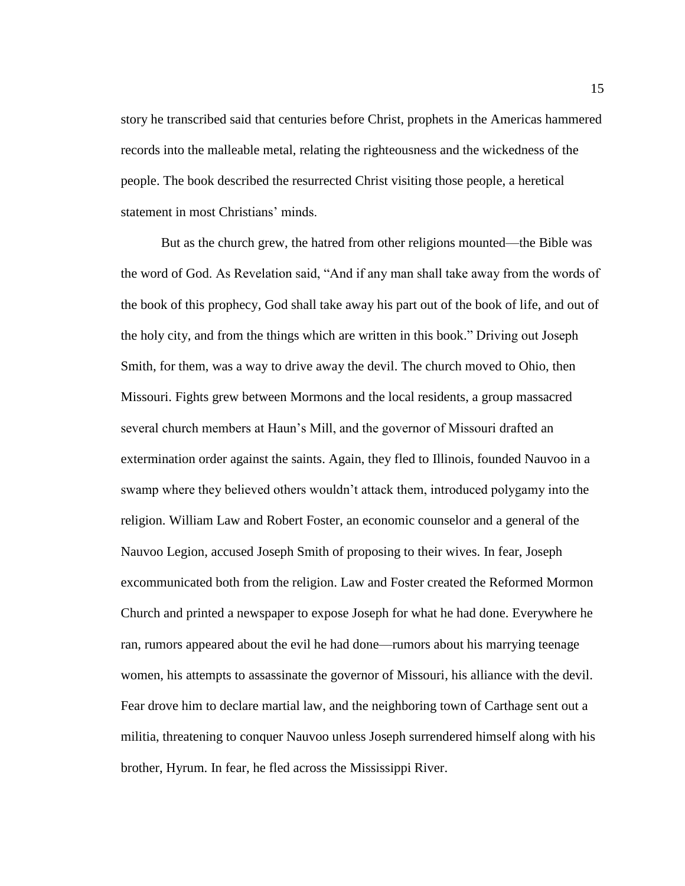story he transcribed said that centuries before Christ, prophets in the Americas hammered records into the malleable metal, relating the righteousness and the wickedness of the people. The book described the resurrected Christ visiting those people, a heretical statement in most Christians' minds.

But as the church grew, the hatred from other religions mounted—the Bible was the word of God. As Revelation said, "And if any man shall take away from the words of the book of this prophecy, God shall take away his part out of the book of life, and out of the holy city, and from the things which are written in this book." Driving out Joseph Smith, for them, was a way to drive away the devil. The church moved to Ohio, then Missouri. Fights grew between Mormons and the local residents, a group massacred several church members at Haun's Mill, and the governor of Missouri drafted an extermination order against the saints. Again, they fled to Illinois, founded Nauvoo in a swamp where they believed others wouldn't attack them, introduced polygamy into the religion. William Law and Robert Foster, an economic counselor and a general of the Nauvoo Legion, accused Joseph Smith of proposing to their wives. In fear, Joseph excommunicated both from the religion. Law and Foster created the Reformed Mormon Church and printed a newspaper to expose Joseph for what he had done. Everywhere he ran, rumors appeared about the evil he had done—rumors about his marrying teenage women, his attempts to assassinate the governor of Missouri, his alliance with the devil. Fear drove him to declare martial law, and the neighboring town of Carthage sent out a militia, threatening to conquer Nauvoo unless Joseph surrendered himself along with his brother, Hyrum. In fear, he fled across the Mississippi River.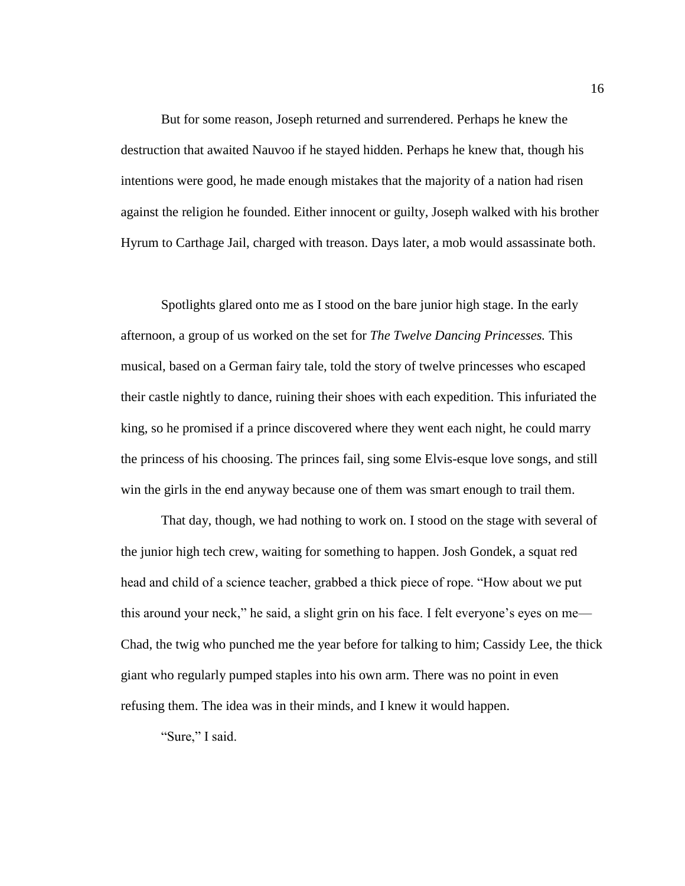But for some reason, Joseph returned and surrendered. Perhaps he knew the destruction that awaited Nauvoo if he stayed hidden. Perhaps he knew that, though his intentions were good, he made enough mistakes that the majority of a nation had risen against the religion he founded. Either innocent or guilty, Joseph walked with his brother Hyrum to Carthage Jail, charged with treason. Days later, a mob would assassinate both.

Spotlights glared onto me as I stood on the bare junior high stage. In the early afternoon, a group of us worked on the set for *The Twelve Dancing Princesses.* This musical, based on a German fairy tale, told the story of twelve princesses who escaped their castle nightly to dance, ruining their shoes with each expedition. This infuriated the king, so he promised if a prince discovered where they went each night, he could marry the princess of his choosing. The princes fail, sing some Elvis-esque love songs, and still win the girls in the end anyway because one of them was smart enough to trail them.

That day, though, we had nothing to work on. I stood on the stage with several of the junior high tech crew, waiting for something to happen. Josh Gondek, a squat red head and child of a science teacher, grabbed a thick piece of rope. "How about we put this around your neck," he said, a slight grin on his face. I felt everyone's eyes on me— Chad, the twig who punched me the year before for talking to him; Cassidy Lee, the thick giant who regularly pumped staples into his own arm. There was no point in even refusing them. The idea was in their minds, and I knew it would happen.

"Sure," I said.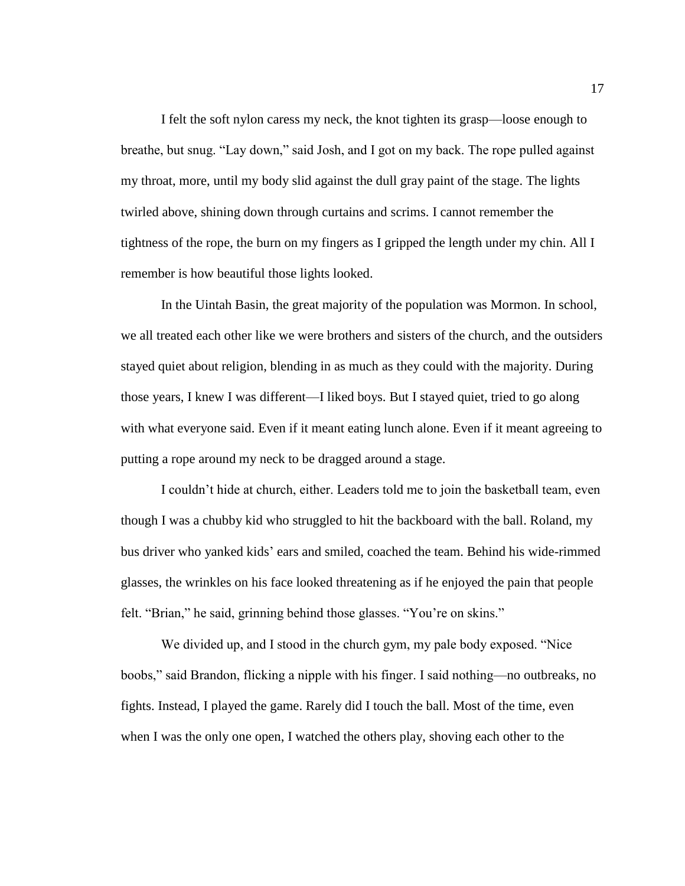I felt the soft nylon caress my neck, the knot tighten its grasp—loose enough to breathe, but snug. "Lay down," said Josh, and I got on my back. The rope pulled against my throat, more, until my body slid against the dull gray paint of the stage. The lights twirled above, shining down through curtains and scrims. I cannot remember the tightness of the rope, the burn on my fingers as I gripped the length under my chin. All I remember is how beautiful those lights looked.

In the Uintah Basin, the great majority of the population was Mormon. In school, we all treated each other like we were brothers and sisters of the church, and the outsiders stayed quiet about religion, blending in as much as they could with the majority. During those years, I knew I was different—I liked boys. But I stayed quiet, tried to go along with what everyone said. Even if it meant eating lunch alone. Even if it meant agreeing to putting a rope around my neck to be dragged around a stage.

I couldn't hide at church, either. Leaders told me to join the basketball team, even though I was a chubby kid who struggled to hit the backboard with the ball. Roland, my bus driver who yanked kids' ears and smiled, coached the team. Behind his wide-rimmed glasses, the wrinkles on his face looked threatening as if he enjoyed the pain that people felt. "Brian," he said, grinning behind those glasses. "You're on skins."

We divided up, and I stood in the church gym, my pale body exposed. "Nice boobs," said Brandon, flicking a nipple with his finger. I said nothing—no outbreaks, no fights. Instead, I played the game. Rarely did I touch the ball. Most of the time, even when I was the only one open, I watched the others play, shoving each other to the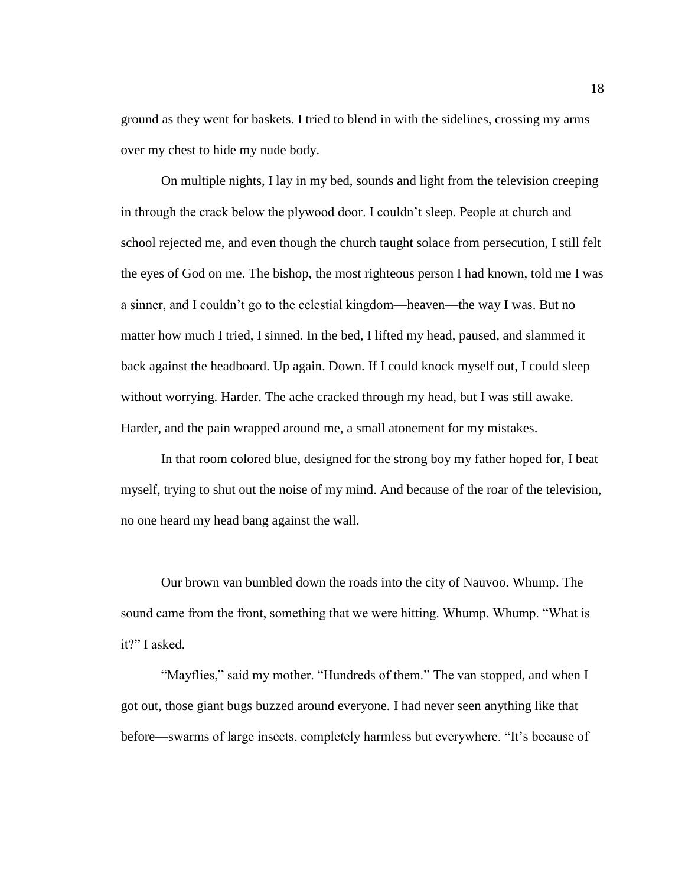ground as they went for baskets. I tried to blend in with the sidelines, crossing my arms over my chest to hide my nude body.

On multiple nights, I lay in my bed, sounds and light from the television creeping in through the crack below the plywood door. I couldn't sleep. People at church and school rejected me, and even though the church taught solace from persecution, I still felt the eyes of God on me. The bishop, the most righteous person I had known, told me I was a sinner, and I couldn't go to the celestial kingdom—heaven—the way I was. But no matter how much I tried, I sinned. In the bed, I lifted my head, paused, and slammed it back against the headboard. Up again. Down. If I could knock myself out, I could sleep without worrying. Harder. The ache cracked through my head, but I was still awake. Harder, and the pain wrapped around me, a small atonement for my mistakes.

In that room colored blue, designed for the strong boy my father hoped for, I beat myself, trying to shut out the noise of my mind. And because of the roar of the television, no one heard my head bang against the wall.

Our brown van bumbled down the roads into the city of Nauvoo. Whump. The sound came from the front, something that we were hitting. Whump. Whump. "What is it?" I asked.

"Mayflies," said my mother. "Hundreds of them." The van stopped, and when I got out, those giant bugs buzzed around everyone. I had never seen anything like that before—swarms of large insects, completely harmless but everywhere. "It's because of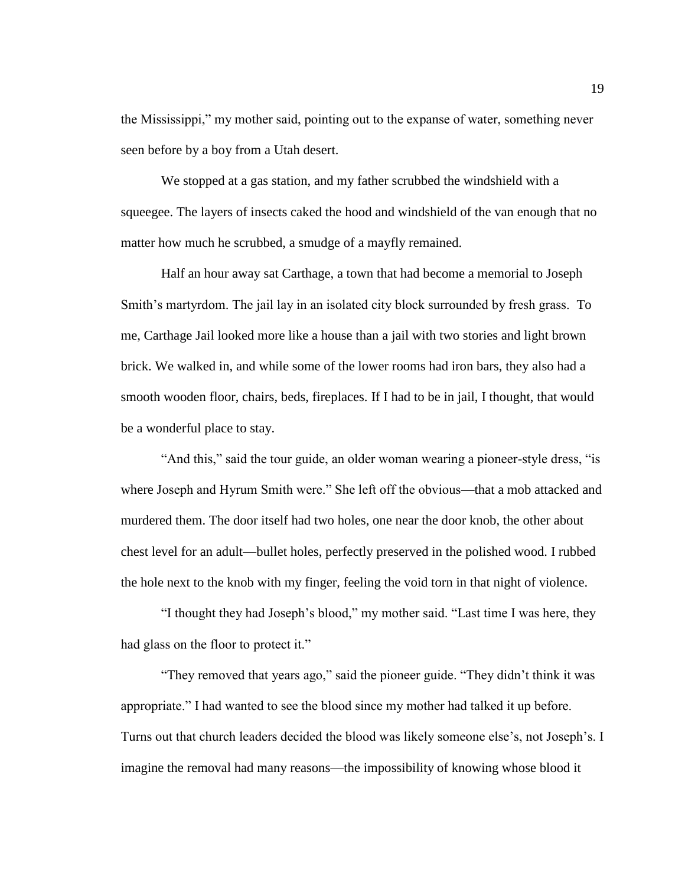the Mississippi," my mother said, pointing out to the expanse of water, something never seen before by a boy from a Utah desert.

We stopped at a gas station, and my father scrubbed the windshield with a squeegee. The layers of insects caked the hood and windshield of the van enough that no matter how much he scrubbed, a smudge of a mayfly remained.

Half an hour away sat Carthage, a town that had become a memorial to Joseph Smith's martyrdom. The jail lay in an isolated city block surrounded by fresh grass. To me, Carthage Jail looked more like a house than a jail with two stories and light brown brick. We walked in, and while some of the lower rooms had iron bars, they also had a smooth wooden floor, chairs, beds, fireplaces. If I had to be in jail, I thought, that would be a wonderful place to stay.

"And this," said the tour guide, an older woman wearing a pioneer-style dress, "is where Joseph and Hyrum Smith were." She left off the obvious—that a mob attacked and murdered them. The door itself had two holes, one near the door knob, the other about chest level for an adult—bullet holes, perfectly preserved in the polished wood. I rubbed the hole next to the knob with my finger, feeling the void torn in that night of violence.

"I thought they had Joseph's blood," my mother said. "Last time I was here, they had glass on the floor to protect it."

"They removed that years ago," said the pioneer guide. "They didn't think it was appropriate." I had wanted to see the blood since my mother had talked it up before. Turns out that church leaders decided the blood was likely someone else's, not Joseph's. I imagine the removal had many reasons—the impossibility of knowing whose blood it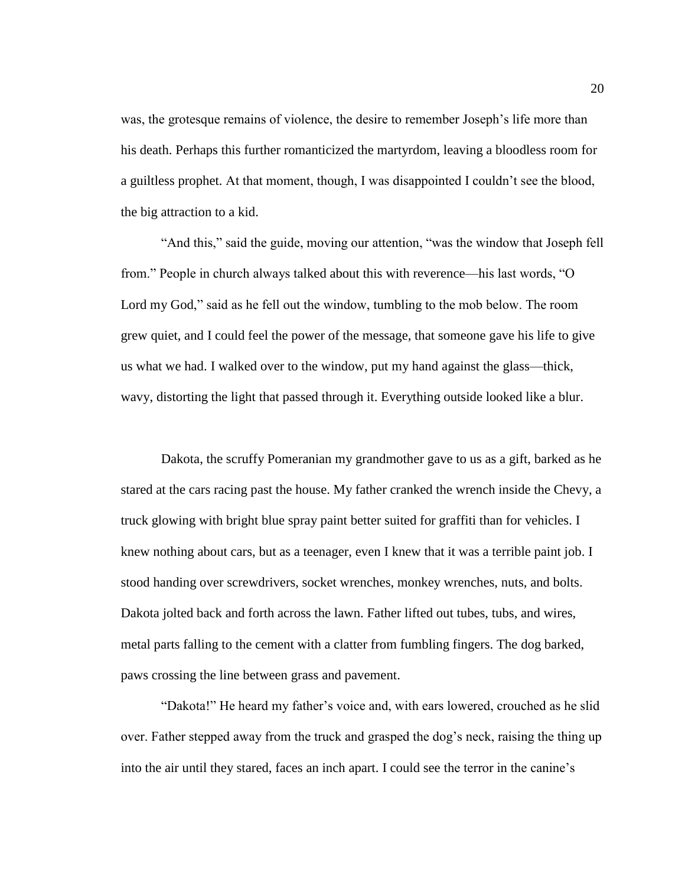was, the grotesque remains of violence, the desire to remember Joseph's life more than his death. Perhaps this further romanticized the martyrdom, leaving a bloodless room for a guiltless prophet. At that moment, though, I was disappointed I couldn't see the blood, the big attraction to a kid.

"And this," said the guide, moving our attention, "was the window that Joseph fell from." People in church always talked about this with reverence—his last words, "O Lord my God," said as he fell out the window, tumbling to the mob below. The room grew quiet, and I could feel the power of the message, that someone gave his life to give us what we had. I walked over to the window, put my hand against the glass—thick, wavy, distorting the light that passed through it. Everything outside looked like a blur.

Dakota, the scruffy Pomeranian my grandmother gave to us as a gift, barked as he stared at the cars racing past the house. My father cranked the wrench inside the Chevy, a truck glowing with bright blue spray paint better suited for graffiti than for vehicles. I knew nothing about cars, but as a teenager, even I knew that it was a terrible paint job. I stood handing over screwdrivers, socket wrenches, monkey wrenches, nuts, and bolts. Dakota jolted back and forth across the lawn. Father lifted out tubes, tubs, and wires, metal parts falling to the cement with a clatter from fumbling fingers. The dog barked, paws crossing the line between grass and pavement.

"Dakota!" He heard my father's voice and, with ears lowered, crouched as he slid over. Father stepped away from the truck and grasped the dog's neck, raising the thing up into the air until they stared, faces an inch apart. I could see the terror in the canine's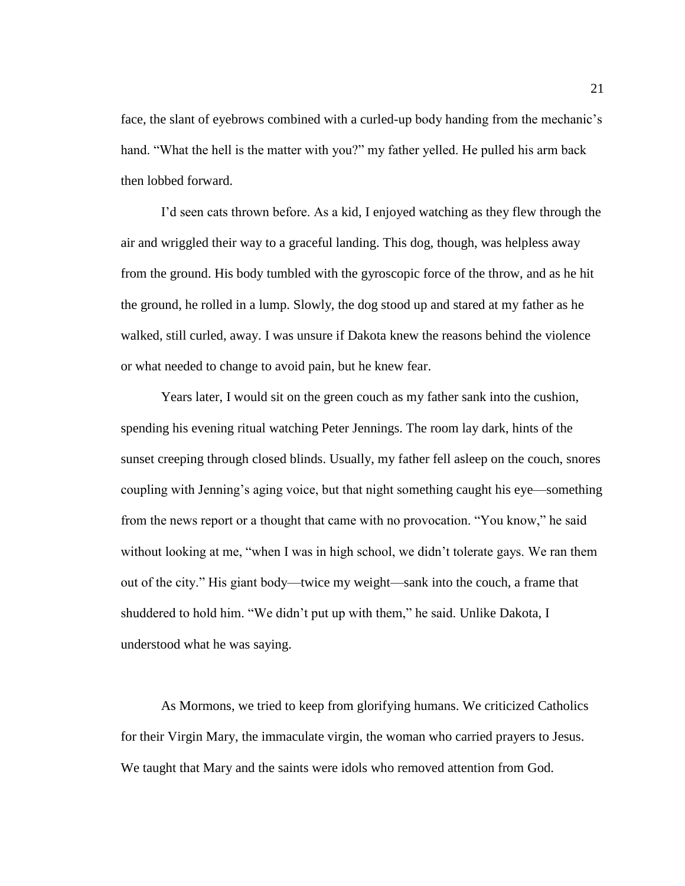face, the slant of eyebrows combined with a curled-up body handing from the mechanic's hand. "What the hell is the matter with you?" my father yelled. He pulled his arm back then lobbed forward.

I'd seen cats thrown before. As a kid, I enjoyed watching as they flew through the air and wriggled their way to a graceful landing. This dog, though, was helpless away from the ground. His body tumbled with the gyroscopic force of the throw, and as he hit the ground, he rolled in a lump. Slowly, the dog stood up and stared at my father as he walked, still curled, away. I was unsure if Dakota knew the reasons behind the violence or what needed to change to avoid pain, but he knew fear.

Years later, I would sit on the green couch as my father sank into the cushion, spending his evening ritual watching Peter Jennings. The room lay dark, hints of the sunset creeping through closed blinds. Usually, my father fell asleep on the couch, snores coupling with Jenning's aging voice, but that night something caught his eye—something from the news report or a thought that came with no provocation. "You know," he said without looking at me, "when I was in high school, we didn't tolerate gays. We ran them out of the city." His giant body—twice my weight—sank into the couch, a frame that shuddered to hold him. "We didn't put up with them," he said. Unlike Dakota, I understood what he was saying.

As Mormons, we tried to keep from glorifying humans. We criticized Catholics for their Virgin Mary, the immaculate virgin, the woman who carried prayers to Jesus. We taught that Mary and the saints were idols who removed attention from God.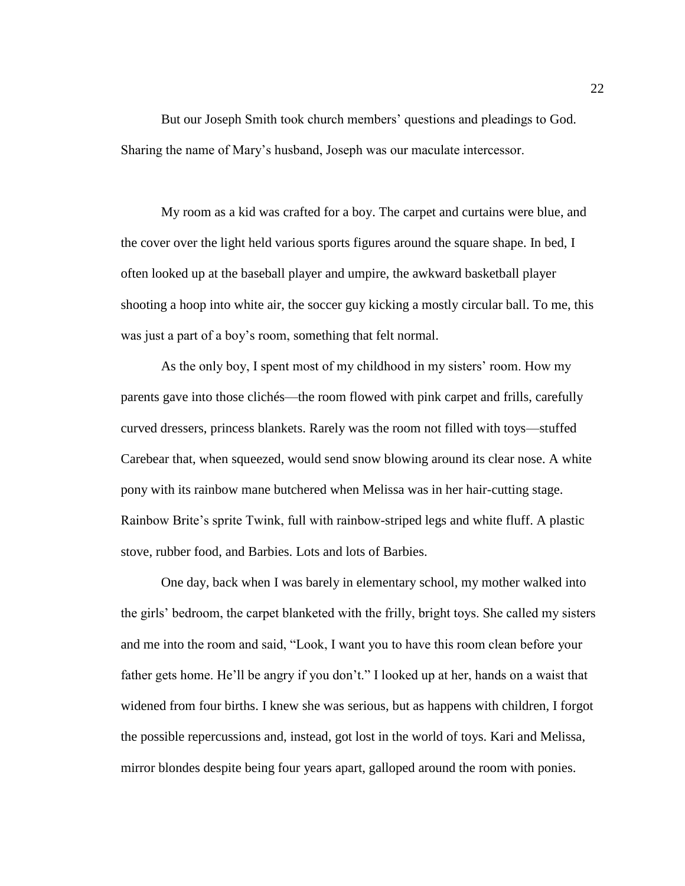But our Joseph Smith took church members' questions and pleadings to God. Sharing the name of Mary's husband, Joseph was our maculate intercessor.

My room as a kid was crafted for a boy. The carpet and curtains were blue, and the cover over the light held various sports figures around the square shape. In bed, I often looked up at the baseball player and umpire, the awkward basketball player shooting a hoop into white air, the soccer guy kicking a mostly circular ball. To me, this was just a part of a boy's room, something that felt normal.

As the only boy, I spent most of my childhood in my sisters' room. How my parents gave into those clichés—the room flowed with pink carpet and frills, carefully curved dressers, princess blankets. Rarely was the room not filled with toys—stuffed Carebear that, when squeezed, would send snow blowing around its clear nose. A white pony with its rainbow mane butchered when Melissa was in her hair-cutting stage. Rainbow Brite's sprite Twink, full with rainbow-striped legs and white fluff. A plastic stove, rubber food, and Barbies. Lots and lots of Barbies.

One day, back when I was barely in elementary school, my mother walked into the girls' bedroom, the carpet blanketed with the frilly, bright toys. She called my sisters and me into the room and said, "Look, I want you to have this room clean before your father gets home. He'll be angry if you don't." I looked up at her, hands on a waist that widened from four births. I knew she was serious, but as happens with children, I forgot the possible repercussions and, instead, got lost in the world of toys. Kari and Melissa, mirror blondes despite being four years apart, galloped around the room with ponies.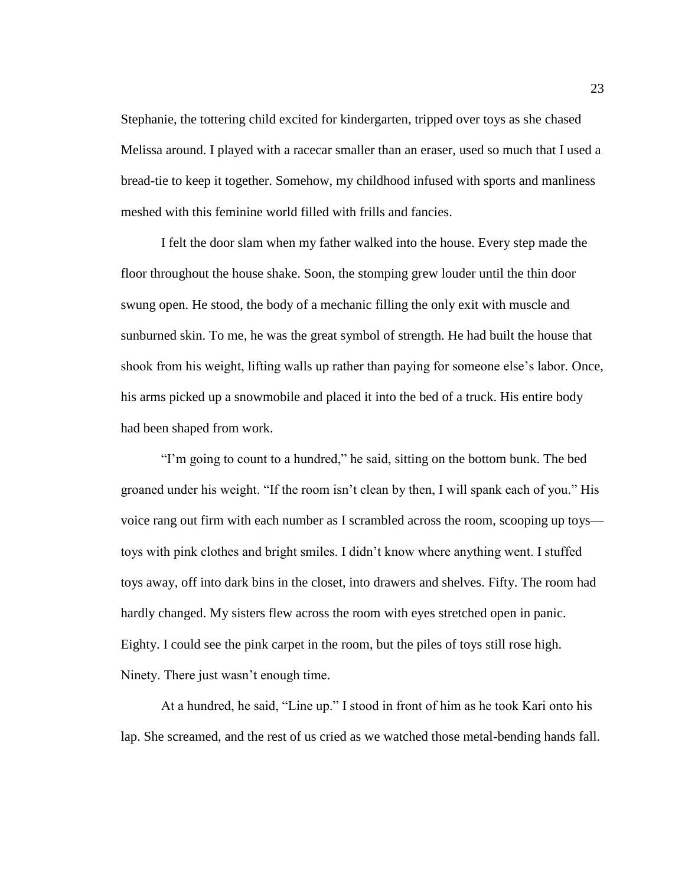Stephanie, the tottering child excited for kindergarten, tripped over toys as she chased Melissa around. I played with a racecar smaller than an eraser, used so much that I used a bread-tie to keep it together. Somehow, my childhood infused with sports and manliness meshed with this feminine world filled with frills and fancies.

I felt the door slam when my father walked into the house. Every step made the floor throughout the house shake. Soon, the stomping grew louder until the thin door swung open. He stood, the body of a mechanic filling the only exit with muscle and sunburned skin. To me, he was the great symbol of strength. He had built the house that shook from his weight, lifting walls up rather than paying for someone else's labor. Once, his arms picked up a snowmobile and placed it into the bed of a truck. His entire body had been shaped from work.

"I'm going to count to a hundred," he said, sitting on the bottom bunk. The bed groaned under his weight. "If the room isn't clean by then, I will spank each of you." His voice rang out firm with each number as I scrambled across the room, scooping up toys toys with pink clothes and bright smiles. I didn't know where anything went. I stuffed toys away, off into dark bins in the closet, into drawers and shelves. Fifty. The room had hardly changed. My sisters flew across the room with eyes stretched open in panic. Eighty. I could see the pink carpet in the room, but the piles of toys still rose high. Ninety. There just wasn't enough time.

At a hundred, he said, "Line up." I stood in front of him as he took Kari onto his lap. She screamed, and the rest of us cried as we watched those metal-bending hands fall.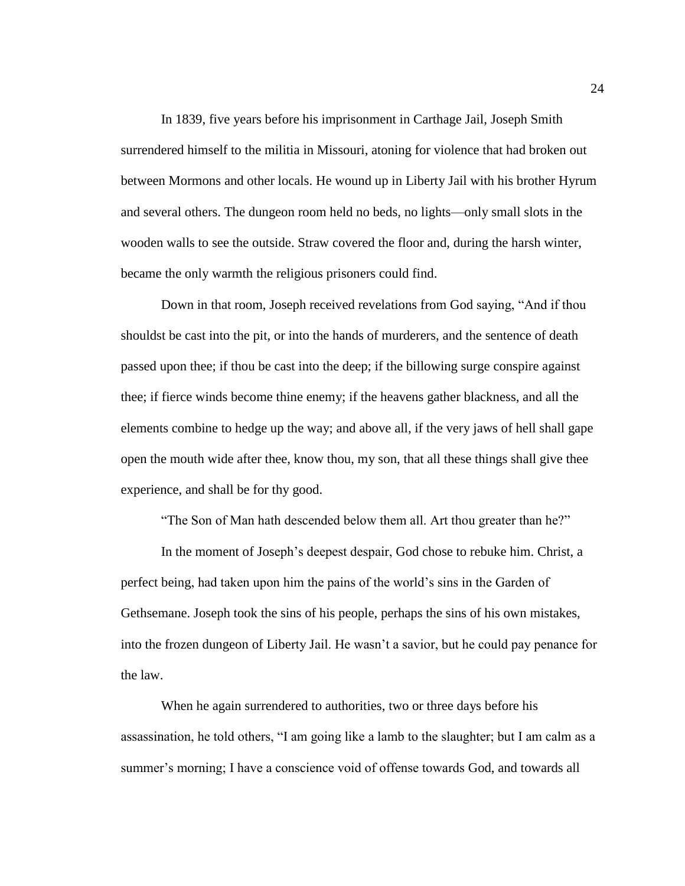In 1839, five years before his imprisonment in Carthage Jail, Joseph Smith surrendered himself to the militia in Missouri, atoning for violence that had broken out between Mormons and other locals. He wound up in Liberty Jail with his brother Hyrum and several others. The dungeon room held no beds, no lights—only small slots in the wooden walls to see the outside. Straw covered the floor and, during the harsh winter, became the only warmth the religious prisoners could find.

Down in that room, Joseph received revelations from God saying, "And if thou shouldst be cast into the pit, or into the hands of murderers, and the sentence of death passed upon thee; if thou be cast into the deep; if the billowing surge conspire against thee; if fierce winds become thine enemy; if the heavens gather blackness, and all the elements combine to hedge up the way; and above all, if the very jaws of hell shall gape open the mouth wide after thee, know thou, my son, that all these things shall give thee experience, and shall be for thy good.

"The Son of Man hath descended below them all. Art thou greater than he?"

In the moment of Joseph's deepest despair, God chose to rebuke him. Christ, a perfect being, had taken upon him the pains of the world's sins in the Garden of Gethsemane. Joseph took the sins of his people, perhaps the sins of his own mistakes, into the frozen dungeon of Liberty Jail. He wasn't a savior, but he could pay penance for the law.

When he again surrendered to authorities, two or three days before his assassination, he told others, "I am going like a lamb to the slaughter; but I am calm as a summer's morning; I have a conscience void of offense towards God, and towards all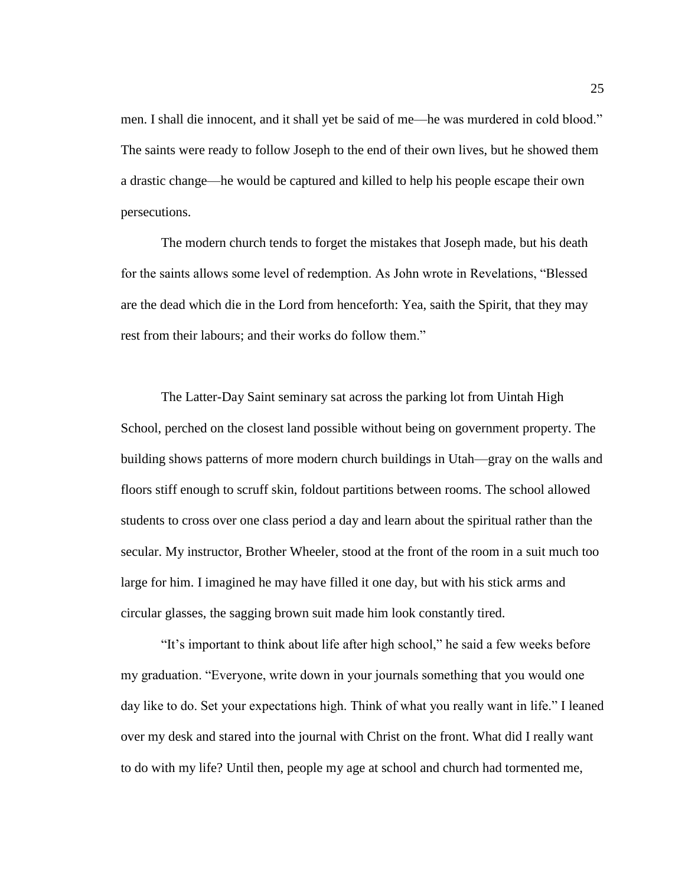men. I shall die innocent, and it shall yet be said of me—he was murdered in cold blood." The saints were ready to follow Joseph to the end of their own lives, but he showed them a drastic change—he would be captured and killed to help his people escape their own persecutions.

The modern church tends to forget the mistakes that Joseph made, but his death for the saints allows some level of redemption. As John wrote in Revelations, "Blessed are the dead which die in the Lord from henceforth: Yea, saith the Spirit, that they may rest from their labours; and their works do follow them."

The Latter-Day Saint seminary sat across the parking lot from Uintah High School, perched on the closest land possible without being on government property. The building shows patterns of more modern church buildings in Utah—gray on the walls and floors stiff enough to scruff skin, foldout partitions between rooms. The school allowed students to cross over one class period a day and learn about the spiritual rather than the secular. My instructor, Brother Wheeler, stood at the front of the room in a suit much too large for him. I imagined he may have filled it one day, but with his stick arms and circular glasses, the sagging brown suit made him look constantly tired.

"It's important to think about life after high school," he said a few weeks before my graduation. "Everyone, write down in your journals something that you would one day like to do. Set your expectations high. Think of what you really want in life." I leaned over my desk and stared into the journal with Christ on the front. What did I really want to do with my life? Until then, people my age at school and church had tormented me,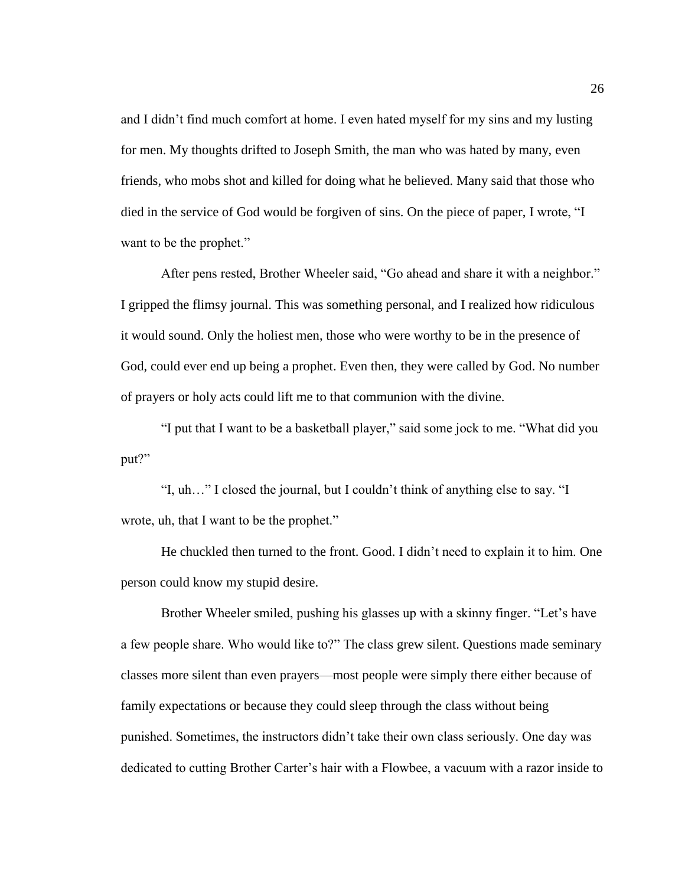and I didn't find much comfort at home. I even hated myself for my sins and my lusting for men. My thoughts drifted to Joseph Smith, the man who was hated by many, even friends, who mobs shot and killed for doing what he believed. Many said that those who died in the service of God would be forgiven of sins. On the piece of paper, I wrote, "I want to be the prophet."

After pens rested, Brother Wheeler said, "Go ahead and share it with a neighbor." I gripped the flimsy journal. This was something personal, and I realized how ridiculous it would sound. Only the holiest men, those who were worthy to be in the presence of God, could ever end up being a prophet. Even then, they were called by God. No number of prayers or holy acts could lift me to that communion with the divine.

"I put that I want to be a basketball player," said some jock to me. "What did you put?"

"I, uh…" I closed the journal, but I couldn't think of anything else to say. "I wrote, uh, that I want to be the prophet."

He chuckled then turned to the front. Good. I didn't need to explain it to him. One person could know my stupid desire.

Brother Wheeler smiled, pushing his glasses up with a skinny finger. "Let's have a few people share. Who would like to?" The class grew silent. Questions made seminary classes more silent than even prayers—most people were simply there either because of family expectations or because they could sleep through the class without being punished. Sometimes, the instructors didn't take their own class seriously. One day was dedicated to cutting Brother Carter's hair with a Flowbee, a vacuum with a razor inside to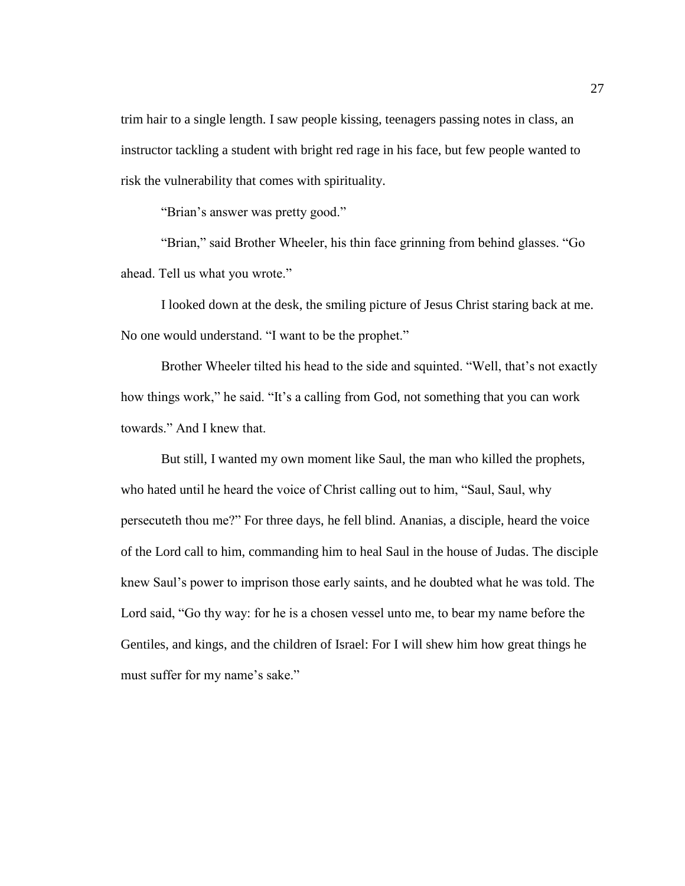trim hair to a single length. I saw people kissing, teenagers passing notes in class, an instructor tackling a student with bright red rage in his face, but few people wanted to risk the vulnerability that comes with spirituality.

"Brian's answer was pretty good."

"Brian," said Brother Wheeler, his thin face grinning from behind glasses. "Go ahead. Tell us what you wrote."

I looked down at the desk, the smiling picture of Jesus Christ staring back at me. No one would understand. "I want to be the prophet."

Brother Wheeler tilted his head to the side and squinted. "Well, that's not exactly how things work," he said. "It's a calling from God, not something that you can work towards." And I knew that.

But still, I wanted my own moment like Saul, the man who killed the prophets, who hated until he heard the voice of Christ calling out to him, "Saul, Saul, why persecuteth thou me?" For three days, he fell blind. Ananias, a disciple, heard the voice of the Lord call to him, commanding him to heal Saul in the house of Judas. The disciple knew Saul's power to imprison those early saints, and he doubted what he was told. The Lord said, "Go thy way: for he is a chosen vessel unto me, to bear my name before the Gentiles, and kings, and the children of Israel: For I will shew him how great things he must suffer for my name's sake."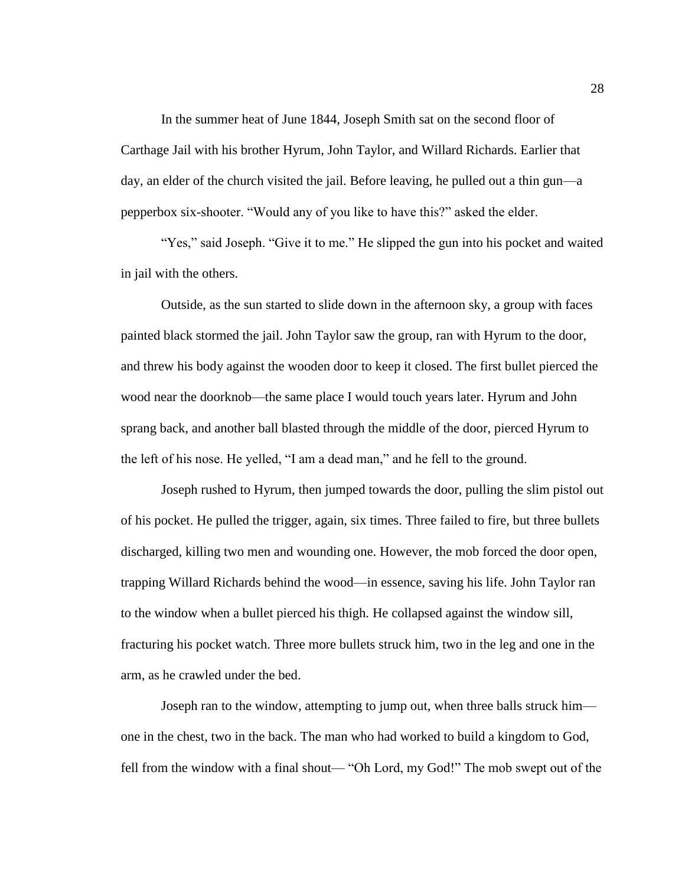In the summer heat of June 1844, Joseph Smith sat on the second floor of Carthage Jail with his brother Hyrum, John Taylor, and Willard Richards. Earlier that day, an elder of the church visited the jail. Before leaving, he pulled out a thin gun—a pepperbox six-shooter. "Would any of you like to have this?" asked the elder.

"Yes," said Joseph. "Give it to me." He slipped the gun into his pocket and waited in jail with the others.

Outside, as the sun started to slide down in the afternoon sky, a group with faces painted black stormed the jail. John Taylor saw the group, ran with Hyrum to the door, and threw his body against the wooden door to keep it closed. The first bullet pierced the wood near the doorknob—the same place I would touch years later. Hyrum and John sprang back, and another ball blasted through the middle of the door, pierced Hyrum to the left of his nose. He yelled, "I am a dead man," and he fell to the ground.

Joseph rushed to Hyrum, then jumped towards the door, pulling the slim pistol out of his pocket. He pulled the trigger, again, six times. Three failed to fire, but three bullets discharged, killing two men and wounding one. However, the mob forced the door open, trapping Willard Richards behind the wood—in essence, saving his life. John Taylor ran to the window when a bullet pierced his thigh. He collapsed against the window sill, fracturing his pocket watch. Three more bullets struck him, two in the leg and one in the arm, as he crawled under the bed.

Joseph ran to the window, attempting to jump out, when three balls struck him one in the chest, two in the back. The man who had worked to build a kingdom to God, fell from the window with a final shout— "Oh Lord, my God!" The mob swept out of the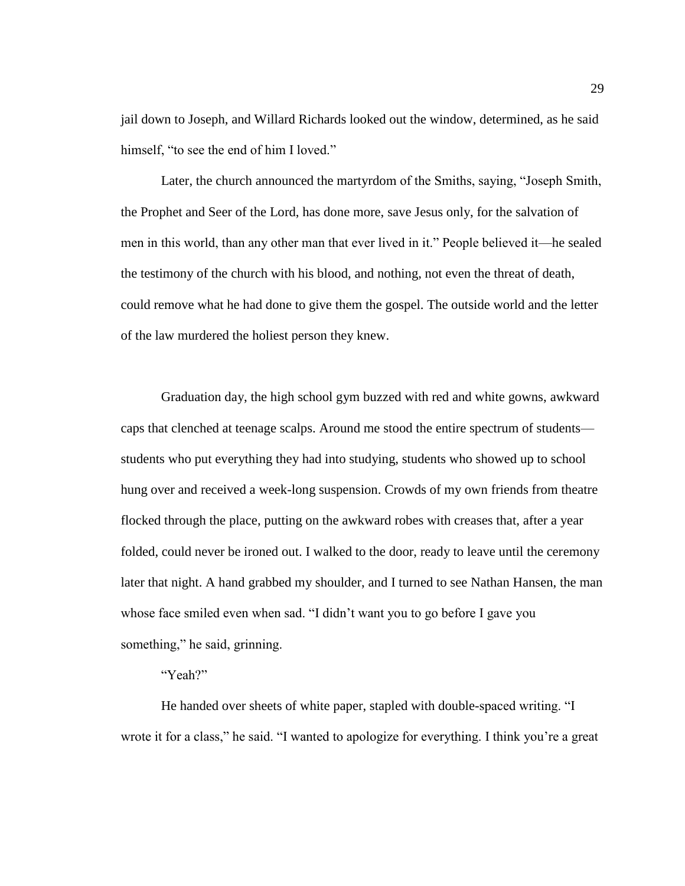jail down to Joseph, and Willard Richards looked out the window, determined, as he said himself, "to see the end of him I loved."

Later, the church announced the martyrdom of the Smiths, saying, "Joseph Smith, the Prophet and Seer of the Lord, has done more, save Jesus only, for the salvation of men in this world, than any other man that ever lived in it." People believed it—he sealed the testimony of the church with his blood, and nothing, not even the threat of death, could remove what he had done to give them the gospel. The outside world and the letter of the law murdered the holiest person they knew.

Graduation day, the high school gym buzzed with red and white gowns, awkward caps that clenched at teenage scalps. Around me stood the entire spectrum of students students who put everything they had into studying, students who showed up to school hung over and received a week-long suspension. Crowds of my own friends from theatre flocked through the place, putting on the awkward robes with creases that, after a year folded, could never be ironed out. I walked to the door, ready to leave until the ceremony later that night. A hand grabbed my shoulder, and I turned to see Nathan Hansen, the man whose face smiled even when sad. "I didn't want you to go before I gave you something," he said, grinning.

# "Yeah?"

He handed over sheets of white paper, stapled with double-spaced writing. "I wrote it for a class," he said. "I wanted to apologize for everything. I think you're a great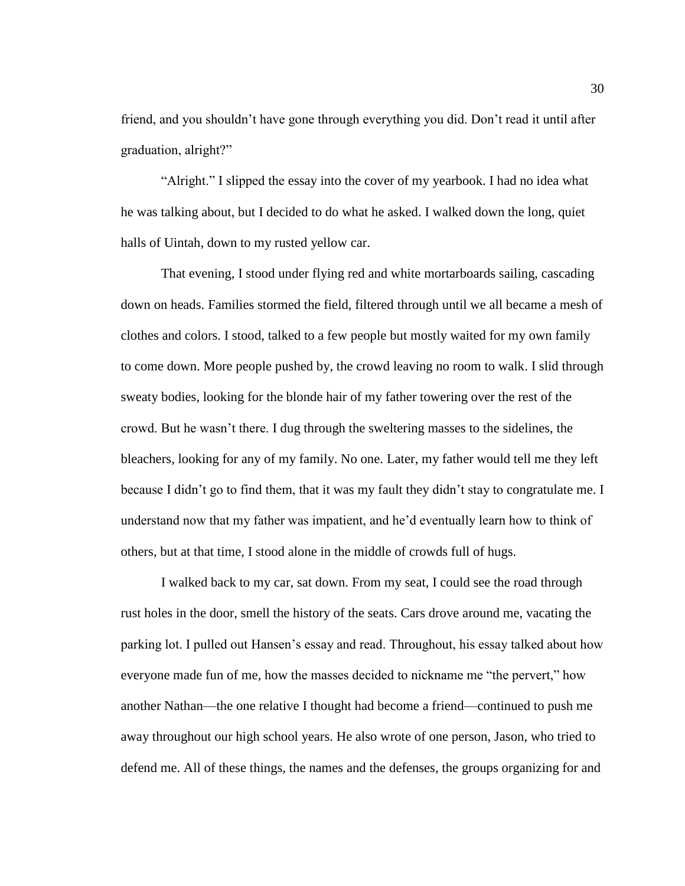friend, and you shouldn't have gone through everything you did. Don't read it until after graduation, alright?"

"Alright." I slipped the essay into the cover of my yearbook. I had no idea what he was talking about, but I decided to do what he asked. I walked down the long, quiet halls of Uintah, down to my rusted yellow car.

That evening, I stood under flying red and white mortarboards sailing, cascading down on heads. Families stormed the field, filtered through until we all became a mesh of clothes and colors. I stood, talked to a few people but mostly waited for my own family to come down. More people pushed by, the crowd leaving no room to walk. I slid through sweaty bodies, looking for the blonde hair of my father towering over the rest of the crowd. But he wasn't there. I dug through the sweltering masses to the sidelines, the bleachers, looking for any of my family. No one. Later, my father would tell me they left because I didn't go to find them, that it was my fault they didn't stay to congratulate me. I understand now that my father was impatient, and he'd eventually learn how to think of others, but at that time, I stood alone in the middle of crowds full of hugs.

I walked back to my car, sat down. From my seat, I could see the road through rust holes in the door, smell the history of the seats. Cars drove around me, vacating the parking lot. I pulled out Hansen's essay and read. Throughout, his essay talked about how everyone made fun of me, how the masses decided to nickname me "the pervert," how another Nathan—the one relative I thought had become a friend—continued to push me away throughout our high school years. He also wrote of one person, Jason, who tried to defend me. All of these things, the names and the defenses, the groups organizing for and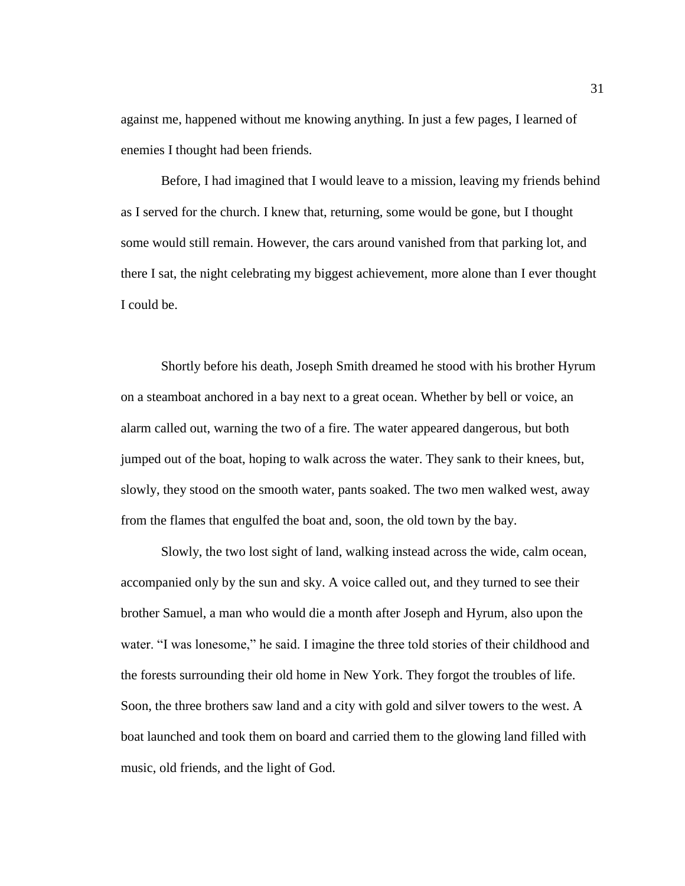against me, happened without me knowing anything. In just a few pages, I learned of enemies I thought had been friends.

Before, I had imagined that I would leave to a mission, leaving my friends behind as I served for the church. I knew that, returning, some would be gone, but I thought some would still remain. However, the cars around vanished from that parking lot, and there I sat, the night celebrating my biggest achievement, more alone than I ever thought I could be.

Shortly before his death, Joseph Smith dreamed he stood with his brother Hyrum on a steamboat anchored in a bay next to a great ocean. Whether by bell or voice, an alarm called out, warning the two of a fire. The water appeared dangerous, but both jumped out of the boat, hoping to walk across the water. They sank to their knees, but, slowly, they stood on the smooth water, pants soaked. The two men walked west, away from the flames that engulfed the boat and, soon, the old town by the bay.

Slowly, the two lost sight of land, walking instead across the wide, calm ocean, accompanied only by the sun and sky. A voice called out, and they turned to see their brother Samuel, a man who would die a month after Joseph and Hyrum, also upon the water. "I was lonesome," he said. I imagine the three told stories of their childhood and the forests surrounding their old home in New York. They forgot the troubles of life. Soon, the three brothers saw land and a city with gold and silver towers to the west. A boat launched and took them on board and carried them to the glowing land filled with music, old friends, and the light of God.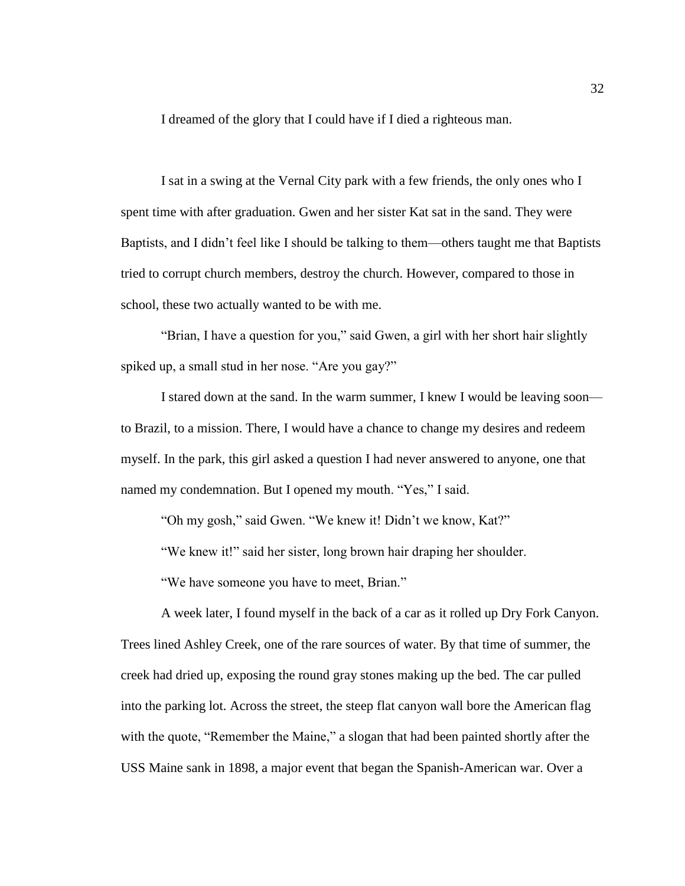I dreamed of the glory that I could have if I died a righteous man.

I sat in a swing at the Vernal City park with a few friends, the only ones who I spent time with after graduation. Gwen and her sister Kat sat in the sand. They were Baptists, and I didn't feel like I should be talking to them—others taught me that Baptists tried to corrupt church members, destroy the church. However, compared to those in school, these two actually wanted to be with me.

"Brian, I have a question for you," said Gwen, a girl with her short hair slightly spiked up, a small stud in her nose. "Are you gay?"

I stared down at the sand. In the warm summer, I knew I would be leaving soon to Brazil, to a mission. There, I would have a chance to change my desires and redeem myself. In the park, this girl asked a question I had never answered to anyone, one that named my condemnation. But I opened my mouth. "Yes," I said.

"Oh my gosh," said Gwen. "We knew it! Didn't we know, Kat?"

"We knew it!" said her sister, long brown hair draping her shoulder.

"We have someone you have to meet, Brian."

A week later, I found myself in the back of a car as it rolled up Dry Fork Canyon. Trees lined Ashley Creek, one of the rare sources of water. By that time of summer, the creek had dried up, exposing the round gray stones making up the bed. The car pulled into the parking lot. Across the street, the steep flat canyon wall bore the American flag with the quote, "Remember the Maine," a slogan that had been painted shortly after the USS Maine sank in 1898, a major event that began the Spanish-American war. Over a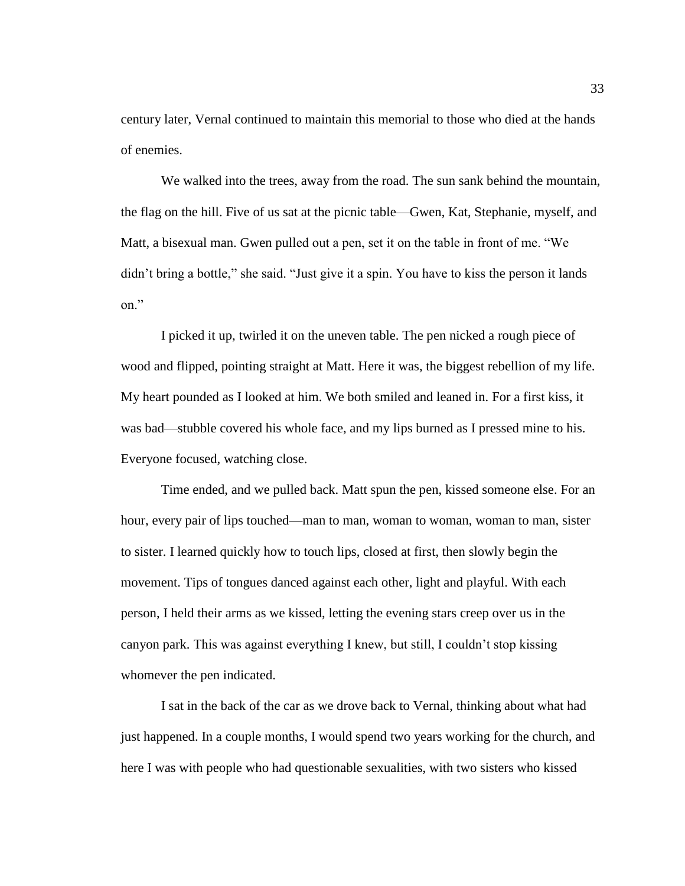century later, Vernal continued to maintain this memorial to those who died at the hands of enemies.

We walked into the trees, away from the road. The sun sank behind the mountain, the flag on the hill. Five of us sat at the picnic table—Gwen, Kat, Stephanie, myself, and Matt, a bisexual man. Gwen pulled out a pen, set it on the table in front of me. "We didn't bring a bottle," she said. "Just give it a spin. You have to kiss the person it lands on."

I picked it up, twirled it on the uneven table. The pen nicked a rough piece of wood and flipped, pointing straight at Matt. Here it was, the biggest rebellion of my life. My heart pounded as I looked at him. We both smiled and leaned in. For a first kiss, it was bad—stubble covered his whole face, and my lips burned as I pressed mine to his. Everyone focused, watching close.

Time ended, and we pulled back. Matt spun the pen, kissed someone else. For an hour, every pair of lips touched—man to man, woman to woman, woman to man, sister to sister. I learned quickly how to touch lips, closed at first, then slowly begin the movement. Tips of tongues danced against each other, light and playful. With each person, I held their arms as we kissed, letting the evening stars creep over us in the canyon park. This was against everything I knew, but still, I couldn't stop kissing whomever the pen indicated.

I sat in the back of the car as we drove back to Vernal, thinking about what had just happened. In a couple months, I would spend two years working for the church, and here I was with people who had questionable sexualities, with two sisters who kissed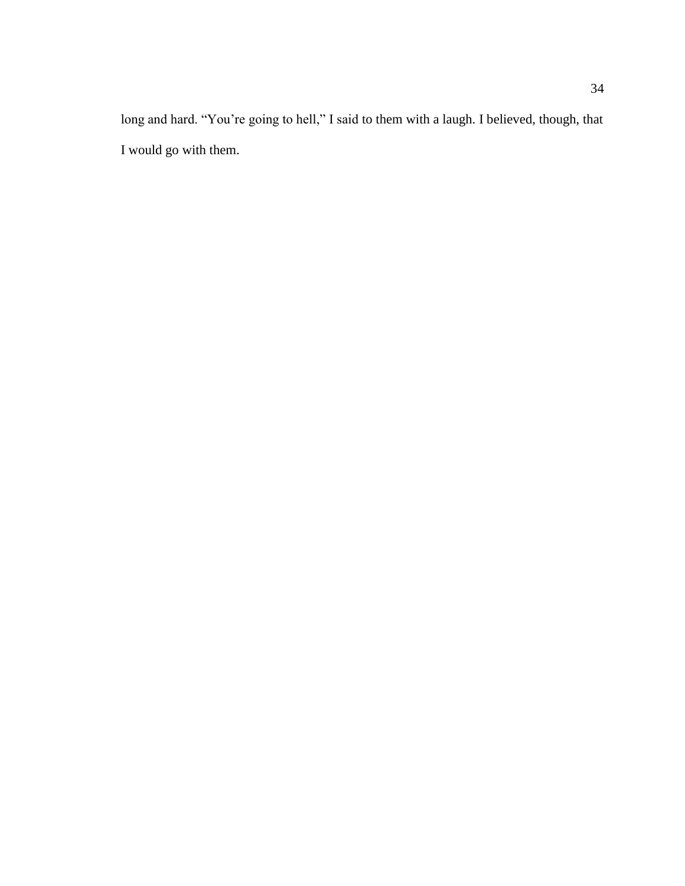long and hard. "You're going to hell," I said to them with a laugh. I believed, though, that I would go with them.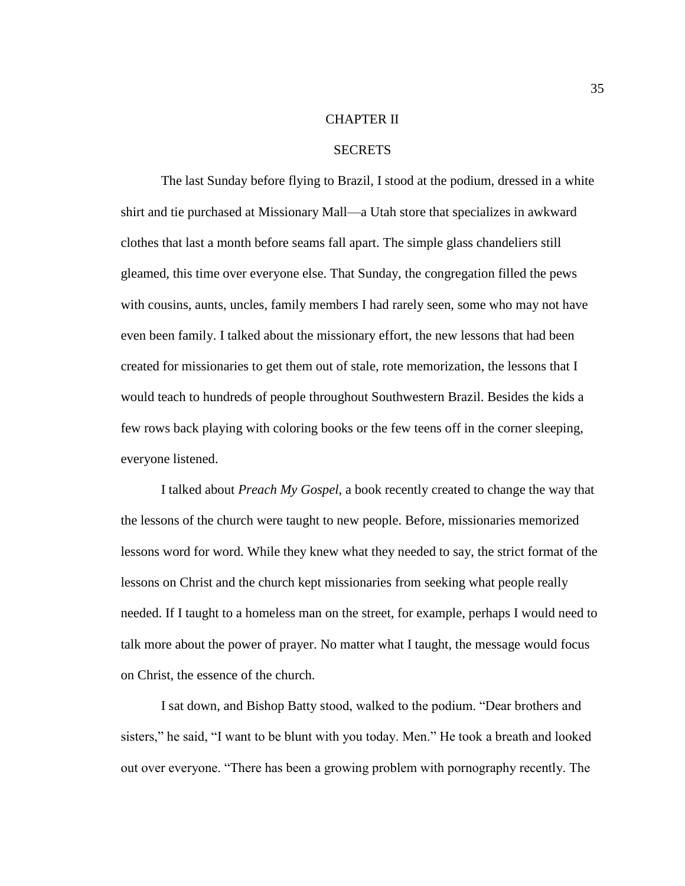## CHAPTER II

### **SECRETS**

The last Sunday before flying to Brazil, I stood at the podium, dressed in a white shirt and tie purchased at Missionary Mall—a Utah store that specializes in awkward clothes that last a month before seams fall apart. The simple glass chandeliers still gleamed, this time over everyone else. That Sunday, the congregation filled the pews with cousins, aunts, uncles, family members I had rarely seen, some who may not have even been family. I talked about the missionary effort, the new lessons that had been created for missionaries to get them out of stale, rote memorization, the lessons that I would teach to hundreds of people throughout Southwestern Brazil. Besides the kids a few rows back playing with coloring books or the few teens off in the corner sleeping, everyone listened.

I talked about *Preach My Gospel*, a book recently created to change the way that the lessons of the church were taught to new people. Before, missionaries memorized lessons word for word. While they knew what they needed to say, the strict format of the lessons on Christ and the church kept missionaries from seeking what people really needed. If I taught to a homeless man on the street, for example, perhaps I would need to talk more about the power of prayer. No matter what I taught, the message would focus on Christ, the essence of the church.

I sat down, and Bishop Batty stood, walked to the podium. "Dear brothers and sisters," he said, "I want to be blunt with you today. Men." He took a breath and looked out over everyone. "There has been a growing problem with pornography recently. The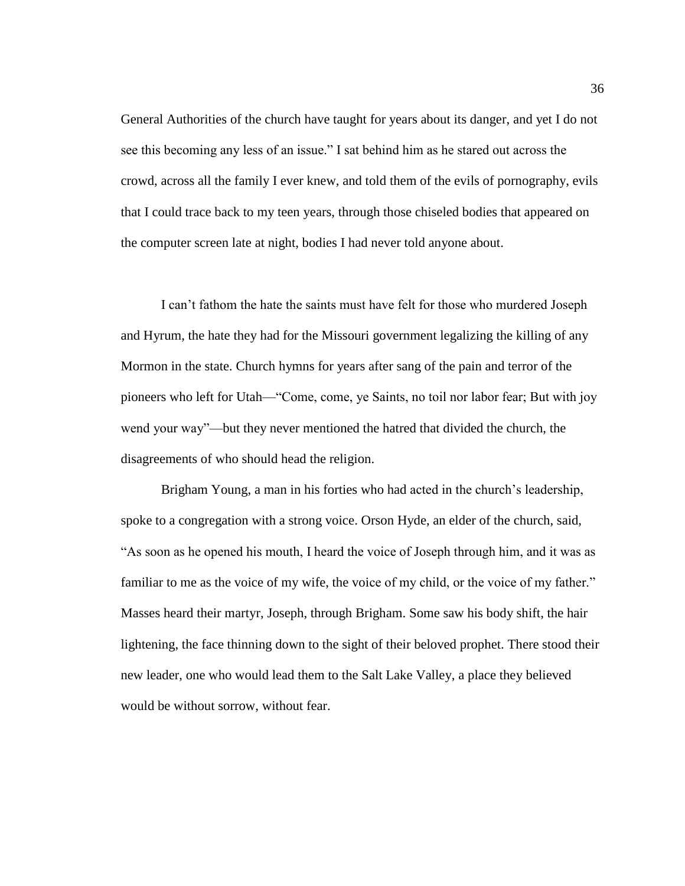General Authorities of the church have taught for years about its danger, and yet I do not see this becoming any less of an issue." I sat behind him as he stared out across the crowd, across all the family I ever knew, and told them of the evils of pornography, evils that I could trace back to my teen years, through those chiseled bodies that appeared on the computer screen late at night, bodies I had never told anyone about.

I can't fathom the hate the saints must have felt for those who murdered Joseph and Hyrum, the hate they had for the Missouri government legalizing the killing of any Mormon in the state. Church hymns for years after sang of the pain and terror of the pioneers who left for Utah—"Come, come, ye Saints, no toil nor labor fear; But with joy wend your way"—but they never mentioned the hatred that divided the church, the disagreements of who should head the religion.

Brigham Young, a man in his forties who had acted in the church's leadership, spoke to a congregation with a strong voice. Orson Hyde, an elder of the church, said, "As soon as he opened his mouth, I heard the voice of Joseph through him, and it was as familiar to me as the voice of my wife, the voice of my child, or the voice of my father." Masses heard their martyr, Joseph, through Brigham. Some saw his body shift, the hair lightening, the face thinning down to the sight of their beloved prophet. There stood their new leader, one who would lead them to the Salt Lake Valley, a place they believed would be without sorrow, without fear.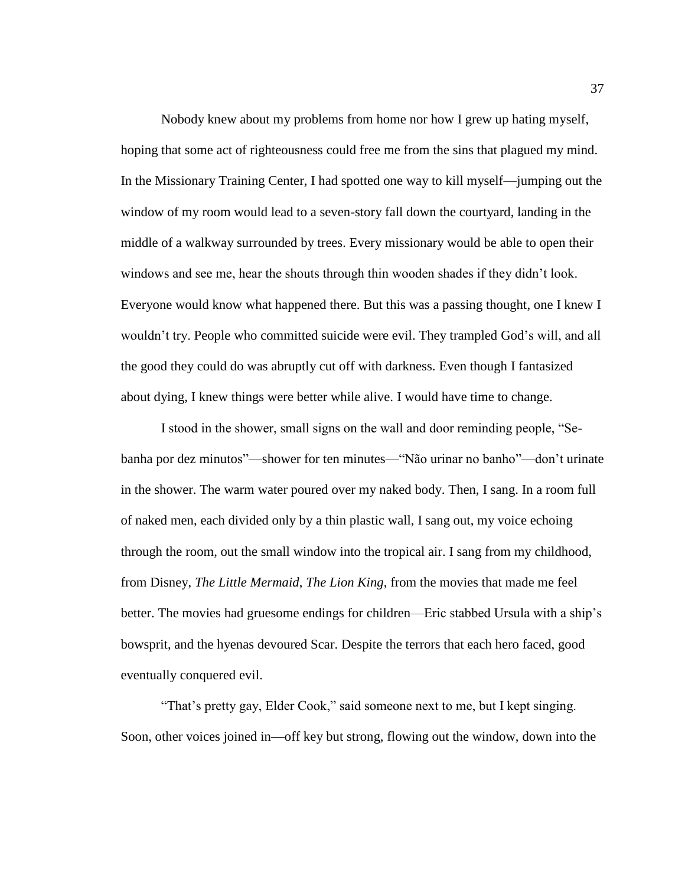Nobody knew about my problems from home nor how I grew up hating myself, hoping that some act of righteousness could free me from the sins that plagued my mind. In the Missionary Training Center, I had spotted one way to kill myself—jumping out the window of my room would lead to a seven-story fall down the courtyard, landing in the middle of a walkway surrounded by trees. Every missionary would be able to open their windows and see me, hear the shouts through thin wooden shades if they didn't look. Everyone would know what happened there. But this was a passing thought, one I knew I wouldn't try. People who committed suicide were evil. They trampled God's will, and all the good they could do was abruptly cut off with darkness. Even though I fantasized about dying, I knew things were better while alive. I would have time to change.

I stood in the shower, small signs on the wall and door reminding people, "Sebanha por dez minutos"—shower for ten minutes—"Não urinar no banho"—don't urinate in the shower. The warm water poured over my naked body. Then, I sang. In a room full of naked men, each divided only by a thin plastic wall, I sang out, my voice echoing through the room, out the small window into the tropical air. I sang from my childhood, from Disney, *The Little Mermaid*, *The Lion King*, from the movies that made me feel better. The movies had gruesome endings for children—Eric stabbed Ursula with a ship's bowsprit, and the hyenas devoured Scar. Despite the terrors that each hero faced, good eventually conquered evil.

"That's pretty gay, Elder Cook," said someone next to me, but I kept singing. Soon, other voices joined in—off key but strong, flowing out the window, down into the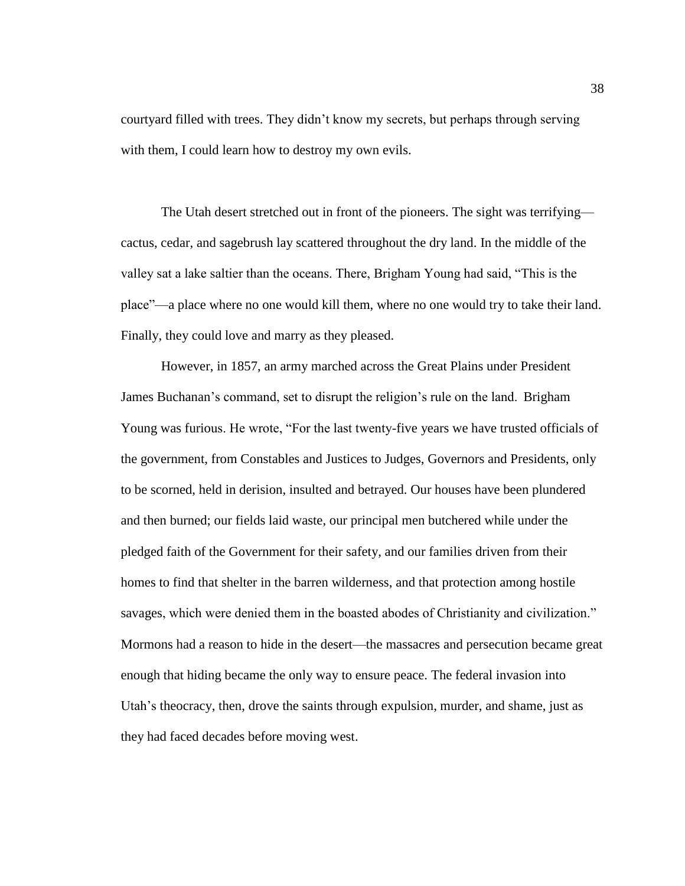courtyard filled with trees. They didn't know my secrets, but perhaps through serving with them, I could learn how to destroy my own evils.

The Utah desert stretched out in front of the pioneers. The sight was terrifying cactus, cedar, and sagebrush lay scattered throughout the dry land. In the middle of the valley sat a lake saltier than the oceans. There, Brigham Young had said, "This is the place"—a place where no one would kill them, where no one would try to take their land. Finally, they could love and marry as they pleased.

However, in 1857, an army marched across the Great Plains under President James Buchanan's command, set to disrupt the religion's rule on the land. Brigham Young was furious. He wrote, "For the last twenty-five years we have trusted officials of the government, from Constables and Justices to Judges, Governors and Presidents, only to be scorned, held in derision, insulted and betrayed. Our houses have been plundered and then burned; our fields laid waste, our principal men butchered while under the pledged faith of the Government for their safety, and our families driven from their homes to find that shelter in the barren wilderness, and that protection among hostile savages, which were denied them in the boasted abodes of Christianity and civilization." Mormons had a reason to hide in the desert—the massacres and persecution became great enough that hiding became the only way to ensure peace. The federal invasion into Utah's theocracy, then, drove the saints through expulsion, murder, and shame, just as they had faced decades before moving west.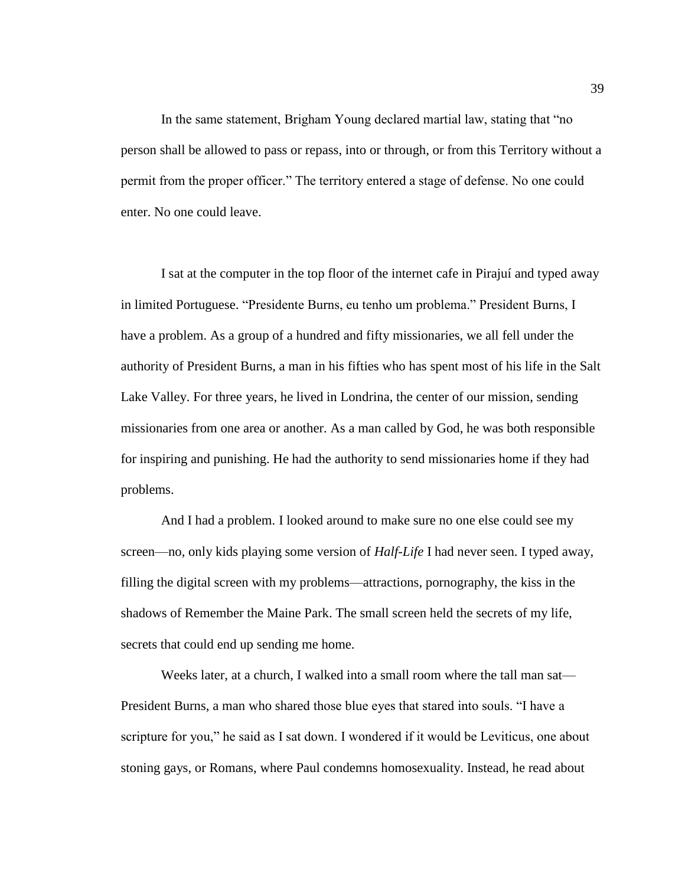In the same statement, Brigham Young declared martial law, stating that "no person shall be allowed to pass or repass, into or through, or from this Territory without a permit from the proper officer." The territory entered a stage of defense. No one could enter. No one could leave.

I sat at the computer in the top floor of the internet cafe in Pirajuí and typed away in limited Portuguese. "Presidente Burns, eu tenho um problema." President Burns, I have a problem. As a group of a hundred and fifty missionaries, we all fell under the authority of President Burns, a man in his fifties who has spent most of his life in the Salt Lake Valley. For three years, he lived in Londrina, the center of our mission, sending missionaries from one area or another. As a man called by God, he was both responsible for inspiring and punishing. He had the authority to send missionaries home if they had problems.

And I had a problem. I looked around to make sure no one else could see my screen—no, only kids playing some version of *Half-Life* I had never seen. I typed away, filling the digital screen with my problems—attractions, pornography, the kiss in the shadows of Remember the Maine Park. The small screen held the secrets of my life, secrets that could end up sending me home.

Weeks later, at a church, I walked into a small room where the tall man sat— President Burns, a man who shared those blue eyes that stared into souls. "I have a scripture for you," he said as I sat down. I wondered if it would be Leviticus, one about stoning gays, or Romans, where Paul condemns homosexuality. Instead, he read about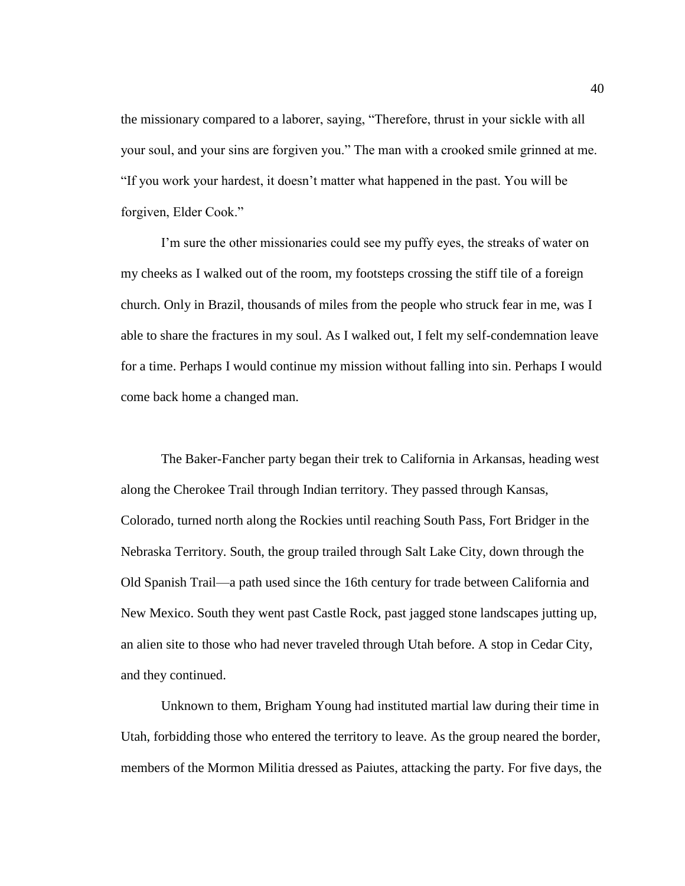the missionary compared to a laborer, saying, "Therefore, thrust in your sickle with all your soul, and your sins are forgiven you." The man with a crooked smile grinned at me. "If you work your hardest, it doesn't matter what happened in the past. You will be forgiven, Elder Cook."

I'm sure the other missionaries could see my puffy eyes, the streaks of water on my cheeks as I walked out of the room, my footsteps crossing the stiff tile of a foreign church. Only in Brazil, thousands of miles from the people who struck fear in me, was I able to share the fractures in my soul. As I walked out, I felt my self-condemnation leave for a time. Perhaps I would continue my mission without falling into sin. Perhaps I would come back home a changed man.

The Baker-Fancher party began their trek to California in Arkansas, heading west along the Cherokee Trail through Indian territory. They passed through Kansas, Colorado, turned north along the Rockies until reaching South Pass, Fort Bridger in the Nebraska Territory. South, the group trailed through Salt Lake City, down through the Old Spanish Trail—a path used since the 16th century for trade between California and New Mexico. South they went past Castle Rock, past jagged stone landscapes jutting up, an alien site to those who had never traveled through Utah before. A stop in Cedar City, and they continued.

Unknown to them, Brigham Young had instituted martial law during their time in Utah, forbidding those who entered the territory to leave. As the group neared the border, members of the Mormon Militia dressed as Paiutes, attacking the party. For five days, the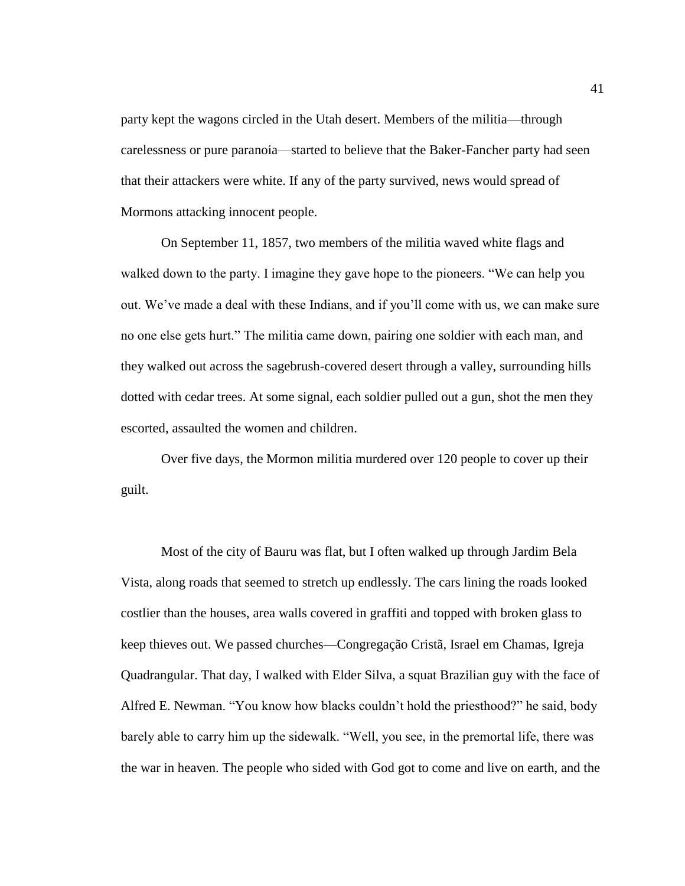party kept the wagons circled in the Utah desert. Members of the militia—through carelessness or pure paranoia—started to believe that the Baker-Fancher party had seen that their attackers were white. If any of the party survived, news would spread of Mormons attacking innocent people.

On September 11, 1857, two members of the militia waved white flags and walked down to the party. I imagine they gave hope to the pioneers. "We can help you out. We've made a deal with these Indians, and if you'll come with us, we can make sure no one else gets hurt." The militia came down, pairing one soldier with each man, and they walked out across the sagebrush-covered desert through a valley, surrounding hills dotted with cedar trees. At some signal, each soldier pulled out a gun, shot the men they escorted, assaulted the women and children.

Over five days, the Mormon militia murdered over 120 people to cover up their guilt.

Most of the city of Bauru was flat, but I often walked up through Jardim Bela Vista, along roads that seemed to stretch up endlessly. The cars lining the roads looked costlier than the houses, area walls covered in graffiti and topped with broken glass to keep thieves out. We passed churches—Congregação Cristã, Israel em Chamas, Igreja Quadrangular. That day, I walked with Elder Silva, a squat Brazilian guy with the face of Alfred E. Newman. "You know how blacks couldn't hold the priesthood?" he said, body barely able to carry him up the sidewalk. "Well, you see, in the premortal life, there was the war in heaven. The people who sided with God got to come and live on earth, and the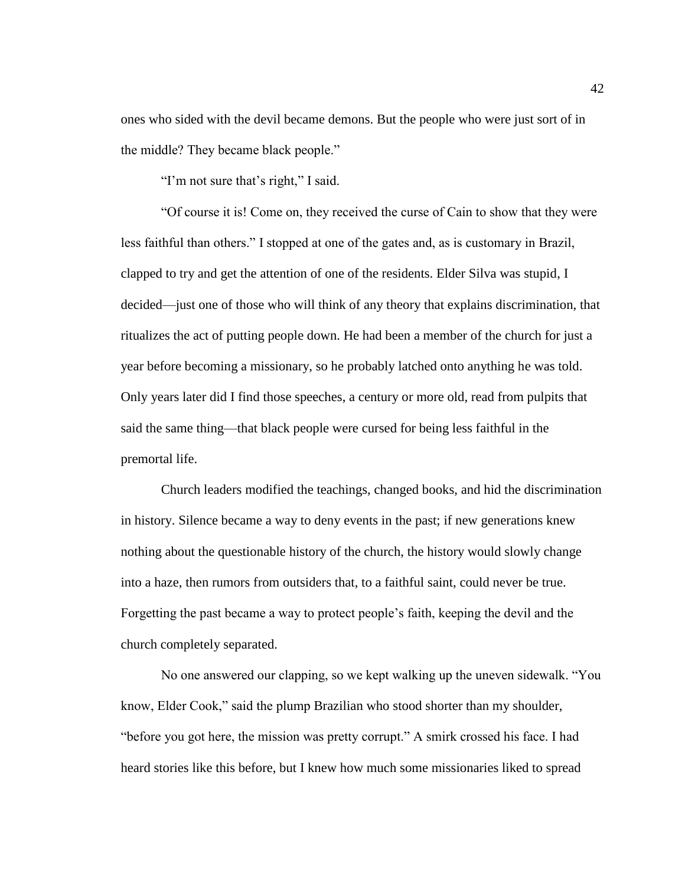ones who sided with the devil became demons. But the people who were just sort of in the middle? They became black people."

"I'm not sure that's right," I said.

"Of course it is! Come on, they received the curse of Cain to show that they were less faithful than others." I stopped at one of the gates and, as is customary in Brazil, clapped to try and get the attention of one of the residents. Elder Silva was stupid, I decided—just one of those who will think of any theory that explains discrimination, that ritualizes the act of putting people down. He had been a member of the church for just a year before becoming a missionary, so he probably latched onto anything he was told. Only years later did I find those speeches, a century or more old, read from pulpits that said the same thing—that black people were cursed for being less faithful in the premortal life.

Church leaders modified the teachings, changed books, and hid the discrimination in history. Silence became a way to deny events in the past; if new generations knew nothing about the questionable history of the church, the history would slowly change into a haze, then rumors from outsiders that, to a faithful saint, could never be true. Forgetting the past became a way to protect people's faith, keeping the devil and the church completely separated.

No one answered our clapping, so we kept walking up the uneven sidewalk. "You know, Elder Cook," said the plump Brazilian who stood shorter than my shoulder, "before you got here, the mission was pretty corrupt." A smirk crossed his face. I had heard stories like this before, but I knew how much some missionaries liked to spread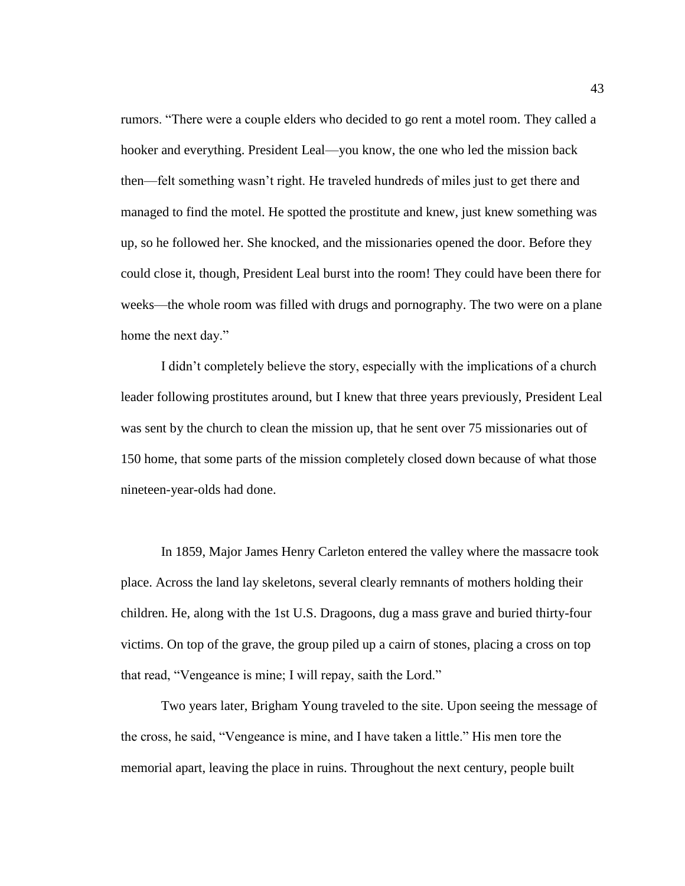rumors. "There were a couple elders who decided to go rent a motel room. They called a hooker and everything. President Leal—you know, the one who led the mission back then—felt something wasn't right. He traveled hundreds of miles just to get there and managed to find the motel. He spotted the prostitute and knew, just knew something was up, so he followed her. She knocked, and the missionaries opened the door. Before they could close it, though, President Leal burst into the room! They could have been there for weeks—the whole room was filled with drugs and pornography. The two were on a plane home the next day."

I didn't completely believe the story, especially with the implications of a church leader following prostitutes around, but I knew that three years previously, President Leal was sent by the church to clean the mission up, that he sent over 75 missionaries out of 150 home, that some parts of the mission completely closed down because of what those nineteen-year-olds had done.

In 1859, Major James Henry Carleton entered the valley where the massacre took place. Across the land lay skeletons, several clearly remnants of mothers holding their children. He, along with the 1st U.S. Dragoons, dug a mass grave and buried thirty-four victims. On top of the grave, the group piled up a cairn of stones, placing a cross on top that read, "Vengeance is mine; I will repay, saith the Lord."

Two years later, Brigham Young traveled to the site. Upon seeing the message of the cross, he said, "Vengeance is mine, and I have taken a little." His men tore the memorial apart, leaving the place in ruins. Throughout the next century, people built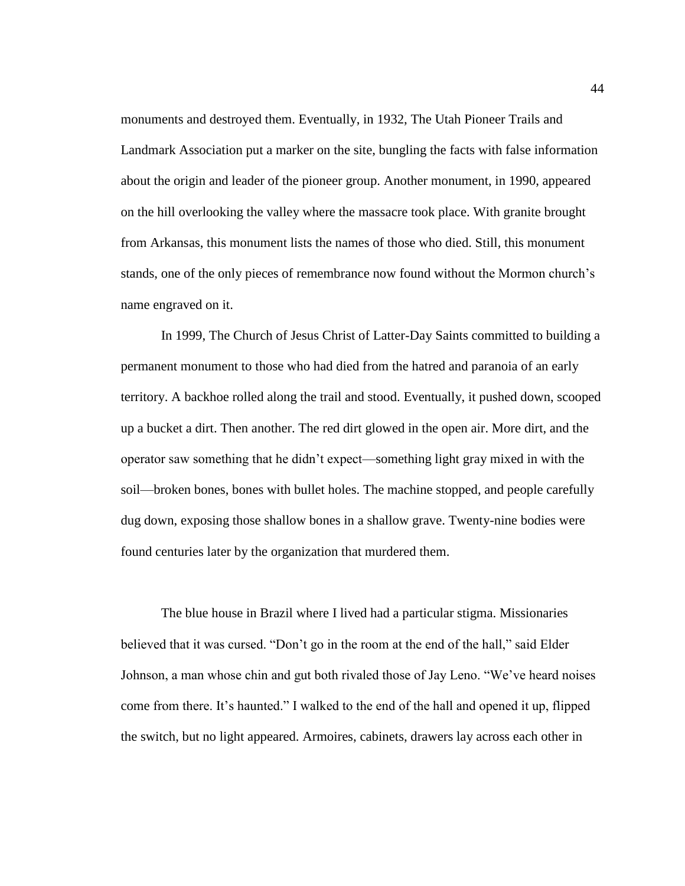monuments and destroyed them. Eventually, in 1932, The Utah Pioneer Trails and Landmark Association put a marker on the site, bungling the facts with false information about the origin and leader of the pioneer group. Another monument, in 1990, appeared on the hill overlooking the valley where the massacre took place. With granite brought from Arkansas, this monument lists the names of those who died. Still, this monument stands, one of the only pieces of remembrance now found without the Mormon church's name engraved on it.

In 1999, The Church of Jesus Christ of Latter-Day Saints committed to building a permanent monument to those who had died from the hatred and paranoia of an early territory. A backhoe rolled along the trail and stood. Eventually, it pushed down, scooped up a bucket a dirt. Then another. The red dirt glowed in the open air. More dirt, and the operator saw something that he didn't expect—something light gray mixed in with the soil—broken bones, bones with bullet holes. The machine stopped, and people carefully dug down, exposing those shallow bones in a shallow grave. Twenty-nine bodies were found centuries later by the organization that murdered them.

The blue house in Brazil where I lived had a particular stigma. Missionaries believed that it was cursed. "Don't go in the room at the end of the hall," said Elder Johnson, a man whose chin and gut both rivaled those of Jay Leno. "We've heard noises come from there. It's haunted." I walked to the end of the hall and opened it up, flipped the switch, but no light appeared. Armoires, cabinets, drawers lay across each other in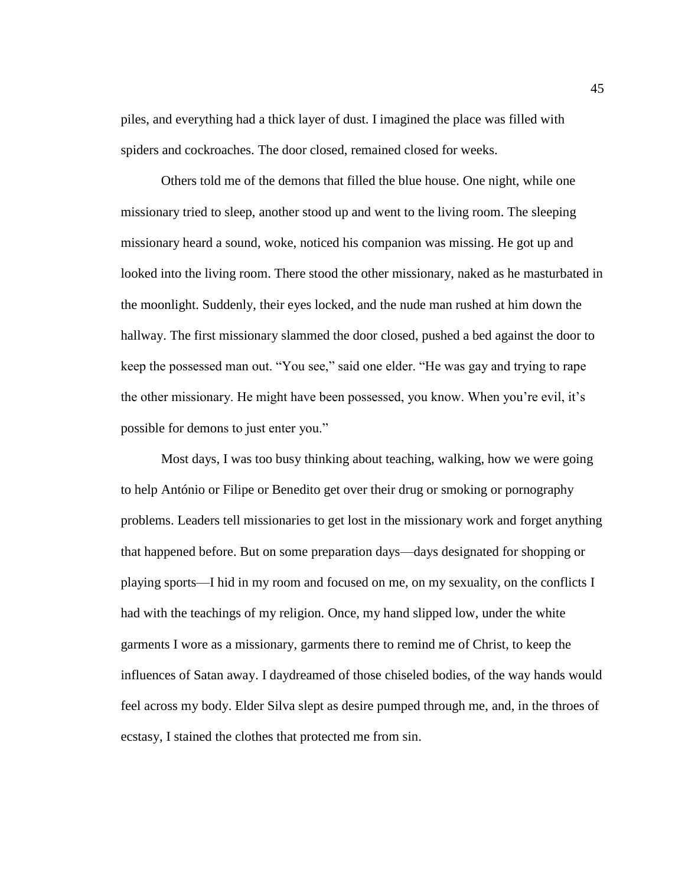piles, and everything had a thick layer of dust. I imagined the place was filled with spiders and cockroaches. The door closed, remained closed for weeks.

Others told me of the demons that filled the blue house. One night, while one missionary tried to sleep, another stood up and went to the living room. The sleeping missionary heard a sound, woke, noticed his companion was missing. He got up and looked into the living room. There stood the other missionary, naked as he masturbated in the moonlight. Suddenly, their eyes locked, and the nude man rushed at him down the hallway. The first missionary slammed the door closed, pushed a bed against the door to keep the possessed man out. "You see," said one elder. "He was gay and trying to rape the other missionary. He might have been possessed, you know. When you're evil, it's possible for demons to just enter you."

Most days, I was too busy thinking about teaching, walking, how we were going to help António or Filipe or Benedito get over their drug or smoking or pornography problems. Leaders tell missionaries to get lost in the missionary work and forget anything that happened before. But on some preparation days—days designated for shopping or playing sports—I hid in my room and focused on me, on my sexuality, on the conflicts I had with the teachings of my religion. Once, my hand slipped low, under the white garments I wore as a missionary, garments there to remind me of Christ, to keep the influences of Satan away. I daydreamed of those chiseled bodies, of the way hands would feel across my body. Elder Silva slept as desire pumped through me, and, in the throes of ecstasy, I stained the clothes that protected me from sin.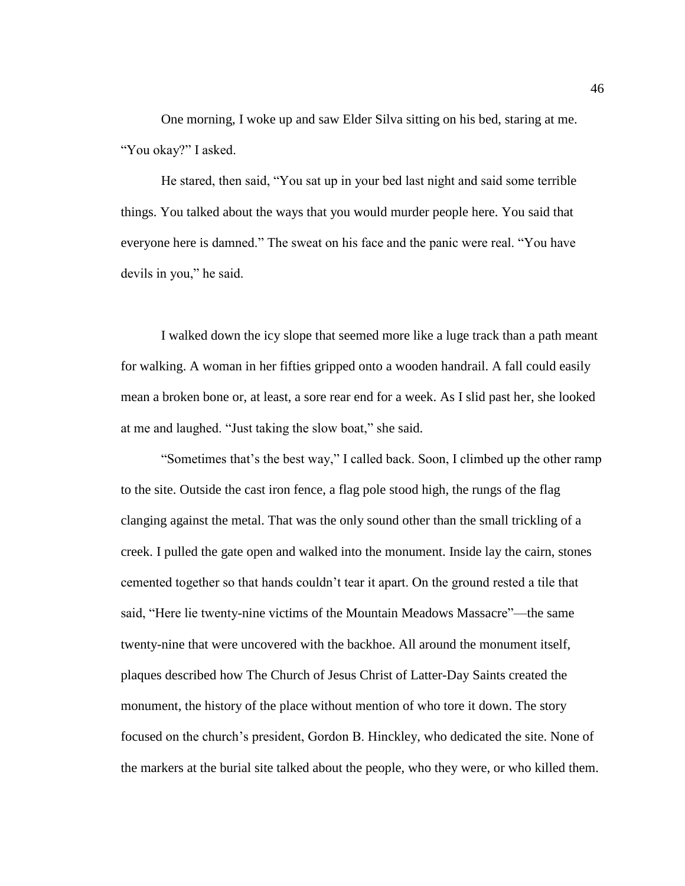One morning, I woke up and saw Elder Silva sitting on his bed, staring at me. "You okay?" I asked.

He stared, then said, "You sat up in your bed last night and said some terrible things. You talked about the ways that you would murder people here. You said that everyone here is damned." The sweat on his face and the panic were real. "You have devils in you," he said.

I walked down the icy slope that seemed more like a luge track than a path meant for walking. A woman in her fifties gripped onto a wooden handrail. A fall could easily mean a broken bone or, at least, a sore rear end for a week. As I slid past her, she looked at me and laughed. "Just taking the slow boat," she said.

"Sometimes that's the best way," I called back. Soon, I climbed up the other ramp to the site. Outside the cast iron fence, a flag pole stood high, the rungs of the flag clanging against the metal. That was the only sound other than the small trickling of a creek. I pulled the gate open and walked into the monument. Inside lay the cairn, stones cemented together so that hands couldn't tear it apart. On the ground rested a tile that said, "Here lie twenty-nine victims of the Mountain Meadows Massacre"—the same twenty-nine that were uncovered with the backhoe. All around the monument itself, plaques described how The Church of Jesus Christ of Latter-Day Saints created the monument, the history of the place without mention of who tore it down. The story focused on the church's president, Gordon B. Hinckley, who dedicated the site. None of the markers at the burial site talked about the people, who they were, or who killed them.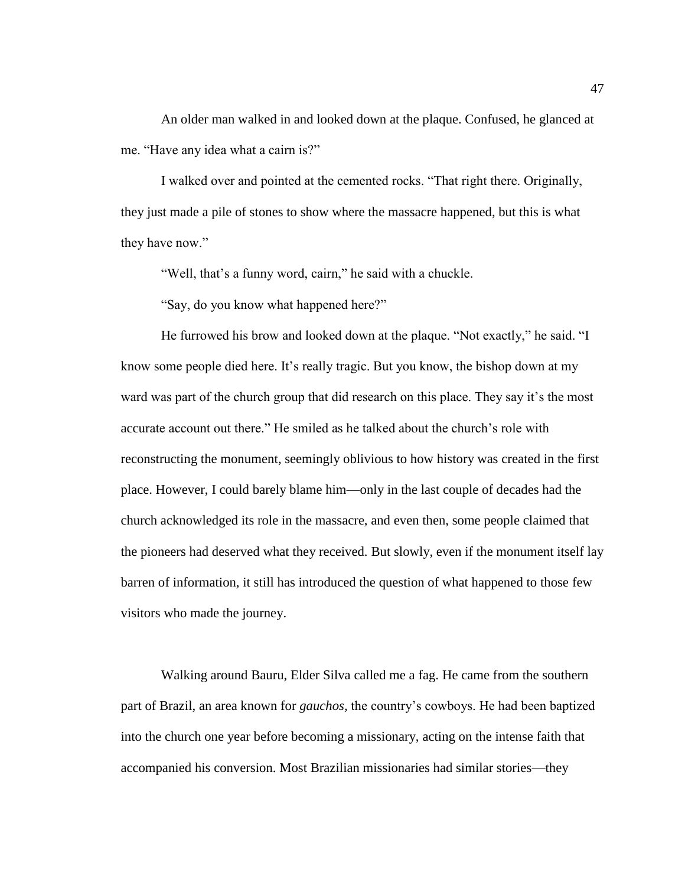An older man walked in and looked down at the plaque. Confused, he glanced at me. "Have any idea what a cairn is?"

I walked over and pointed at the cemented rocks. "That right there. Originally, they just made a pile of stones to show where the massacre happened, but this is what they have now."

"Well, that's a funny word, cairn," he said with a chuckle.

"Say, do you know what happened here?"

He furrowed his brow and looked down at the plaque. "Not exactly," he said. "I know some people died here. It's really tragic. But you know, the bishop down at my ward was part of the church group that did research on this place. They say it's the most accurate account out there." He smiled as he talked about the church's role with reconstructing the monument, seemingly oblivious to how history was created in the first place. However, I could barely blame him—only in the last couple of decades had the church acknowledged its role in the massacre, and even then, some people claimed that the pioneers had deserved what they received. But slowly, even if the monument itself lay barren of information, it still has introduced the question of what happened to those few visitors who made the journey.

Walking around Bauru, Elder Silva called me a fag. He came from the southern part of Brazil, an area known for *gauchos,* the country's cowboys. He had been baptized into the church one year before becoming a missionary, acting on the intense faith that accompanied his conversion. Most Brazilian missionaries had similar stories—they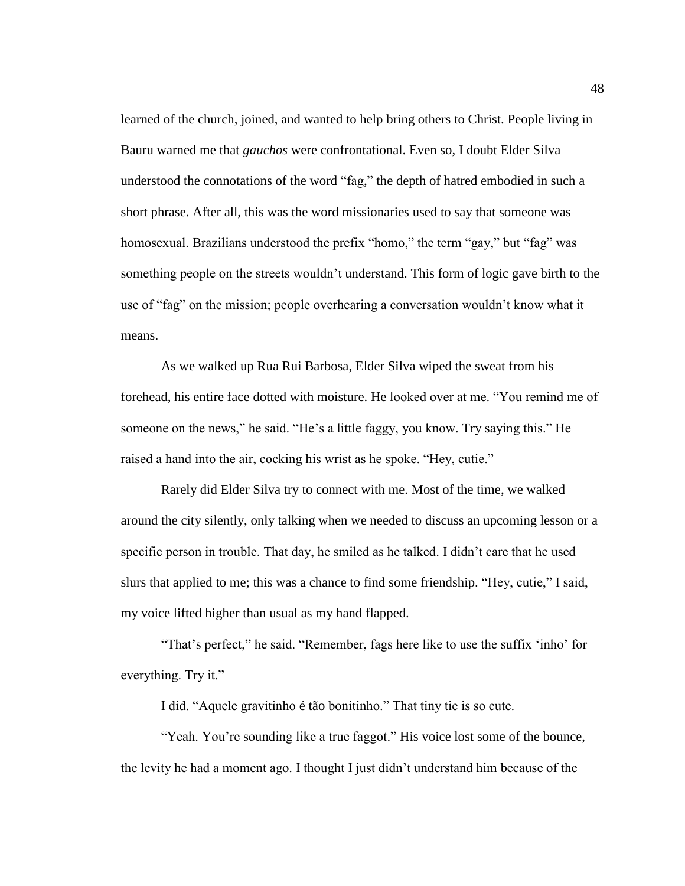learned of the church, joined, and wanted to help bring others to Christ. People living in Bauru warned me that *gauchos* were confrontational. Even so, I doubt Elder Silva understood the connotations of the word "fag," the depth of hatred embodied in such a short phrase. After all, this was the word missionaries used to say that someone was homosexual. Brazilians understood the prefix "homo," the term "gay," but "fag" was something people on the streets wouldn't understand. This form of logic gave birth to the use of "fag" on the mission; people overhearing a conversation wouldn't know what it means.

As we walked up Rua Rui Barbosa, Elder Silva wiped the sweat from his forehead, his entire face dotted with moisture. He looked over at me. "You remind me of someone on the news," he said. "He's a little faggy, you know. Try saying this." He raised a hand into the air, cocking his wrist as he spoke. "Hey, cutie."

Rarely did Elder Silva try to connect with me. Most of the time, we walked around the city silently, only talking when we needed to discuss an upcoming lesson or a specific person in trouble. That day, he smiled as he talked. I didn't care that he used slurs that applied to me; this was a chance to find some friendship. "Hey, cutie," I said, my voice lifted higher than usual as my hand flapped.

"That's perfect," he said. "Remember, fags here like to use the suffix 'inho' for everything. Try it."

I did. "Aquele gravitinho é tão bonitinho." That tiny tie is so cute.

"Yeah. You're sounding like a true faggot." His voice lost some of the bounce, the levity he had a moment ago. I thought I just didn't understand him because of the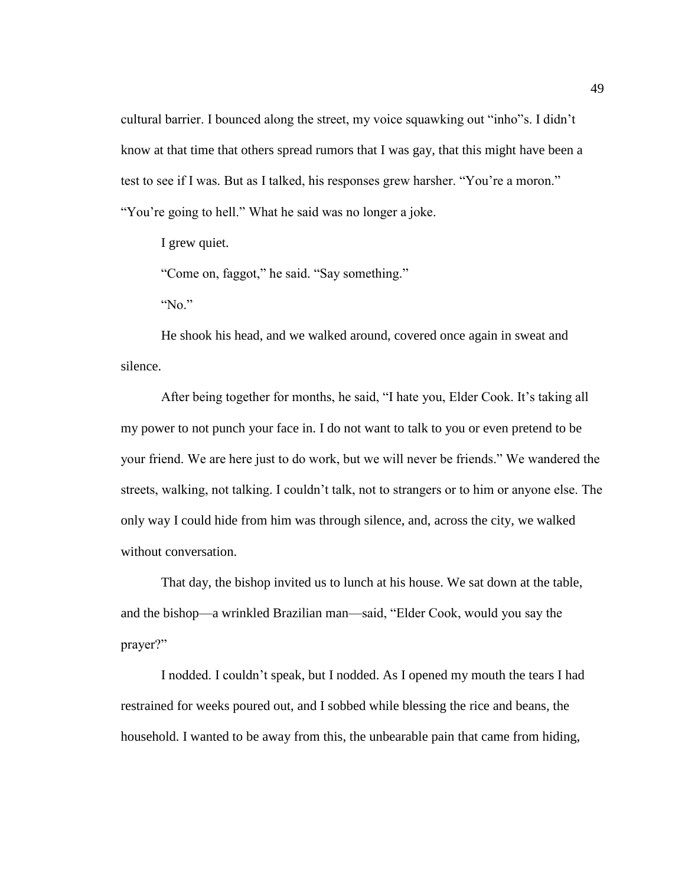cultural barrier. I bounced along the street, my voice squawking out "inho"s. I didn't know at that time that others spread rumors that I was gay, that this might have been a test to see if I was. But as I talked, his responses grew harsher. "You're a moron." "You're going to hell." What he said was no longer a joke.

I grew quiet.

"Come on, faggot," he said. "Say something."

"No."

He shook his head, and we walked around, covered once again in sweat and silence.

After being together for months, he said, "I hate you, Elder Cook. It's taking all my power to not punch your face in. I do not want to talk to you or even pretend to be your friend. We are here just to do work, but we will never be friends." We wandered the streets, walking, not talking. I couldn't talk, not to strangers or to him or anyone else. The only way I could hide from him was through silence, and, across the city, we walked without conversation.

That day, the bishop invited us to lunch at his house. We sat down at the table, and the bishop—a wrinkled Brazilian man—said, "Elder Cook, would you say the prayer?"

I nodded. I couldn't speak, but I nodded. As I opened my mouth the tears I had restrained for weeks poured out, and I sobbed while blessing the rice and beans, the household. I wanted to be away from this, the unbearable pain that came from hiding,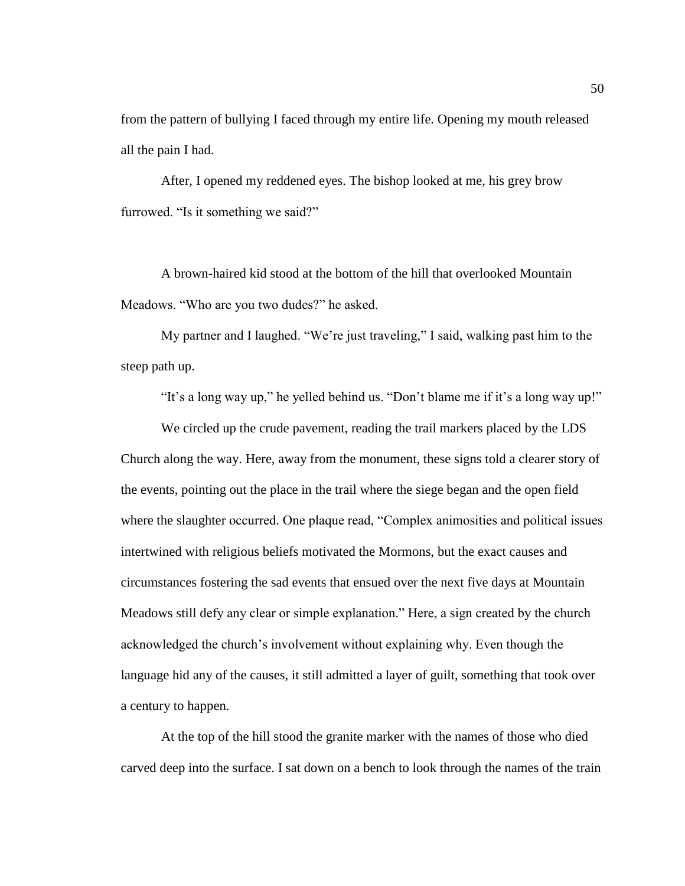from the pattern of bullying I faced through my entire life. Opening my mouth released all the pain I had.

After, I opened my reddened eyes. The bishop looked at me, his grey brow furrowed. "Is it something we said?"

A brown-haired kid stood at the bottom of the hill that overlooked Mountain Meadows. "Who are you two dudes?" he asked.

My partner and I laughed. "We're just traveling," I said, walking past him to the steep path up.

"It's a long way up," he yelled behind us. "Don't blame me if it's a long way up!"

We circled up the crude pavement, reading the trail markers placed by the LDS Church along the way. Here, away from the monument, these signs told a clearer story of the events, pointing out the place in the trail where the siege began and the open field where the slaughter occurred. One plaque read, "Complex animosities and political issues intertwined with religious beliefs motivated the Mormons, but the exact causes and circumstances fostering the sad events that ensued over the next five days at Mountain Meadows still defy any clear or simple explanation." Here, a sign created by the church acknowledged the church's involvement without explaining why. Even though the language hid any of the causes, it still admitted a layer of guilt, something that took over a century to happen.

At the top of the hill stood the granite marker with the names of those who died carved deep into the surface. I sat down on a bench to look through the names of the train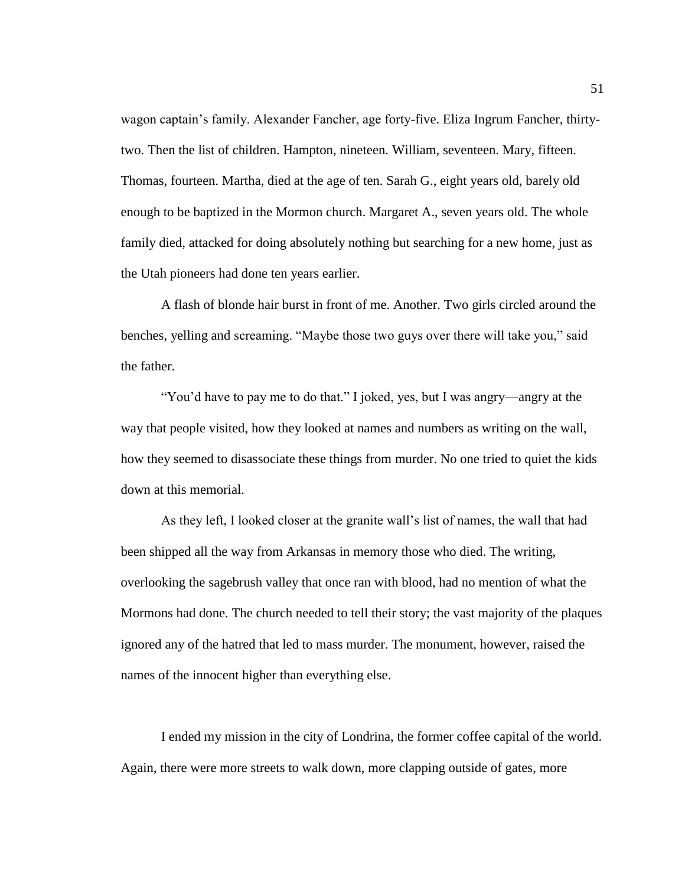wagon captain's family. Alexander Fancher, age forty-five. Eliza Ingrum Fancher, thirtytwo. Then the list of children. Hampton, nineteen. William, seventeen. Mary, fifteen. Thomas, fourteen. Martha, died at the age of ten. Sarah G., eight years old, barely old enough to be baptized in the Mormon church. Margaret A., seven years old. The whole family died, attacked for doing absolutely nothing but searching for a new home, just as the Utah pioneers had done ten years earlier.

A flash of blonde hair burst in front of me. Another. Two girls circled around the benches, yelling and screaming. "Maybe those two guys over there will take you," said the father.

"You'd have to pay me to do that." I joked, yes, but I was angry—angry at the way that people visited, how they looked at names and numbers as writing on the wall, how they seemed to disassociate these things from murder. No one tried to quiet the kids down at this memorial.

As they left, I looked closer at the granite wall's list of names, the wall that had been shipped all the way from Arkansas in memory those who died. The writing, overlooking the sagebrush valley that once ran with blood, had no mention of what the Mormons had done. The church needed to tell their story; the vast majority of the plaques ignored any of the hatred that led to mass murder. The monument, however, raised the names of the innocent higher than everything else.

I ended my mission in the city of Londrina, the former coffee capital of the world. Again, there were more streets to walk down, more clapping outside of gates, more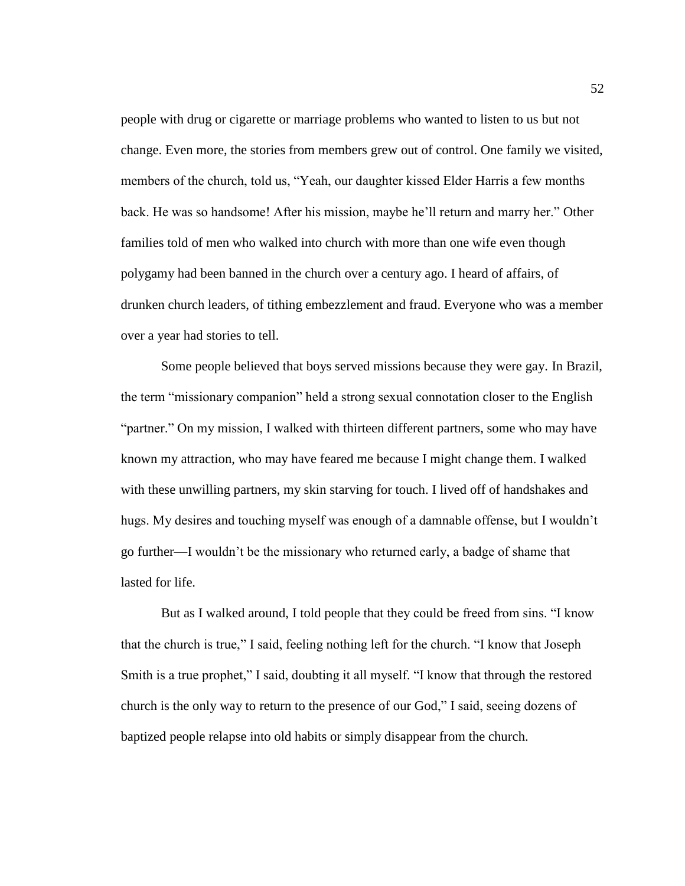people with drug or cigarette or marriage problems who wanted to listen to us but not change. Even more, the stories from members grew out of control. One family we visited, members of the church, told us, "Yeah, our daughter kissed Elder Harris a few months back. He was so handsome! After his mission, maybe he'll return and marry her." Other families told of men who walked into church with more than one wife even though polygamy had been banned in the church over a century ago. I heard of affairs, of drunken church leaders, of tithing embezzlement and fraud. Everyone who was a member over a year had stories to tell.

Some people believed that boys served missions because they were gay. In Brazil, the term "missionary companion" held a strong sexual connotation closer to the English "partner." On my mission, I walked with thirteen different partners, some who may have known my attraction, who may have feared me because I might change them. I walked with these unwilling partners, my skin starving for touch. I lived off of handshakes and hugs. My desires and touching myself was enough of a damnable offense, but I wouldn't go further—I wouldn't be the missionary who returned early, a badge of shame that lasted for life.

But as I walked around, I told people that they could be freed from sins. "I know that the church is true," I said, feeling nothing left for the church. "I know that Joseph Smith is a true prophet," I said, doubting it all myself. "I know that through the restored church is the only way to return to the presence of our God," I said, seeing dozens of baptized people relapse into old habits or simply disappear from the church.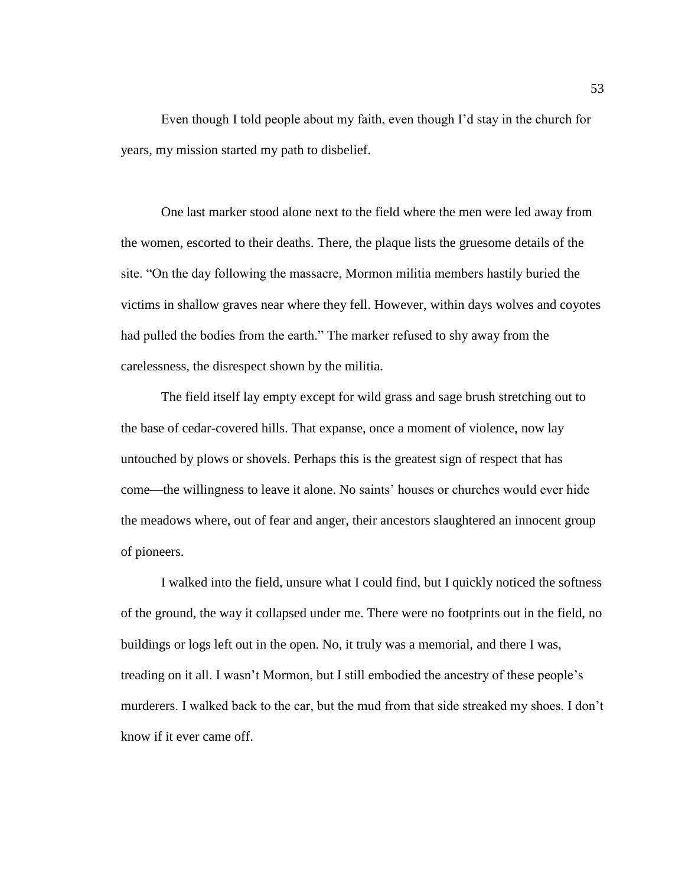Even though I told people about my faith, even though I'd stay in the church for years, my mission started my path to disbelief.

One last marker stood alone next to the field where the men were led away from the women, escorted to their deaths. There, the plaque lists the gruesome details of the site. "On the day following the massacre, Mormon militia members hastily buried the victims in shallow graves near where they fell. However, within days wolves and coyotes had pulled the bodies from the earth." The marker refused to shy away from the carelessness, the disrespect shown by the militia.

The field itself lay empty except for wild grass and sage brush stretching out to the base of cedar-covered hills. That expanse, once a moment of violence, now lay untouched by plows or shovels. Perhaps this is the greatest sign of respect that has come—the willingness to leave it alone. No saints' houses or churches would ever hide the meadows where, out of fear and anger, their ancestors slaughtered an innocent group of pioneers.

I walked into the field, unsure what I could find, but I quickly noticed the softness of the ground, the way it collapsed under me. There were no footprints out in the field, no buildings or logs left out in the open. No, it truly was a memorial, and there I was, treading on it all. I wasn't Mormon, but I still embodied the ancestry of these people's murderers. I walked back to the car, but the mud from that side streaked my shoes. I don't know if it ever came off.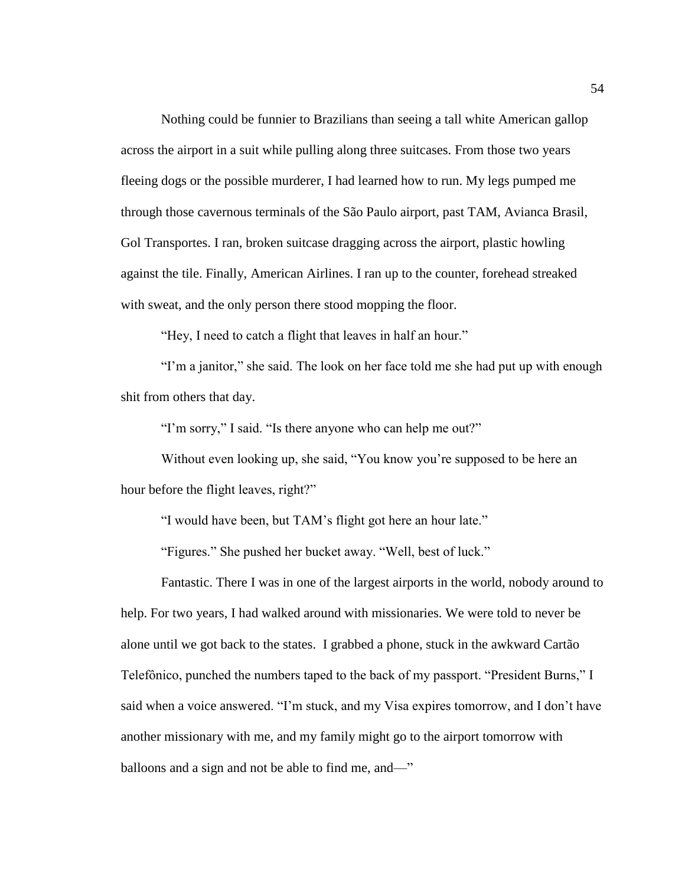Nothing could be funnier to Brazilians than seeing a tall white American gallop across the airport in a suit while pulling along three suitcases. From those two years fleeing dogs or the possible murderer, I had learned how to run. My legs pumped me through those cavernous terminals of the São Paulo airport, past TAM, Avianca Brasil, Gol Transportes. I ran, broken suitcase dragging across the airport, plastic howling against the tile. Finally, American Airlines. I ran up to the counter, forehead streaked with sweat, and the only person there stood mopping the floor.

"Hey, I need to catch a flight that leaves in half an hour."

"I'm a janitor," she said. The look on her face told me she had put up with enough shit from others that day.

"I'm sorry," I said. "Is there anyone who can help me out?"

Without even looking up, she said, "You know you're supposed to be here an hour before the flight leaves, right?"

"I would have been, but TAM's flight got here an hour late."

"Figures." She pushed her bucket away. "Well, best of luck."

Fantastic. There I was in one of the largest airports in the world, nobody around to help. For two years, I had walked around with missionaries. We were told to never be alone until we got back to the states. I grabbed a phone, stuck in the awkward Cartão Telefônico, punched the numbers taped to the back of my passport. "President Burns," I said when a voice answered. "I'm stuck, and my Visa expires tomorrow, and I don't have another missionary with me, and my family might go to the airport tomorrow with balloons and a sign and not be able to find me, and—"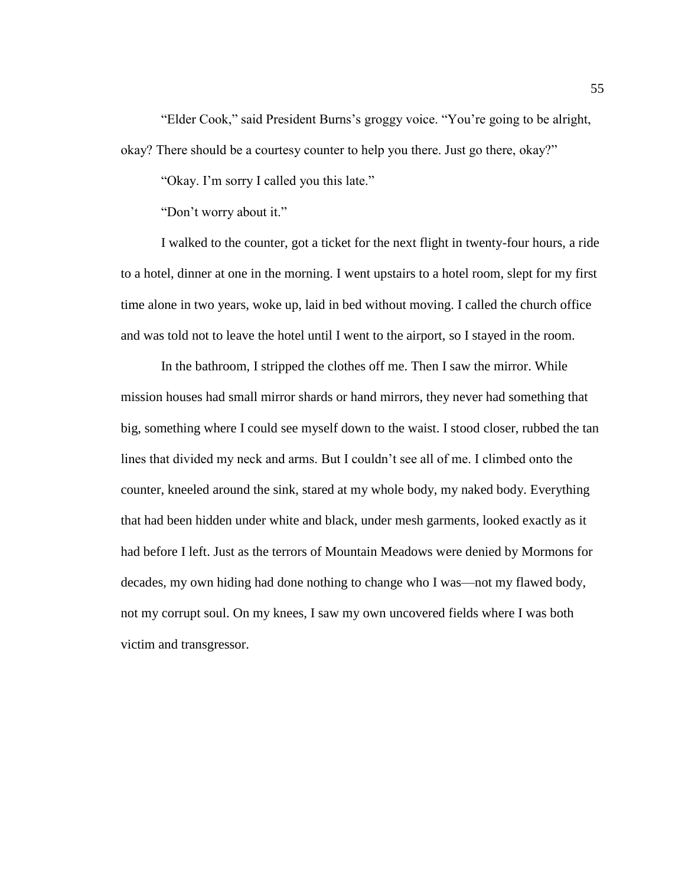"Elder Cook," said President Burns's groggy voice. "You're going to be alright, okay? There should be a courtesy counter to help you there. Just go there, okay?"

"Okay. I'm sorry I called you this late."

"Don't worry about it."

I walked to the counter, got a ticket for the next flight in twenty-four hours, a ride to a hotel, dinner at one in the morning. I went upstairs to a hotel room, slept for my first time alone in two years, woke up, laid in bed without moving. I called the church office and was told not to leave the hotel until I went to the airport, so I stayed in the room.

In the bathroom, I stripped the clothes off me. Then I saw the mirror. While mission houses had small mirror shards or hand mirrors, they never had something that big, something where I could see myself down to the waist. I stood closer, rubbed the tan lines that divided my neck and arms. But I couldn't see all of me. I climbed onto the counter, kneeled around the sink, stared at my whole body, my naked body. Everything that had been hidden under white and black, under mesh garments, looked exactly as it had before I left. Just as the terrors of Mountain Meadows were denied by Mormons for decades, my own hiding had done nothing to change who I was—not my flawed body, not my corrupt soul. On my knees, I saw my own uncovered fields where I was both victim and transgressor.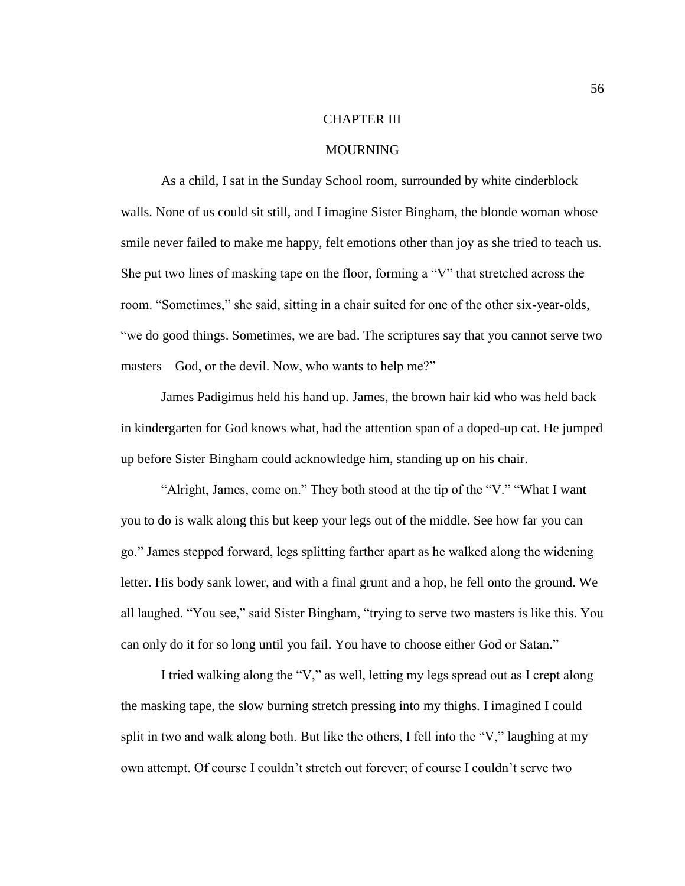## CHAPTER III

## MOURNING

As a child, I sat in the Sunday School room, surrounded by white cinderblock walls. None of us could sit still, and I imagine Sister Bingham, the blonde woman whose smile never failed to make me happy, felt emotions other than joy as she tried to teach us. She put two lines of masking tape on the floor, forming a "V" that stretched across the room. "Sometimes," she said, sitting in a chair suited for one of the other six-year-olds, "we do good things. Sometimes, we are bad. The scriptures say that you cannot serve two masters—God, or the devil. Now, who wants to help me?"

James Padigimus held his hand up. James, the brown hair kid who was held back in kindergarten for God knows what, had the attention span of a doped-up cat. He jumped up before Sister Bingham could acknowledge him, standing up on his chair.

"Alright, James, come on." They both stood at the tip of the "V." "What I want you to do is walk along this but keep your legs out of the middle. See how far you can go." James stepped forward, legs splitting farther apart as he walked along the widening letter. His body sank lower, and with a final grunt and a hop, he fell onto the ground. We all laughed. "You see," said Sister Bingham, "trying to serve two masters is like this. You can only do it for so long until you fail. You have to choose either God or Satan."

I tried walking along the "V," as well, letting my legs spread out as I crept along the masking tape, the slow burning stretch pressing into my thighs. I imagined I could split in two and walk along both. But like the others, I fell into the "V," laughing at my own attempt. Of course I couldn't stretch out forever; of course I couldn't serve two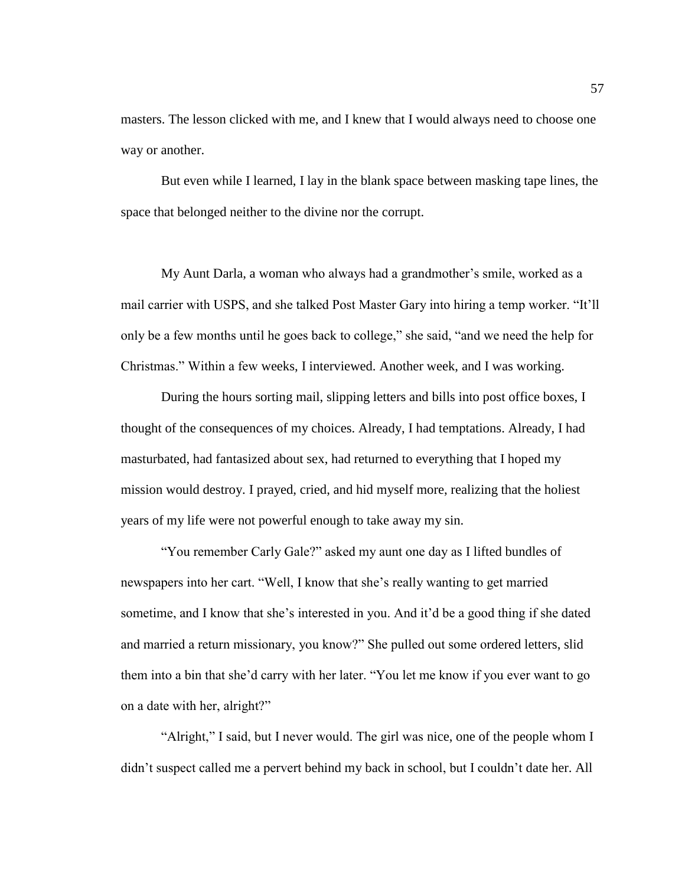masters. The lesson clicked with me, and I knew that I would always need to choose one way or another.

But even while I learned, I lay in the blank space between masking tape lines, the space that belonged neither to the divine nor the corrupt.

My Aunt Darla, a woman who always had a grandmother's smile, worked as a mail carrier with USPS, and she talked Post Master Gary into hiring a temp worker. "It'll only be a few months until he goes back to college," she said, "and we need the help for Christmas." Within a few weeks, I interviewed. Another week, and I was working.

During the hours sorting mail, slipping letters and bills into post office boxes, I thought of the consequences of my choices. Already, I had temptations. Already, I had masturbated, had fantasized about sex, had returned to everything that I hoped my mission would destroy. I prayed, cried, and hid myself more, realizing that the holiest years of my life were not powerful enough to take away my sin.

"You remember Carly Gale?" asked my aunt one day as I lifted bundles of newspapers into her cart. "Well, I know that she's really wanting to get married sometime, and I know that she's interested in you. And it'd be a good thing if she dated and married a return missionary, you know?" She pulled out some ordered letters, slid them into a bin that she'd carry with her later. "You let me know if you ever want to go on a date with her, alright?"

"Alright," I said, but I never would. The girl was nice, one of the people whom I didn't suspect called me a pervert behind my back in school, but I couldn't date her. All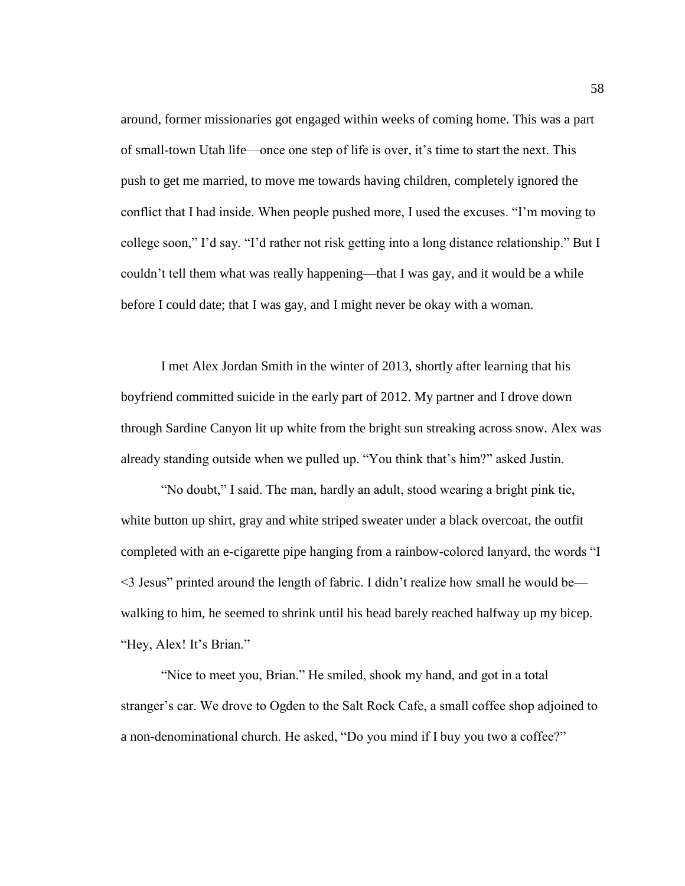around, former missionaries got engaged within weeks of coming home. This was a part of small-town Utah life—once one step of life is over, it's time to start the next. This push to get me married, to move me towards having children, completely ignored the conflict that I had inside. When people pushed more, I used the excuses. "I'm moving to college soon," I'd say. "I'd rather not risk getting into a long distance relationship." But I couldn't tell them what was really happening—that I was gay, and it would be a while before I could date; that I was gay, and I might never be okay with a woman.

I met Alex Jordan Smith in the winter of 2013, shortly after learning that his boyfriend committed suicide in the early part of 2012. My partner and I drove down through Sardine Canyon lit up white from the bright sun streaking across snow. Alex was already standing outside when we pulled up. "You think that's him?" asked Justin.

"No doubt," I said. The man, hardly an adult, stood wearing a bright pink tie, white button up shirt, gray and white striped sweater under a black overcoat, the outfit completed with an e-cigarette pipe hanging from a rainbow-colored lanyard, the words "I <3 Jesus" printed around the length of fabric. I didn't realize how small he would be walking to him, he seemed to shrink until his head barely reached halfway up my bicep. "Hey, Alex! It's Brian."

"Nice to meet you, Brian." He smiled, shook my hand, and got in a total stranger's car. We drove to Ogden to the Salt Rock Cafe, a small coffee shop adjoined to a non-denominational church. He asked, "Do you mind if I buy you two a coffee?"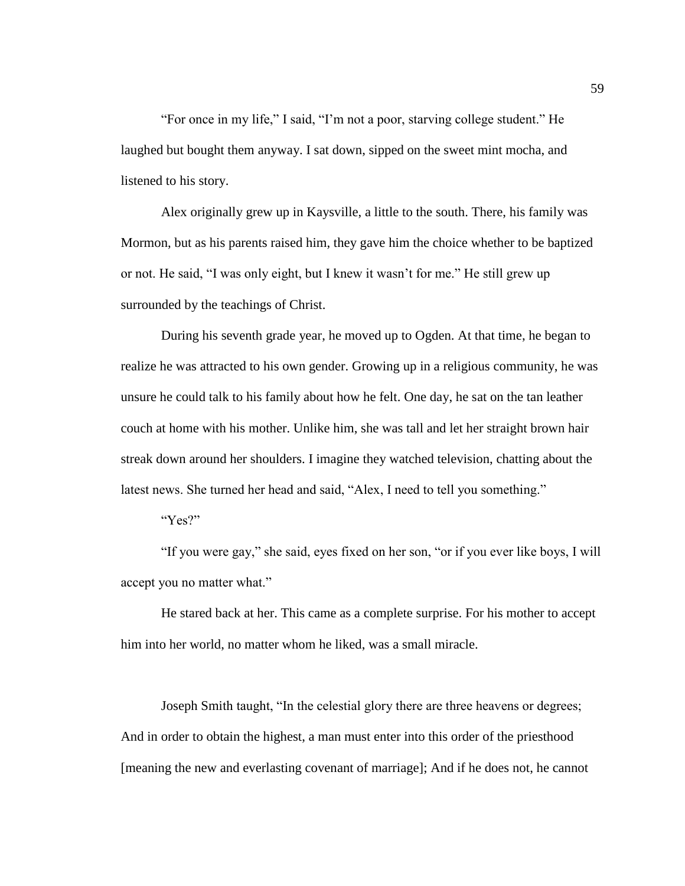"For once in my life," I said, "I'm not a poor, starving college student." He laughed but bought them anyway. I sat down, sipped on the sweet mint mocha, and listened to his story.

Alex originally grew up in Kaysville, a little to the south. There, his family was Mormon, but as his parents raised him, they gave him the choice whether to be baptized or not. He said, "I was only eight, but I knew it wasn't for me." He still grew up surrounded by the teachings of Christ.

During his seventh grade year, he moved up to Ogden. At that time, he began to realize he was attracted to his own gender. Growing up in a religious community, he was unsure he could talk to his family about how he felt. One day, he sat on the tan leather couch at home with his mother. Unlike him, she was tall and let her straight brown hair streak down around her shoulders. I imagine they watched television, chatting about the latest news. She turned her head and said, "Alex, I need to tell you something."

"Yes?"

"If you were gay," she said, eyes fixed on her son, "or if you ever like boys, I will accept you no matter what."

He stared back at her. This came as a complete surprise. For his mother to accept him into her world, no matter whom he liked, was a small miracle.

Joseph Smith taught, "In the celestial glory there are three heavens or degrees; And in order to obtain the highest, a man must enter into this order of the priesthood [meaning the new and everlasting covenant of marriage]; And if he does not, he cannot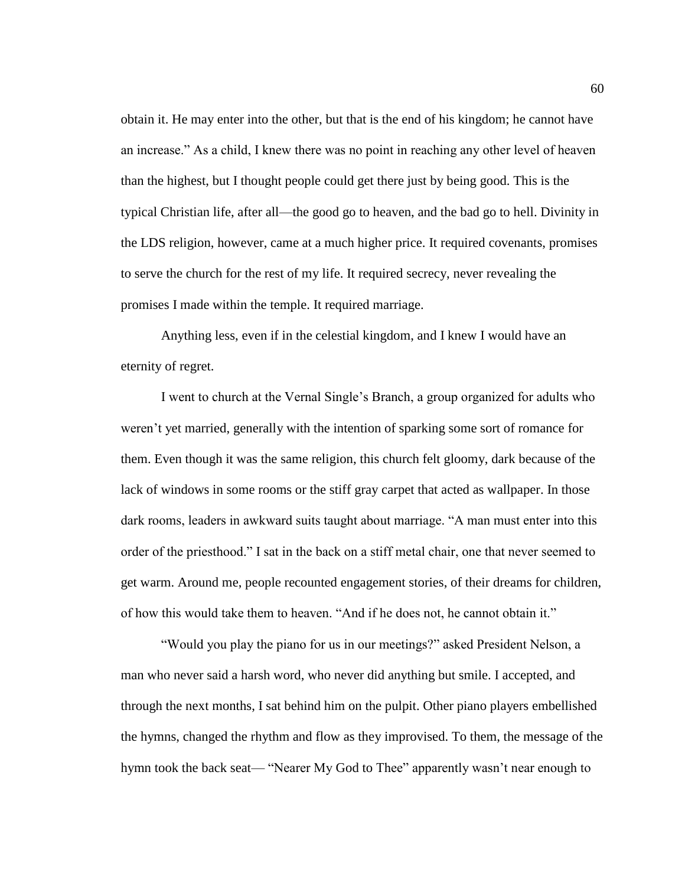obtain it. He may enter into the other, but that is the end of his kingdom; he cannot have an increase." As a child, I knew there was no point in reaching any other level of heaven than the highest, but I thought people could get there just by being good. This is the typical Christian life, after all—the good go to heaven, and the bad go to hell. Divinity in the LDS religion, however, came at a much higher price. It required covenants, promises to serve the church for the rest of my life. It required secrecy, never revealing the promises I made within the temple. It required marriage.

Anything less, even if in the celestial kingdom, and I knew I would have an eternity of regret.

I went to church at the Vernal Single's Branch, a group organized for adults who weren't yet married, generally with the intention of sparking some sort of romance for them. Even though it was the same religion, this church felt gloomy, dark because of the lack of windows in some rooms or the stiff gray carpet that acted as wallpaper. In those dark rooms, leaders in awkward suits taught about marriage. "A man must enter into this order of the priesthood." I sat in the back on a stiff metal chair, one that never seemed to get warm. Around me, people recounted engagement stories, of their dreams for children, of how this would take them to heaven. "And if he does not, he cannot obtain it."

"Would you play the piano for us in our meetings?" asked President Nelson, a man who never said a harsh word, who never did anything but smile. I accepted, and through the next months, I sat behind him on the pulpit. Other piano players embellished the hymns, changed the rhythm and flow as they improvised. To them, the message of the hymn took the back seat— "Nearer My God to Thee" apparently wasn't near enough to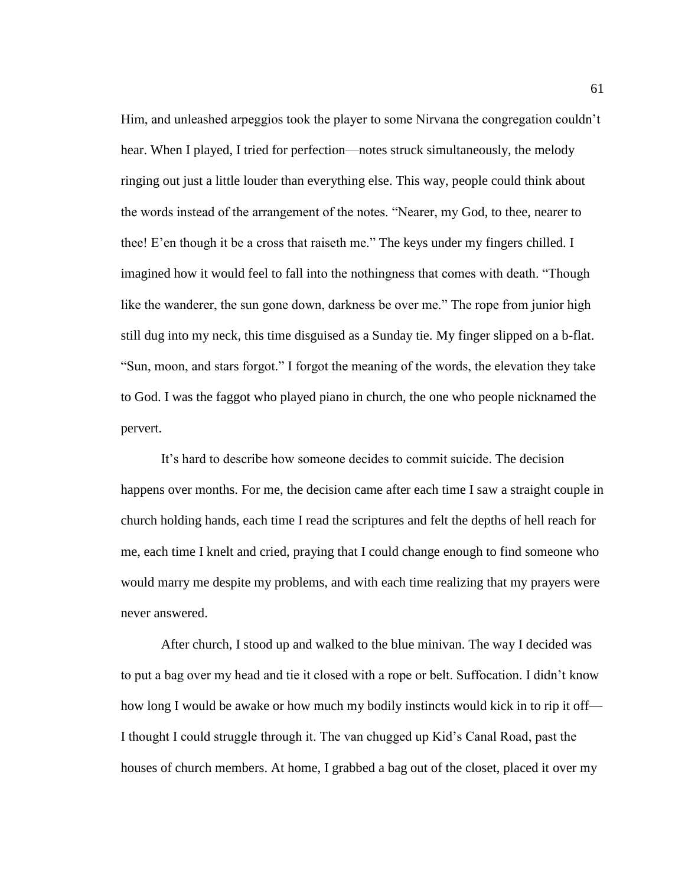Him, and unleashed arpeggios took the player to some Nirvana the congregation couldn't hear. When I played, I tried for perfection—notes struck simultaneously, the melody ringing out just a little louder than everything else. This way, people could think about the words instead of the arrangement of the notes. "Nearer, my God, to thee, nearer to thee! E'en though it be a cross that raiseth me." The keys under my fingers chilled. I imagined how it would feel to fall into the nothingness that comes with death. "Though like the wanderer, the sun gone down, darkness be over me." The rope from junior high still dug into my neck, this time disguised as a Sunday tie. My finger slipped on a b-flat. "Sun, moon, and stars forgot." I forgot the meaning of the words, the elevation they take to God. I was the faggot who played piano in church, the one who people nicknamed the pervert.

It's hard to describe how someone decides to commit suicide. The decision happens over months. For me, the decision came after each time I saw a straight couple in church holding hands, each time I read the scriptures and felt the depths of hell reach for me, each time I knelt and cried, praying that I could change enough to find someone who would marry me despite my problems, and with each time realizing that my prayers were never answered.

After church, I stood up and walked to the blue minivan. The way I decided was to put a bag over my head and tie it closed with a rope or belt. Suffocation. I didn't know how long I would be awake or how much my bodily instincts would kick in to rip it off— I thought I could struggle through it. The van chugged up Kid's Canal Road, past the houses of church members. At home, I grabbed a bag out of the closet, placed it over my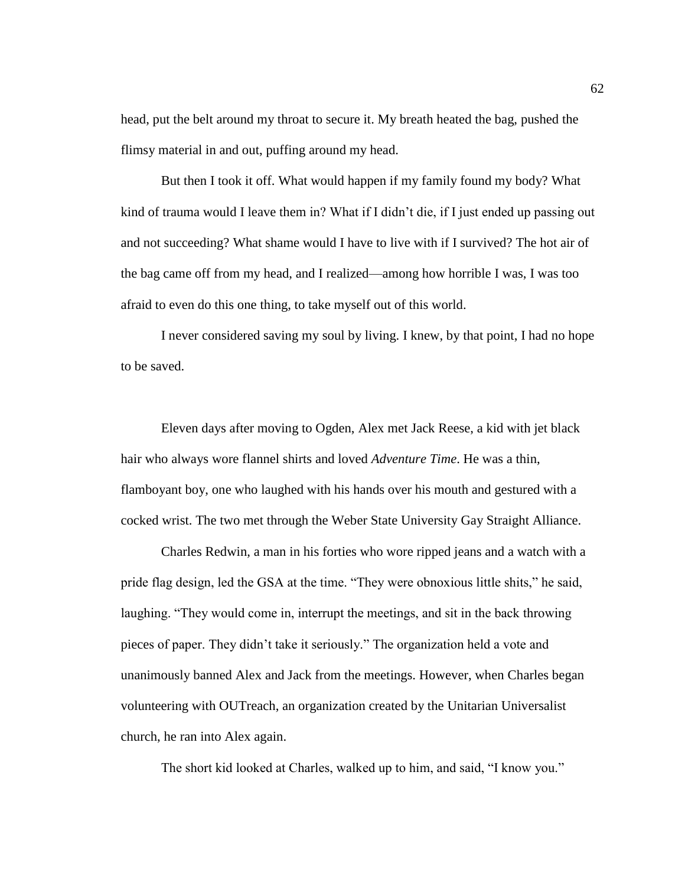head, put the belt around my throat to secure it. My breath heated the bag, pushed the flimsy material in and out, puffing around my head.

But then I took it off. What would happen if my family found my body? What kind of trauma would I leave them in? What if I didn't die, if I just ended up passing out and not succeeding? What shame would I have to live with if I survived? The hot air of the bag came off from my head, and I realized—among how horrible I was, I was too afraid to even do this one thing, to take myself out of this world.

I never considered saving my soul by living. I knew, by that point, I had no hope to be saved.

Eleven days after moving to Ogden, Alex met Jack Reese, a kid with jet black hair who always wore flannel shirts and loved *Adventure Time*. He was a thin, flamboyant boy, one who laughed with his hands over his mouth and gestured with a cocked wrist. The two met through the Weber State University Gay Straight Alliance.

Charles Redwin, a man in his forties who wore ripped jeans and a watch with a pride flag design, led the GSA at the time. "They were obnoxious little shits," he said, laughing. "They would come in, interrupt the meetings, and sit in the back throwing pieces of paper. They didn't take it seriously." The organization held a vote and unanimously banned Alex and Jack from the meetings. However, when Charles began volunteering with OUTreach, an organization created by the Unitarian Universalist church, he ran into Alex again.

The short kid looked at Charles, walked up to him, and said, "I know you."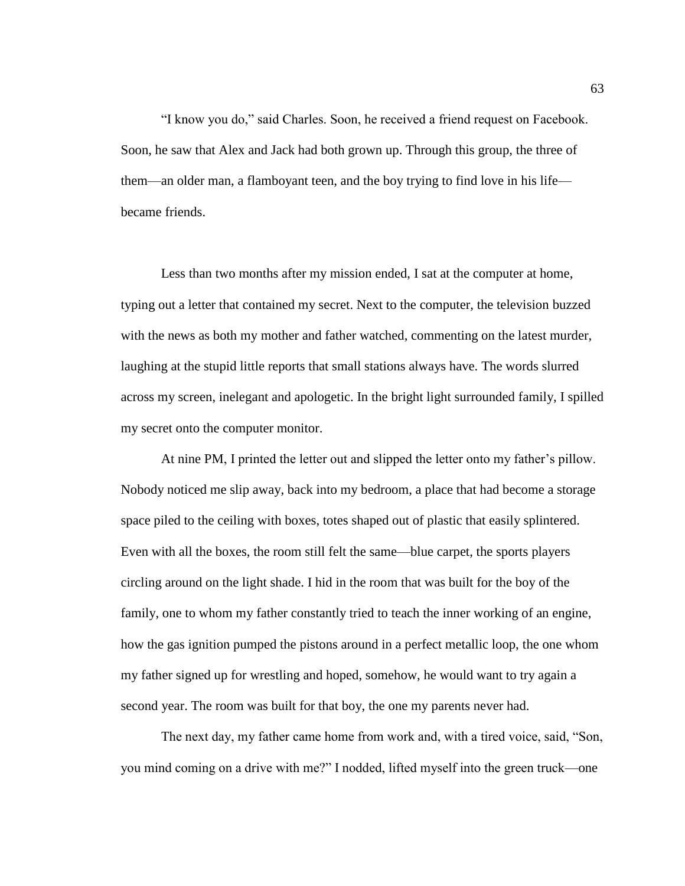"I know you do," said Charles. Soon, he received a friend request on Facebook. Soon, he saw that Alex and Jack had both grown up. Through this group, the three of them—an older man, a flamboyant teen, and the boy trying to find love in his life became friends.

Less than two months after my mission ended, I sat at the computer at home, typing out a letter that contained my secret. Next to the computer, the television buzzed with the news as both my mother and father watched, commenting on the latest murder, laughing at the stupid little reports that small stations always have. The words slurred across my screen, inelegant and apologetic. In the bright light surrounded family, I spilled my secret onto the computer monitor.

At nine PM, I printed the letter out and slipped the letter onto my father's pillow. Nobody noticed me slip away, back into my bedroom, a place that had become a storage space piled to the ceiling with boxes, totes shaped out of plastic that easily splintered. Even with all the boxes, the room still felt the same—blue carpet, the sports players circling around on the light shade. I hid in the room that was built for the boy of the family, one to whom my father constantly tried to teach the inner working of an engine, how the gas ignition pumped the pistons around in a perfect metallic loop, the one whom my father signed up for wrestling and hoped, somehow, he would want to try again a second year. The room was built for that boy, the one my parents never had.

The next day, my father came home from work and, with a tired voice, said, "Son, you mind coming on a drive with me?" I nodded, lifted myself into the green truck—one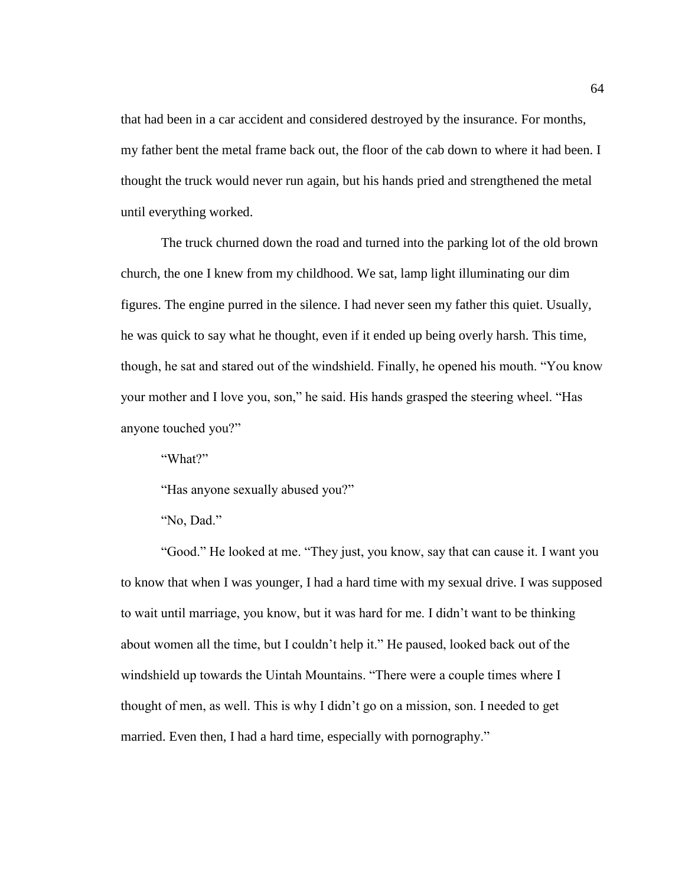that had been in a car accident and considered destroyed by the insurance. For months, my father bent the metal frame back out, the floor of the cab down to where it had been. I thought the truck would never run again, but his hands pried and strengthened the metal until everything worked.

The truck churned down the road and turned into the parking lot of the old brown church, the one I knew from my childhood. We sat, lamp light illuminating our dim figures. The engine purred in the silence. I had never seen my father this quiet. Usually, he was quick to say what he thought, even if it ended up being overly harsh. This time, though, he sat and stared out of the windshield. Finally, he opened his mouth. "You know your mother and I love you, son," he said. His hands grasped the steering wheel. "Has anyone touched you?"

"What?"

"Has anyone sexually abused you?"

"Good." He looked at me. "They just, you know, say that can cause it. I want you to know that when I was younger, I had a hard time with my sexual drive. I was supposed to wait until marriage, you know, but it was hard for me. I didn't want to be thinking about women all the time, but I couldn't help it." He paused, looked back out of the windshield up towards the Uintah Mountains. "There were a couple times where I thought of men, as well. This is why I didn't go on a mission, son. I needed to get married. Even then, I had a hard time, especially with pornography."

<sup>&</sup>quot;No, Dad."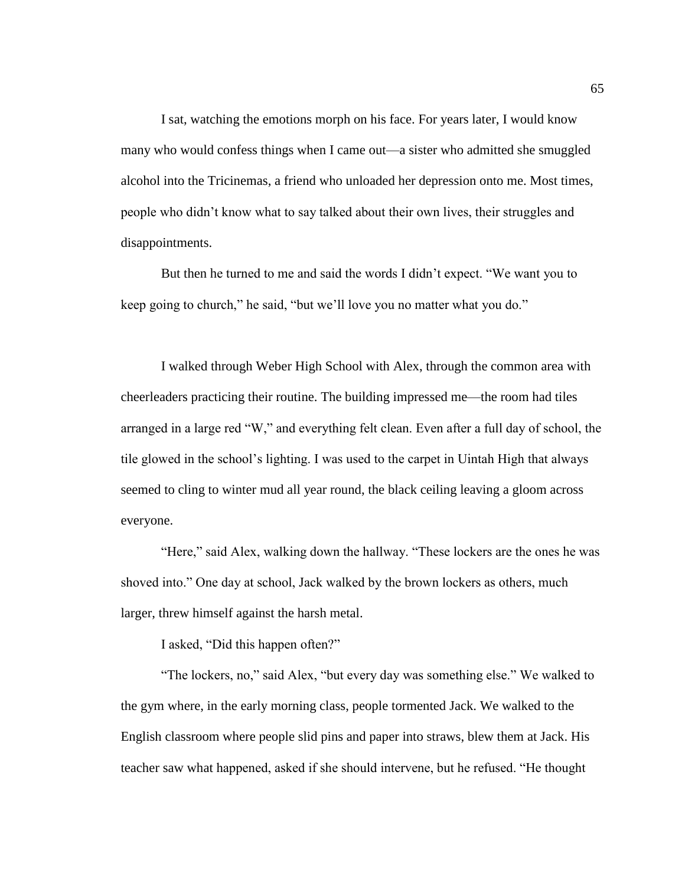I sat, watching the emotions morph on his face. For years later, I would know many who would confess things when I came out—a sister who admitted she smuggled alcohol into the Tricinemas, a friend who unloaded her depression onto me. Most times, people who didn't know what to say talked about their own lives, their struggles and disappointments.

But then he turned to me and said the words I didn't expect. "We want you to keep going to church," he said, "but we'll love you no matter what you do."

I walked through Weber High School with Alex, through the common area with cheerleaders practicing their routine. The building impressed me—the room had tiles arranged in a large red "W," and everything felt clean. Even after a full day of school, the tile glowed in the school's lighting. I was used to the carpet in Uintah High that always seemed to cling to winter mud all year round, the black ceiling leaving a gloom across everyone.

"Here," said Alex, walking down the hallway. "These lockers are the ones he was shoved into." One day at school, Jack walked by the brown lockers as others, much larger, threw himself against the harsh metal.

I asked, "Did this happen often?"

"The lockers, no," said Alex, "but every day was something else." We walked to the gym where, in the early morning class, people tormented Jack. We walked to the English classroom where people slid pins and paper into straws, blew them at Jack. His teacher saw what happened, asked if she should intervene, but he refused. "He thought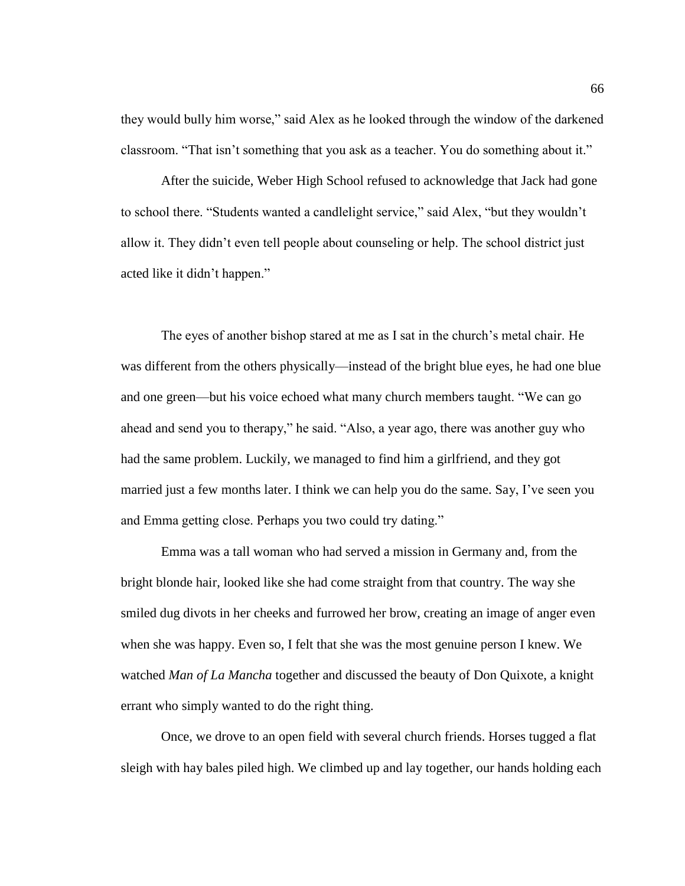they would bully him worse," said Alex as he looked through the window of the darkened classroom. "That isn't something that you ask as a teacher. You do something about it."

After the suicide, Weber High School refused to acknowledge that Jack had gone to school there. "Students wanted a candlelight service," said Alex, "but they wouldn't allow it. They didn't even tell people about counseling or help. The school district just acted like it didn't happen."

The eyes of another bishop stared at me as I sat in the church's metal chair. He was different from the others physically—instead of the bright blue eyes, he had one blue and one green—but his voice echoed what many church members taught. "We can go ahead and send you to therapy," he said. "Also, a year ago, there was another guy who had the same problem. Luckily, we managed to find him a girlfriend, and they got married just a few months later. I think we can help you do the same. Say, I've seen you and Emma getting close. Perhaps you two could try dating."

Emma was a tall woman who had served a mission in Germany and, from the bright blonde hair, looked like she had come straight from that country. The way she smiled dug divots in her cheeks and furrowed her brow, creating an image of anger even when she was happy. Even so, I felt that she was the most genuine person I knew. We watched *Man of La Mancha* together and discussed the beauty of Don Quixote, a knight errant who simply wanted to do the right thing.

Once, we drove to an open field with several church friends. Horses tugged a flat sleigh with hay bales piled high. We climbed up and lay together, our hands holding each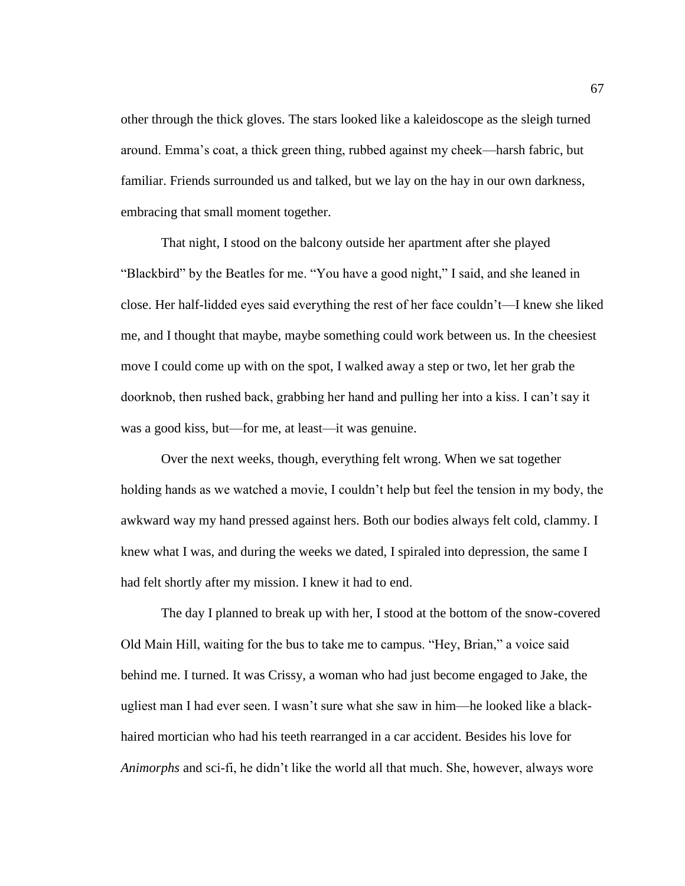other through the thick gloves. The stars looked like a kaleidoscope as the sleigh turned around. Emma's coat, a thick green thing, rubbed against my cheek—harsh fabric, but familiar. Friends surrounded us and talked, but we lay on the hay in our own darkness, embracing that small moment together.

That night, I stood on the balcony outside her apartment after she played "Blackbird" by the Beatles for me. "You have a good night," I said, and she leaned in close. Her half-lidded eyes said everything the rest of her face couldn't—I knew she liked me, and I thought that maybe, maybe something could work between us. In the cheesiest move I could come up with on the spot, I walked away a step or two, let her grab the doorknob, then rushed back, grabbing her hand and pulling her into a kiss. I can't say it was a good kiss, but—for me, at least—it was genuine.

Over the next weeks, though, everything felt wrong. When we sat together holding hands as we watched a movie, I couldn't help but feel the tension in my body, the awkward way my hand pressed against hers. Both our bodies always felt cold, clammy. I knew what I was, and during the weeks we dated, I spiraled into depression, the same I had felt shortly after my mission. I knew it had to end.

The day I planned to break up with her, I stood at the bottom of the snow-covered Old Main Hill, waiting for the bus to take me to campus. "Hey, Brian," a voice said behind me. I turned. It was Crissy, a woman who had just become engaged to Jake, the ugliest man I had ever seen. I wasn't sure what she saw in him—he looked like a blackhaired mortician who had his teeth rearranged in a car accident. Besides his love for *Animorphs* and sci-fi, he didn't like the world all that much. She, however, always wore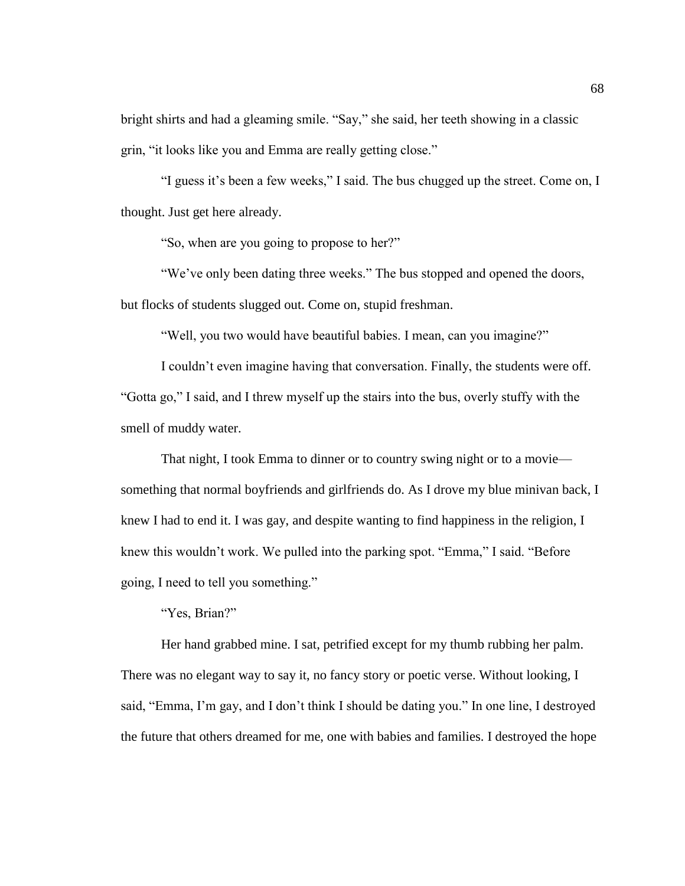bright shirts and had a gleaming smile. "Say," she said, her teeth showing in a classic grin, "it looks like you and Emma are really getting close."

"I guess it's been a few weeks," I said. The bus chugged up the street. Come on, I thought. Just get here already.

"So, when are you going to propose to her?"

"We've only been dating three weeks." The bus stopped and opened the doors, but flocks of students slugged out. Come on, stupid freshman.

"Well, you two would have beautiful babies. I mean, can you imagine?"

I couldn't even imagine having that conversation. Finally, the students were off. "Gotta go," I said, and I threw myself up the stairs into the bus, overly stuffy with the smell of muddy water.

That night, I took Emma to dinner or to country swing night or to a movie something that normal boyfriends and girlfriends do. As I drove my blue minivan back, I knew I had to end it. I was gay, and despite wanting to find happiness in the religion, I knew this wouldn't work. We pulled into the parking spot. "Emma," I said. "Before going, I need to tell you something."

"Yes, Brian?"

Her hand grabbed mine. I sat, petrified except for my thumb rubbing her palm. There was no elegant way to say it, no fancy story or poetic verse. Without looking, I said, "Emma, I'm gay, and I don't think I should be dating you." In one line, I destroyed the future that others dreamed for me, one with babies and families. I destroyed the hope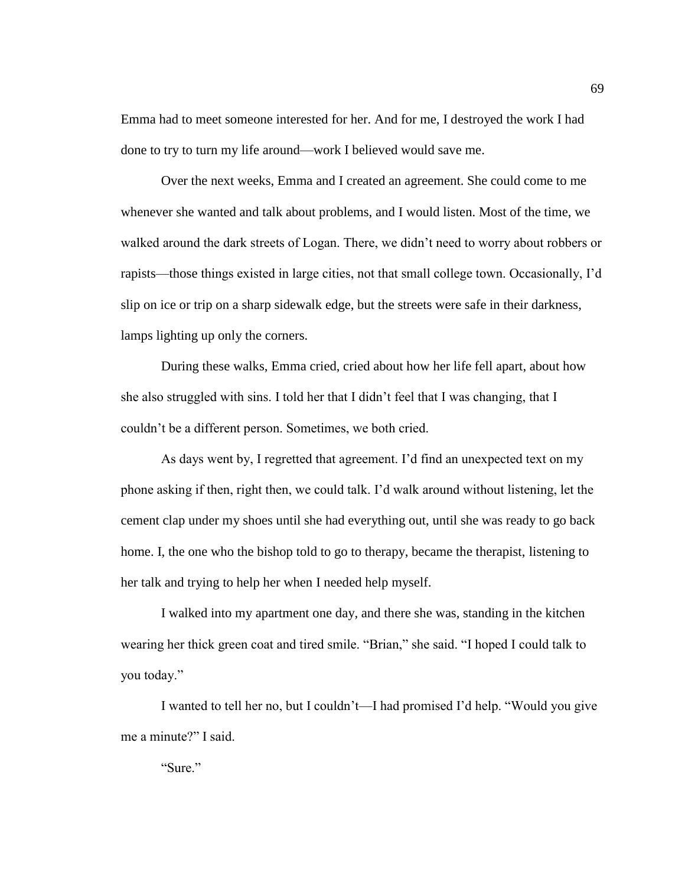Emma had to meet someone interested for her. And for me, I destroyed the work I had done to try to turn my life around—work I believed would save me.

Over the next weeks, Emma and I created an agreement. She could come to me whenever she wanted and talk about problems, and I would listen. Most of the time, we walked around the dark streets of Logan. There, we didn't need to worry about robbers or rapists—those things existed in large cities, not that small college town. Occasionally, I'd slip on ice or trip on a sharp sidewalk edge, but the streets were safe in their darkness, lamps lighting up only the corners.

During these walks, Emma cried, cried about how her life fell apart, about how she also struggled with sins. I told her that I didn't feel that I was changing, that I couldn't be a different person. Sometimes, we both cried.

As days went by, I regretted that agreement. I'd find an unexpected text on my phone asking if then, right then, we could talk. I'd walk around without listening, let the cement clap under my shoes until she had everything out, until she was ready to go back home. I, the one who the bishop told to go to therapy, became the therapist, listening to her talk and trying to help her when I needed help myself.

I walked into my apartment one day, and there she was, standing in the kitchen wearing her thick green coat and tired smile. "Brian," she said. "I hoped I could talk to you today."

I wanted to tell her no, but I couldn't—I had promised I'd help. "Would you give me a minute?" I said.

"Sure."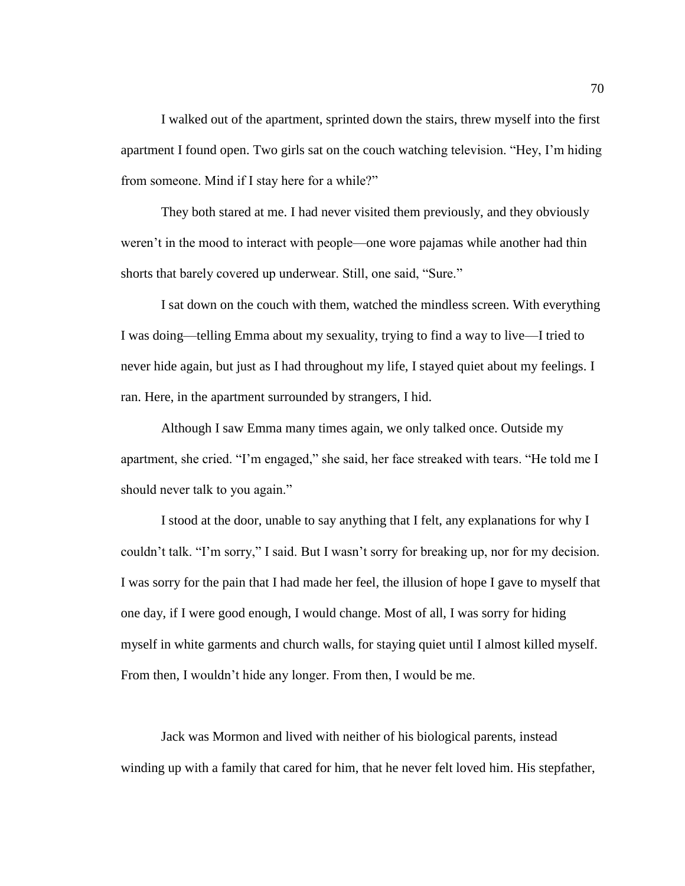I walked out of the apartment, sprinted down the stairs, threw myself into the first apartment I found open. Two girls sat on the couch watching television. "Hey, I'm hiding from someone. Mind if I stay here for a while?"

They both stared at me. I had never visited them previously, and they obviously weren't in the mood to interact with people—one wore pajamas while another had thin shorts that barely covered up underwear. Still, one said, "Sure."

I sat down on the couch with them, watched the mindless screen. With everything I was doing—telling Emma about my sexuality, trying to find a way to live—I tried to never hide again, but just as I had throughout my life, I stayed quiet about my feelings. I ran. Here, in the apartment surrounded by strangers, I hid.

Although I saw Emma many times again, we only talked once. Outside my apartment, she cried. "I'm engaged," she said, her face streaked with tears. "He told me I should never talk to you again."

I stood at the door, unable to say anything that I felt, any explanations for why I couldn't talk. "I'm sorry," I said. But I wasn't sorry for breaking up, nor for my decision. I was sorry for the pain that I had made her feel, the illusion of hope I gave to myself that one day, if I were good enough, I would change. Most of all, I was sorry for hiding myself in white garments and church walls, for staying quiet until I almost killed myself. From then, I wouldn't hide any longer. From then, I would be me.

Jack was Mormon and lived with neither of his biological parents, instead winding up with a family that cared for him, that he never felt loved him. His stepfather,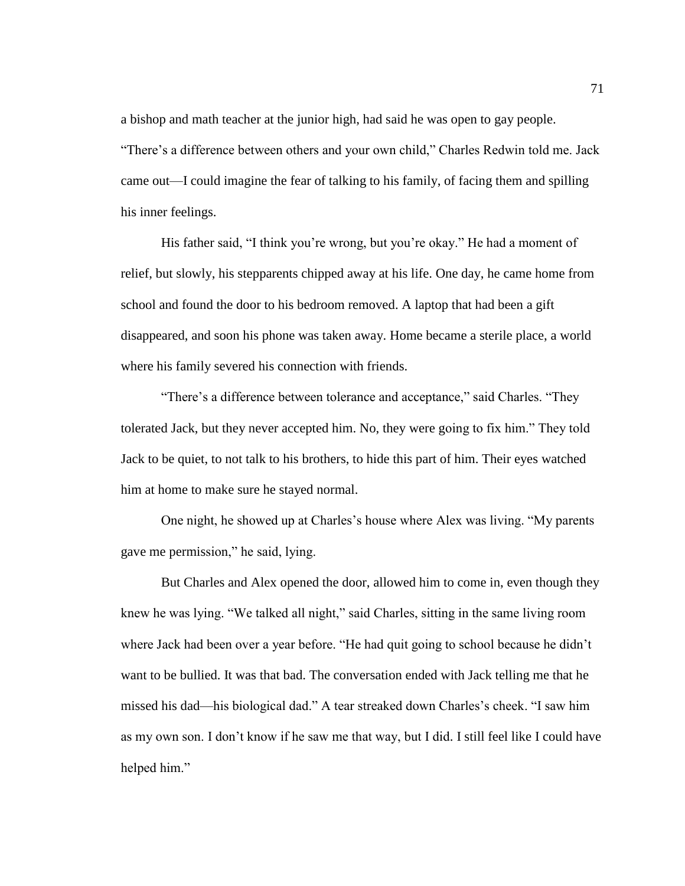a bishop and math teacher at the junior high, had said he was open to gay people. "There's a difference between others and your own child," Charles Redwin told me. Jack came out—I could imagine the fear of talking to his family, of facing them and spilling his inner feelings.

His father said, "I think you're wrong, but you're okay." He had a moment of relief, but slowly, his stepparents chipped away at his life. One day, he came home from school and found the door to his bedroom removed. A laptop that had been a gift disappeared, and soon his phone was taken away. Home became a sterile place, a world where his family severed his connection with friends.

"There's a difference between tolerance and acceptance," said Charles. "They tolerated Jack, but they never accepted him. No, they were going to fix him." They told Jack to be quiet, to not talk to his brothers, to hide this part of him. Their eyes watched him at home to make sure he stayed normal.

One night, he showed up at Charles's house where Alex was living. "My parents gave me permission," he said, lying.

But Charles and Alex opened the door, allowed him to come in, even though they knew he was lying. "We talked all night," said Charles, sitting in the same living room where Jack had been over a year before. "He had quit going to school because he didn't want to be bullied. It was that bad. The conversation ended with Jack telling me that he missed his dad—his biological dad." A tear streaked down Charles's cheek. "I saw him as my own son. I don't know if he saw me that way, but I did. I still feel like I could have helped him."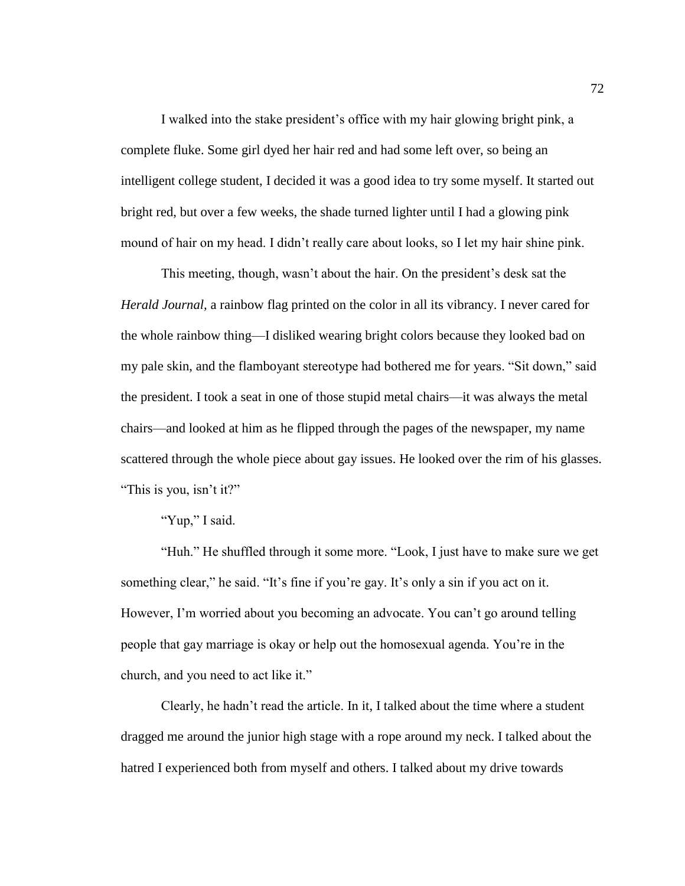I walked into the stake president's office with my hair glowing bright pink, a complete fluke. Some girl dyed her hair red and had some left over, so being an intelligent college student, I decided it was a good idea to try some myself. It started out bright red, but over a few weeks, the shade turned lighter until I had a glowing pink mound of hair on my head. I didn't really care about looks, so I let my hair shine pink.

This meeting, though, wasn't about the hair. On the president's desk sat the *Herald Journal,* a rainbow flag printed on the color in all its vibrancy. I never cared for the whole rainbow thing—I disliked wearing bright colors because they looked bad on my pale skin, and the flamboyant stereotype had bothered me for years. "Sit down," said the president. I took a seat in one of those stupid metal chairs—it was always the metal chairs—and looked at him as he flipped through the pages of the newspaper, my name scattered through the whole piece about gay issues. He looked over the rim of his glasses. "This is you, isn't it?"

## "Yup," I said.

"Huh." He shuffled through it some more. "Look, I just have to make sure we get something clear," he said. "It's fine if you're gay. It's only a sin if you act on it. However, I'm worried about you becoming an advocate. You can't go around telling people that gay marriage is okay or help out the homosexual agenda. You're in the church, and you need to act like it."

Clearly, he hadn't read the article. In it, I talked about the time where a student dragged me around the junior high stage with a rope around my neck. I talked about the hatred I experienced both from myself and others. I talked about my drive towards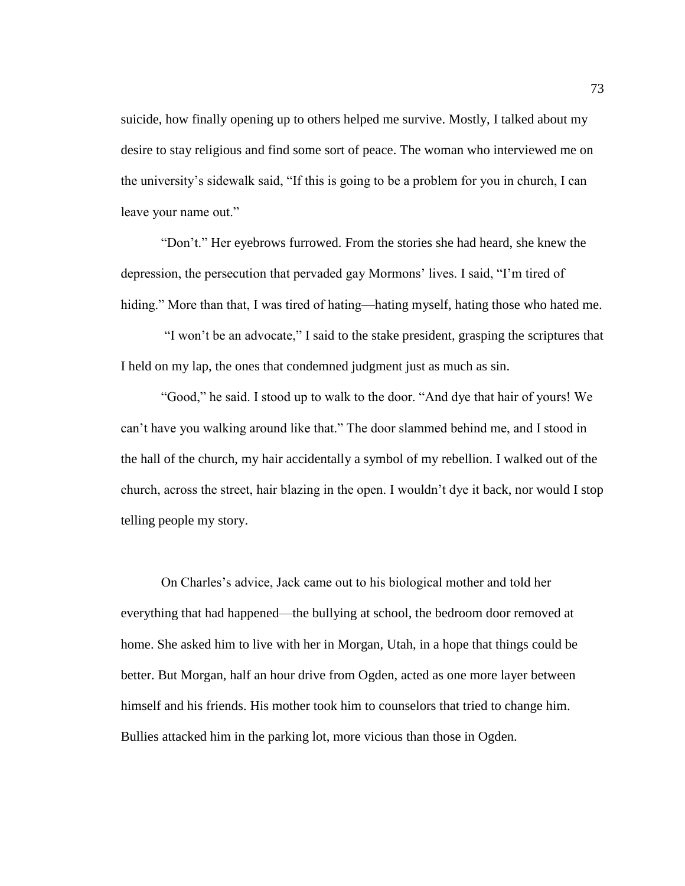suicide, how finally opening up to others helped me survive. Mostly, I talked about my desire to stay religious and find some sort of peace. The woman who interviewed me on the university's sidewalk said, "If this is going to be a problem for you in church, I can leave your name out."

"Don't." Her eyebrows furrowed. From the stories she had heard, she knew the depression, the persecution that pervaded gay Mormons' lives. I said, "I'm tired of hiding." More than that, I was tired of hating—hating myself, hating those who hated me.

"I won't be an advocate," I said to the stake president, grasping the scriptures that I held on my lap, the ones that condemned judgment just as much as sin.

"Good," he said. I stood up to walk to the door. "And dye that hair of yours! We can't have you walking around like that." The door slammed behind me, and I stood in the hall of the church, my hair accidentally a symbol of my rebellion. I walked out of the church, across the street, hair blazing in the open. I wouldn't dye it back, nor would I stop telling people my story.

On Charles's advice, Jack came out to his biological mother and told her everything that had happened—the bullying at school, the bedroom door removed at home. She asked him to live with her in Morgan, Utah, in a hope that things could be better. But Morgan, half an hour drive from Ogden, acted as one more layer between himself and his friends. His mother took him to counselors that tried to change him. Bullies attacked him in the parking lot, more vicious than those in Ogden.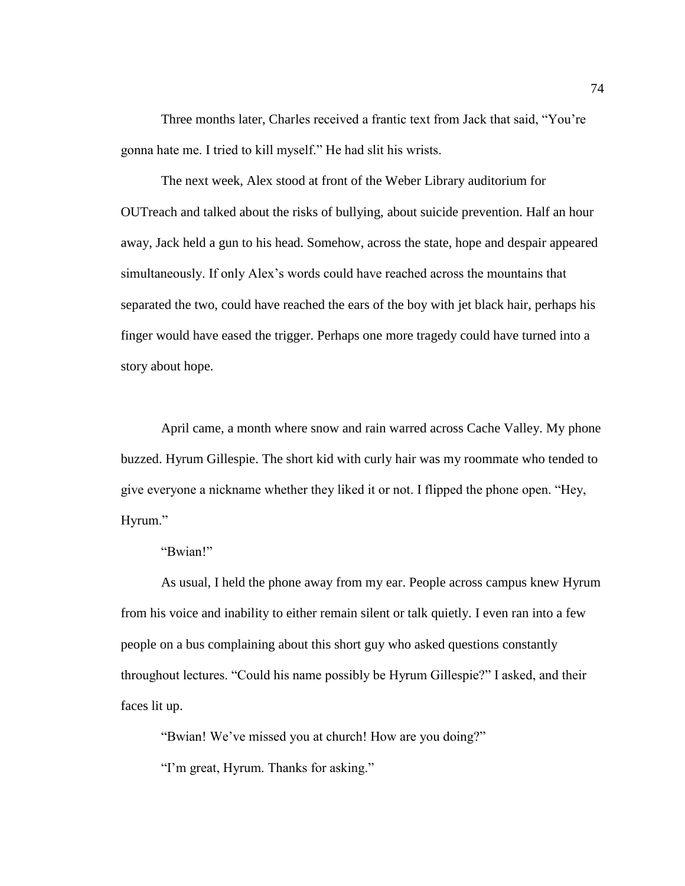Three months later, Charles received a frantic text from Jack that said, "You're gonna hate me. I tried to kill myself." He had slit his wrists.

The next week, Alex stood at front of the Weber Library auditorium for OUTreach and talked about the risks of bullying, about suicide prevention. Half an hour away, Jack held a gun to his head. Somehow, across the state, hope and despair appeared simultaneously. If only Alex's words could have reached across the mountains that separated the two, could have reached the ears of the boy with jet black hair, perhaps his finger would have eased the trigger. Perhaps one more tragedy could have turned into a story about hope.

April came, a month where snow and rain warred across Cache Valley. My phone buzzed. Hyrum Gillespie. The short kid with curly hair was my roommate who tended to give everyone a nickname whether they liked it or not. I flipped the phone open. "Hey, Hyrum."

## "Bwian!"

As usual, I held the phone away from my ear. People across campus knew Hyrum from his voice and inability to either remain silent or talk quietly. I even ran into a few people on a bus complaining about this short guy who asked questions constantly throughout lectures. "Could his name possibly be Hyrum Gillespie?" I asked, and their faces lit up.

"Bwian! We've missed you at church! How are you doing?"

"I'm great, Hyrum. Thanks for asking."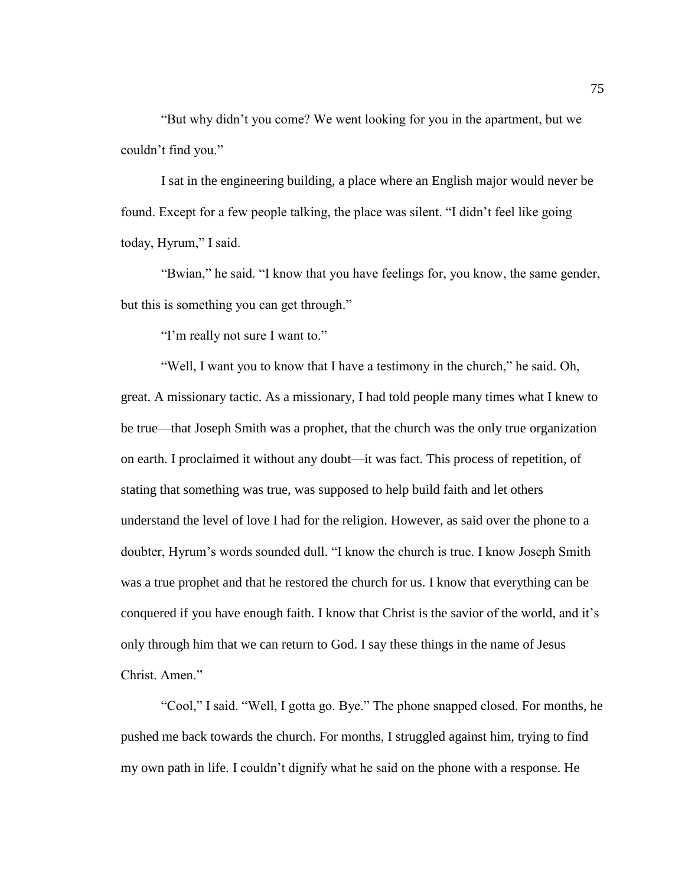"But why didn't you come? We went looking for you in the apartment, but we couldn't find you."

I sat in the engineering building, a place where an English major would never be found. Except for a few people talking, the place was silent. "I didn't feel like going today, Hyrum," I said.

"Bwian," he said. "I know that you have feelings for, you know, the same gender, but this is something you can get through."

"I'm really not sure I want to."

"Well, I want you to know that I have a testimony in the church," he said. Oh, great. A missionary tactic. As a missionary, I had told people many times what I knew to be true—that Joseph Smith was a prophet, that the church was the only true organization on earth. I proclaimed it without any doubt—it was fact. This process of repetition, of stating that something was true, was supposed to help build faith and let others understand the level of love I had for the religion. However, as said over the phone to a doubter, Hyrum's words sounded dull. "I know the church is true. I know Joseph Smith was a true prophet and that he restored the church for us. I know that everything can be conquered if you have enough faith. I know that Christ is the savior of the world, and it's only through him that we can return to God. I say these things in the name of Jesus Christ. Amen."

"Cool," I said. "Well, I gotta go. Bye." The phone snapped closed. For months, he pushed me back towards the church. For months, I struggled against him, trying to find my own path in life. I couldn't dignify what he said on the phone with a response. He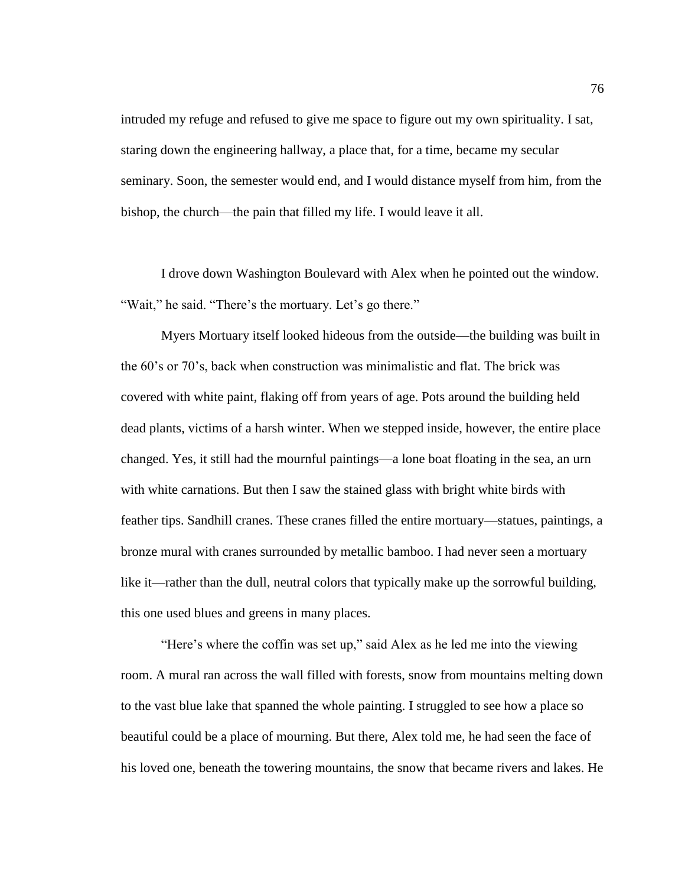intruded my refuge and refused to give me space to figure out my own spirituality. I sat, staring down the engineering hallway, a place that, for a time, became my secular seminary. Soon, the semester would end, and I would distance myself from him, from the bishop, the church—the pain that filled my life. I would leave it all.

I drove down Washington Boulevard with Alex when he pointed out the window. "Wait," he said. "There's the mortuary. Let's go there."

Myers Mortuary itself looked hideous from the outside—the building was built in the 60's or 70's, back when construction was minimalistic and flat. The brick was covered with white paint, flaking off from years of age. Pots around the building held dead plants, victims of a harsh winter. When we stepped inside, however, the entire place changed. Yes, it still had the mournful paintings—a lone boat floating in the sea, an urn with white carnations. But then I saw the stained glass with bright white birds with feather tips. Sandhill cranes. These cranes filled the entire mortuary—statues, paintings, a bronze mural with cranes surrounded by metallic bamboo. I had never seen a mortuary like it—rather than the dull, neutral colors that typically make up the sorrowful building, this one used blues and greens in many places.

"Here's where the coffin was set up," said Alex as he led me into the viewing room. A mural ran across the wall filled with forests, snow from mountains melting down to the vast blue lake that spanned the whole painting. I struggled to see how a place so beautiful could be a place of mourning. But there, Alex told me, he had seen the face of his loved one, beneath the towering mountains, the snow that became rivers and lakes. He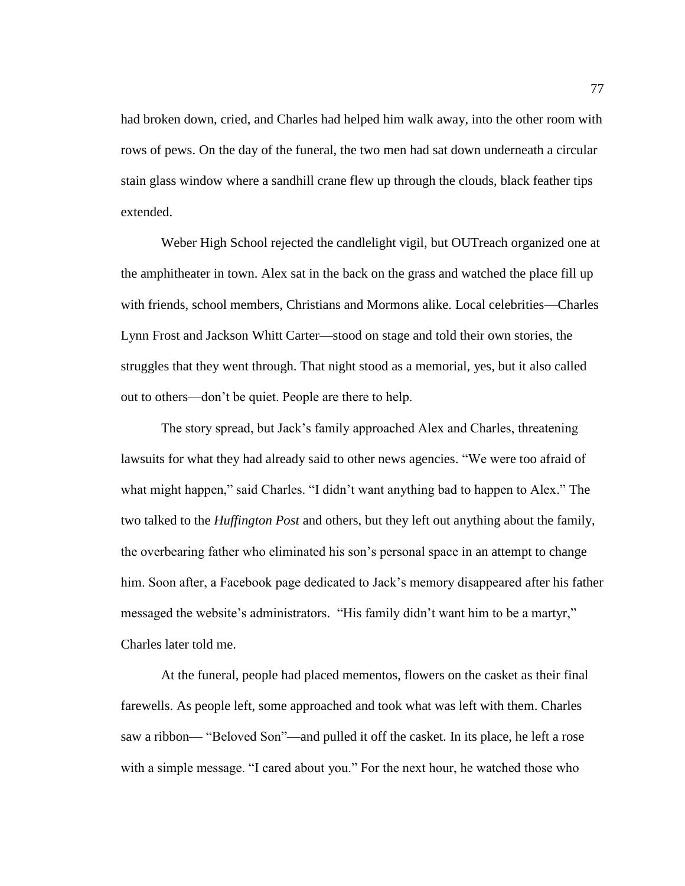had broken down, cried, and Charles had helped him walk away, into the other room with rows of pews. On the day of the funeral, the two men had sat down underneath a circular stain glass window where a sandhill crane flew up through the clouds, black feather tips extended.

Weber High School rejected the candlelight vigil, but OUTreach organized one at the amphitheater in town. Alex sat in the back on the grass and watched the place fill up with friends, school members, Christians and Mormons alike. Local celebrities—Charles Lynn Frost and Jackson Whitt Carter—stood on stage and told their own stories, the struggles that they went through. That night stood as a memorial, yes, but it also called out to others—don't be quiet. People are there to help.

The story spread, but Jack's family approached Alex and Charles, threatening lawsuits for what they had already said to other news agencies. "We were too afraid of what might happen," said Charles. "I didn't want anything bad to happen to Alex." The two talked to the *Huffington Post* and others, but they left out anything about the family, the overbearing father who eliminated his son's personal space in an attempt to change him. Soon after, a Facebook page dedicated to Jack's memory disappeared after his father messaged the website's administrators. "His family didn't want him to be a martyr," Charles later told me.

At the funeral, people had placed mementos, flowers on the casket as their final farewells. As people left, some approached and took what was left with them. Charles saw a ribbon— "Beloved Son"—and pulled it off the casket. In its place, he left a rose with a simple message. "I cared about you." For the next hour, he watched those who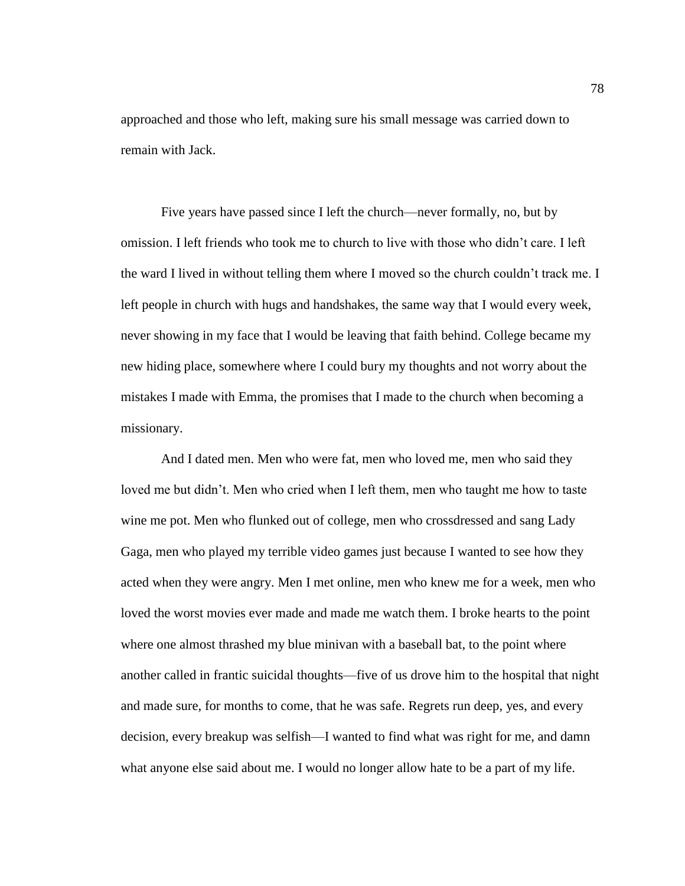approached and those who left, making sure his small message was carried down to remain with Jack.

Five years have passed since I left the church—never formally, no, but by omission. I left friends who took me to church to live with those who didn't care. I left the ward I lived in without telling them where I moved so the church couldn't track me. I left people in church with hugs and handshakes, the same way that I would every week, never showing in my face that I would be leaving that faith behind. College became my new hiding place, somewhere where I could bury my thoughts and not worry about the mistakes I made with Emma, the promises that I made to the church when becoming a missionary.

And I dated men. Men who were fat, men who loved me, men who said they loved me but didn't. Men who cried when I left them, men who taught me how to taste wine me pot. Men who flunked out of college, men who crossdressed and sang Lady Gaga, men who played my terrible video games just because I wanted to see how they acted when they were angry. Men I met online, men who knew me for a week, men who loved the worst movies ever made and made me watch them. I broke hearts to the point where one almost thrashed my blue minivan with a baseball bat, to the point where another called in frantic suicidal thoughts—five of us drove him to the hospital that night and made sure, for months to come, that he was safe. Regrets run deep, yes, and every decision, every breakup was selfish—I wanted to find what was right for me, and damn what anyone else said about me. I would no longer allow hate to be a part of my life.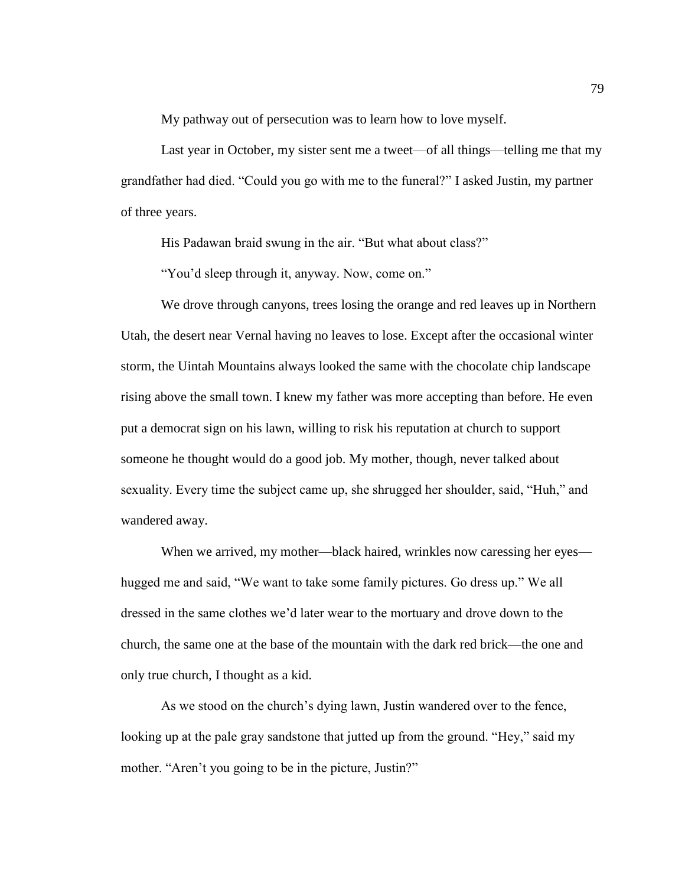My pathway out of persecution was to learn how to love myself.

Last year in October, my sister sent me a tweet—of all things—telling me that my grandfather had died. "Could you go with me to the funeral?" I asked Justin, my partner of three years.

His Padawan braid swung in the air. "But what about class?"

"You'd sleep through it, anyway. Now, come on."

We drove through canyons, trees losing the orange and red leaves up in Northern Utah, the desert near Vernal having no leaves to lose. Except after the occasional winter storm, the Uintah Mountains always looked the same with the chocolate chip landscape rising above the small town. I knew my father was more accepting than before. He even put a democrat sign on his lawn, willing to risk his reputation at church to support someone he thought would do a good job. My mother, though, never talked about sexuality. Every time the subject came up, she shrugged her shoulder, said, "Huh," and wandered away.

When we arrived, my mother—black haired, wrinkles now caressing her eyes hugged me and said, "We want to take some family pictures. Go dress up." We all dressed in the same clothes we'd later wear to the mortuary and drove down to the church, the same one at the base of the mountain with the dark red brick—the one and only true church, I thought as a kid.

As we stood on the church's dying lawn, Justin wandered over to the fence, looking up at the pale gray sandstone that jutted up from the ground. "Hey," said my mother. "Aren't you going to be in the picture, Justin?"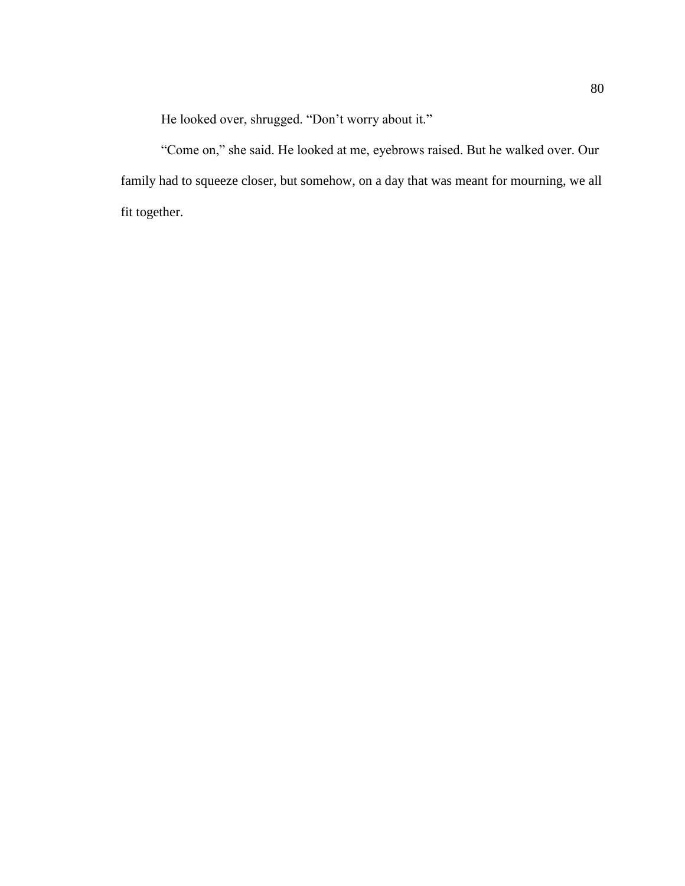He looked over, shrugged. "Don't worry about it."

"Come on," she said. He looked at me, eyebrows raised. But he walked over. Our family had to squeeze closer, but somehow, on a day that was meant for mourning, we all fit together.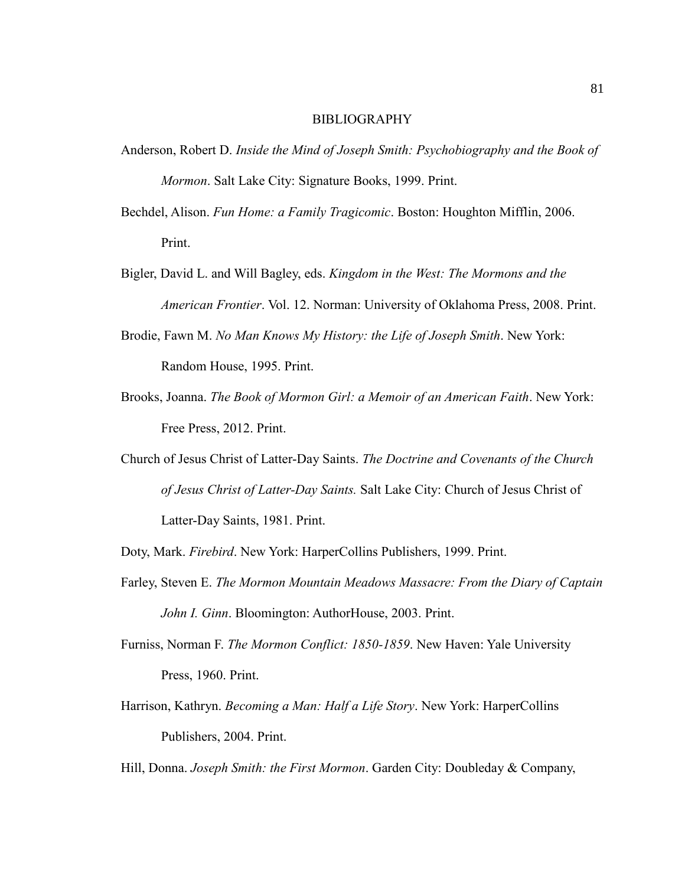## BIBLIOGRAPHY

- Anderson, Robert D. *Inside the Mind of Joseph Smith: Psychobiography and the Book of Mormon*. Salt Lake City: Signature Books, 1999. Print.
- Bechdel, Alison. *Fun Home: a Family Tragicomic*. Boston: Houghton Mifflin, 2006. Print.
- Bigler, David L. and Will Bagley, eds. *Kingdom in the West: The Mormons and the American Frontier*. Vol. 12. Norman: University of Oklahoma Press, 2008. Print.
- Brodie, Fawn M. *No Man Knows My History: the Life of Joseph Smith*. New York: Random House, 1995. Print.
- Brooks, Joanna. *The Book of Mormon Girl: a Memoir of an American Faith*. New York: Free Press, 2012. Print.
- Church of Jesus Christ of Latter-Day Saints. *The Doctrine and Covenants of the Church of Jesus Christ of Latter-Day Saints.* Salt Lake City: Church of Jesus Christ of Latter-Day Saints, 1981. Print.
- Doty, Mark. *Firebird*. New York: HarperCollins Publishers, 1999. Print.
- Farley, Steven E. *The Mormon Mountain Meadows Massacre: From the Diary of Captain John I. Ginn*. Bloomington: AuthorHouse, 2003. Print.
- Furniss, Norman F. *The Mormon Conflict: 1850-1859*. New Haven: Yale University Press, 1960. Print.
- Harrison, Kathryn. *Becoming a Man: Half a Life Story*. New York: HarperCollins Publishers, 2004. Print.
- Hill, Donna. *Joseph Smith: the First Mormon*. Garden City: Doubleday & Company,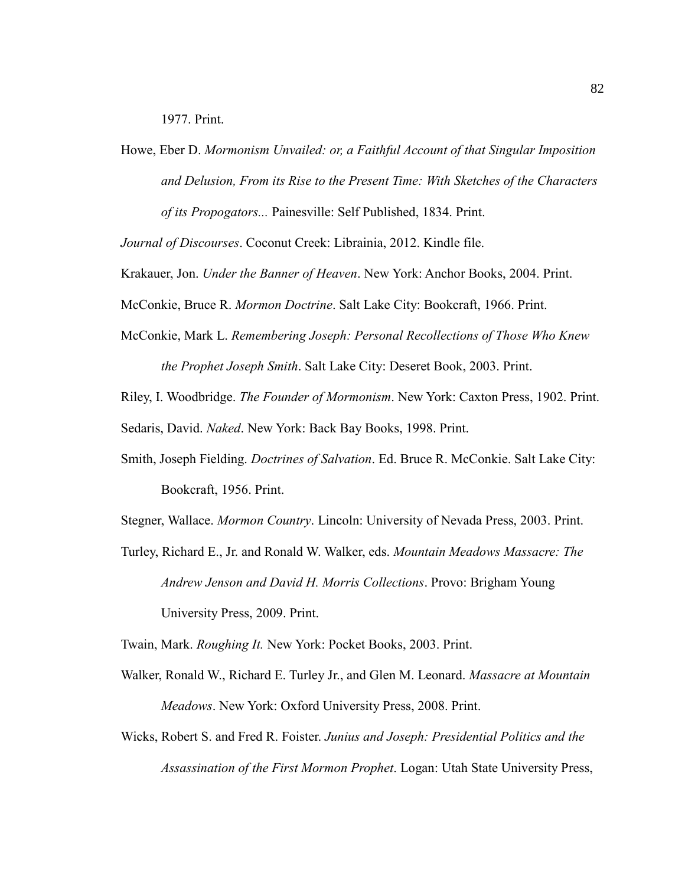1977. Print.

Howe, Eber D. *Mormonism Unvailed: or, a Faithful Account of that Singular Imposition and Delusion, From its Rise to the Present Time: With Sketches of the Characters of its Propogators...* Painesville: Self Published, 1834. Print.

*Journal of Discourses*. Coconut Creek: Librainia, 2012. Kindle file.

Krakauer, Jon. *Under the Banner of Heaven*. New York: Anchor Books, 2004. Print.

McConkie, Bruce R. *Mormon Doctrine*. Salt Lake City: Bookcraft, 1966. Print.

- McConkie, Mark L. *Remembering Joseph: Personal Recollections of Those Who Knew the Prophet Joseph Smith*. Salt Lake City: Deseret Book, 2003. Print.
- Riley, I. Woodbridge. *The Founder of Mormonism*. New York: Caxton Press, 1902. Print. Sedaris, David. *Naked*. New York: Back Bay Books, 1998. Print.
- Smith, Joseph Fielding. *Doctrines of Salvation*. Ed. Bruce R. McConkie. Salt Lake City: Bookcraft, 1956. Print.

Stegner, Wallace. *Mormon Country*. Lincoln: University of Nevada Press, 2003. Print.

Turley, Richard E., Jr. and Ronald W. Walker, eds. *Mountain Meadows Massacre: The Andrew Jenson and David H. Morris Collections*. Provo: Brigham Young University Press, 2009. Print.

Twain, Mark. *Roughing It.* New York: Pocket Books, 2003. Print.

- Walker, Ronald W., Richard E. Turley Jr., and Glen M. Leonard. *Massacre at Mountain Meadows*. New York: Oxford University Press, 2008. Print.
- Wicks, Robert S. and Fred R. Foister. *Junius and Joseph: Presidential Politics and the Assassination of the First Mormon Prophet*. Logan: Utah State University Press,